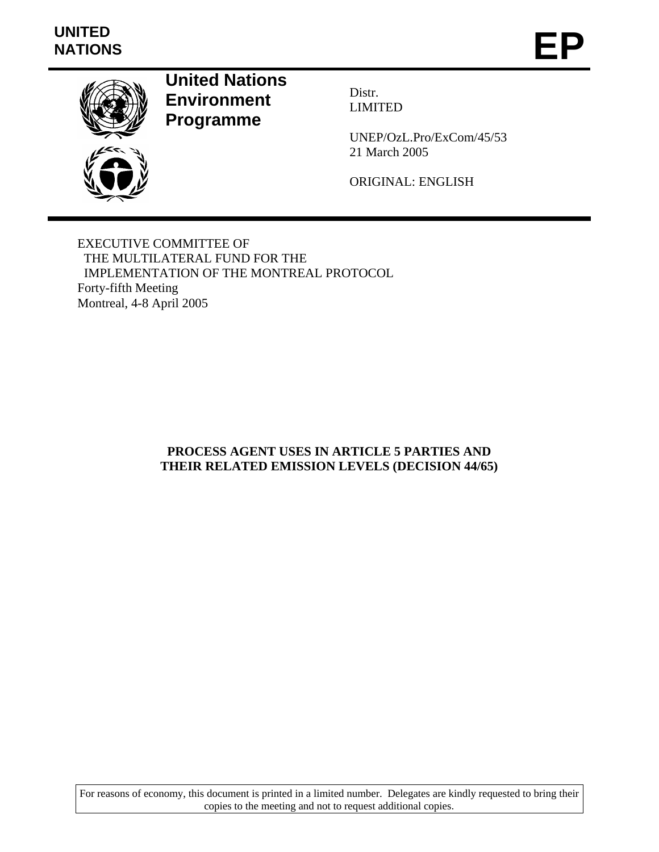# **UNITED**  UNITED<br>NATIONS **EP**



**United Nations Environment Programme** 

Distr. LIMITED

UNEP/OzL.Pro/ExCom/45/53 21 March 2005

ORIGINAL: ENGLISH

EXECUTIVE COMMITTEE OF THE MULTILATERAL FUND FOR THE IMPLEMENTATION OF THE MONTREAL PROTOCOL Forty-fifth Meeting Montreal, 4-8 April 2005

### **PROCESS AGENT USES IN ARTICLE 5 PARTIES AND THEIR RELATED EMISSION LEVELS (DECISION 44/65)**

For reasons of economy, this document is printed in a limited number. Delegates are kindly requested to bring their copies to the meeting and not to request additional copies.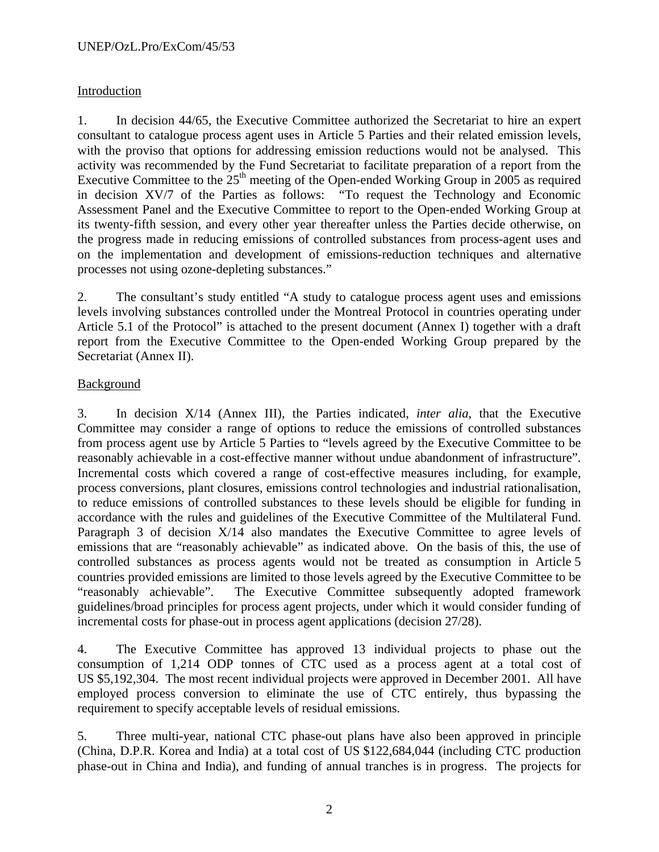## Introduction

1. In decision 44/65, the Executive Committee authorized the Secretariat to hire an expert consultant to catalogue process agent uses in Article 5 Parties and their related emission levels, with the proviso that options for addressing emission reductions would not be analysed. This activity was recommended by the Fund Secretariat to facilitate preparation of a report from the Executive Committee to the  $25<sup>th</sup>$  meeting of the Open-ended Working Group in 2005 as required in decision XV/7 of the Parties as follows: "To request the Technology and Economic Assessment Panel and the Executive Committee to report to the Open-ended Working Group at its twenty-fifth session, and every other year thereafter unless the Parties decide otherwise, on the progress made in reducing emissions of controlled substances from process-agent uses and on the implementation and development of emissions-reduction techniques and alternative processes not using ozone-depleting substances."

2. The consultant's study entitled "A study to catalogue process agent uses and emissions levels involving substances controlled under the Montreal Protocol in countries operating under Article 5.1 of the Protocol" is attached to the present document (Annex I) together with a draft report from the Executive Committee to the Open-ended Working Group prepared by the Secretariat (Annex II).

## Background

3. In decision X/14 (Annex III), the Parties indicated, *inter alia*, that the Executive Committee may consider a range of options to reduce the emissions of controlled substances from process agent use by Article 5 Parties to "levels agreed by the Executive Committee to be reasonably achievable in a cost-effective manner without undue abandonment of infrastructure". Incremental costs which covered a range of cost-effective measures including, for example, process conversions, plant closures, emissions control technologies and industrial rationalisation, to reduce emissions of controlled substances to these levels should be eligible for funding in accordance with the rules and guidelines of the Executive Committee of the Multilateral Fund. Paragraph 3 of decision X/14 also mandates the Executive Committee to agree levels of emissions that are "reasonably achievable" as indicated above. On the basis of this, the use of controlled substances as process agents would not be treated as consumption in Article 5 countries provided emissions are limited to those levels agreed by the Executive Committee to be "reasonably achievable". The Executive Committee subsequently adopted framework guidelines/broad principles for process agent projects, under which it would consider funding of incremental costs for phase-out in process agent applications (decision 27/28).

4. The Executive Committee has approved 13 individual projects to phase out the consumption of 1,214 ODP tonnes of CTC used as a process agent at a total cost of US \$5,192,304. The most recent individual projects were approved in December 2001. All have employed process conversion to eliminate the use of CTC entirely, thus bypassing the requirement to specify acceptable levels of residual emissions.

5. Three multi-year, national CTC phase-out plans have also been approved in principle (China, D.P.R. Korea and India) at a total cost of US \$122,684,044 (including CTC production phase-out in China and India), and funding of annual tranches is in progress. The projects for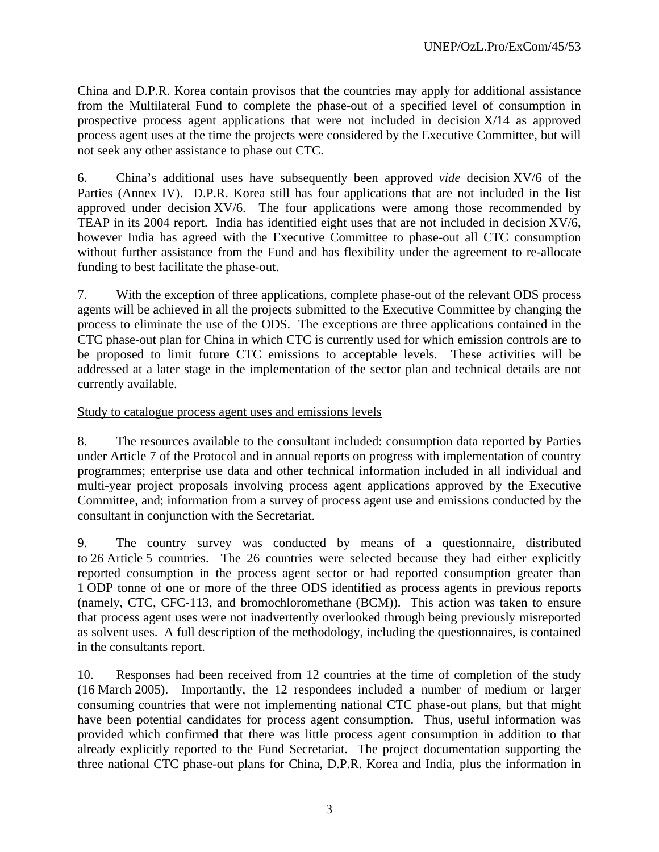China and D.P.R. Korea contain provisos that the countries may apply for additional assistance from the Multilateral Fund to complete the phase-out of a specified level of consumption in prospective process agent applications that were not included in decision  $X/14$  as approved process agent uses at the time the projects were considered by the Executive Committee, but will not seek any other assistance to phase out CTC.

6. China's additional uses have subsequently been approved *vide* decision XV/6 of the Parties (Annex IV). D.P.R. Korea still has four applications that are not included in the list approved under decision XV/6. The four applications were among those recommended by TEAP in its 2004 report. India has identified eight uses that are not included in decision XV/6, however India has agreed with the Executive Committee to phase-out all CTC consumption without further assistance from the Fund and has flexibility under the agreement to re-allocate funding to best facilitate the phase-out.

7. With the exception of three applications, complete phase-out of the relevant ODS process agents will be achieved in all the projects submitted to the Executive Committee by changing the process to eliminate the use of the ODS. The exceptions are three applications contained in the CTC phase-out plan for China in which CTC is currently used for which emission controls are to be proposed to limit future CTC emissions to acceptable levels. These activities will be addressed at a later stage in the implementation of the sector plan and technical details are not currently available.

### Study to catalogue process agent uses and emissions levels

8. The resources available to the consultant included: consumption data reported by Parties under Article 7 of the Protocol and in annual reports on progress with implementation of country programmes; enterprise use data and other technical information included in all individual and multi-year project proposals involving process agent applications approved by the Executive Committee, and; information from a survey of process agent use and emissions conducted by the consultant in conjunction with the Secretariat.

9. The country survey was conducted by means of a questionnaire, distributed to 26 Article 5 countries. The 26 countries were selected because they had either explicitly reported consumption in the process agent sector or had reported consumption greater than 1 ODP tonne of one or more of the three ODS identified as process agents in previous reports (namely, CTC, CFC-113, and bromochloromethane (BCM)). This action was taken to ensure that process agent uses were not inadvertently overlooked through being previously misreported as solvent uses. A full description of the methodology, including the questionnaires, is contained in the consultants report.

10. Responses had been received from 12 countries at the time of completion of the study (16 March 2005). Importantly, the 12 respondees included a number of medium or larger consuming countries that were not implementing national CTC phase-out plans, but that might have been potential candidates for process agent consumption. Thus, useful information was provided which confirmed that there was little process agent consumption in addition to that already explicitly reported to the Fund Secretariat. The project documentation supporting the three national CTC phase-out plans for China, D.P.R. Korea and India, plus the information in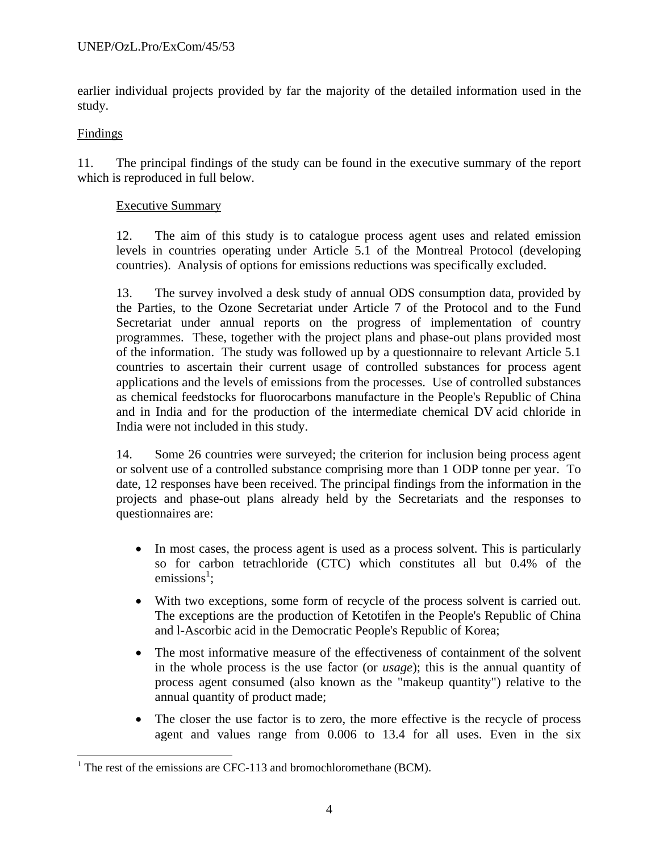earlier individual projects provided by far the majority of the detailed information used in the study.

### Findings

 $\overline{a}$ 

11. The principal findings of the study can be found in the executive summary of the report which is reproduced in full below.

## Executive Summary

12. The aim of this study is to catalogue process agent uses and related emission levels in countries operating under Article 5.1 of the Montreal Protocol (developing countries). Analysis of options for emissions reductions was specifically excluded.

13. The survey involved a desk study of annual ODS consumption data, provided by the Parties, to the Ozone Secretariat under Article 7 of the Protocol and to the Fund Secretariat under annual reports on the progress of implementation of country programmes. These, together with the project plans and phase-out plans provided most of the information. The study was followed up by a questionnaire to relevant Article 5.1 countries to ascertain their current usage of controlled substances for process agent applications and the levels of emissions from the processes. Use of controlled substances as chemical feedstocks for fluorocarbons manufacture in the People's Republic of China and in India and for the production of the intermediate chemical DV acid chloride in India were not included in this study.

14. Some 26 countries were surveyed; the criterion for inclusion being process agent or solvent use of a controlled substance comprising more than 1 ODP tonne per year. To date, 12 responses have been received. The principal findings from the information in the projects and phase-out plans already held by the Secretariats and the responses to questionnaires are:

- In most cases, the process agent is used as a process solvent. This is particularly so for carbon tetrachloride (CTC) which constitutes all but 0.4% of the emissions<sup>1</sup>;
- With two exceptions, some form of recycle of the process solvent is carried out. The exceptions are the production of Ketotifen in the People's Republic of China and l-Ascorbic acid in the Democratic People's Republic of Korea;
- The most informative measure of the effectiveness of containment of the solvent in the whole process is the use factor (or *usage*); this is the annual quantity of process agent consumed (also known as the "makeup quantity") relative to the annual quantity of product made;
- The closer the use factor is to zero, the more effective is the recycle of process agent and values range from 0.006 to 13.4 for all uses. Even in the six

<sup>&</sup>lt;sup>1</sup> The rest of the emissions are CFC-113 and bromochloromethane (BCM).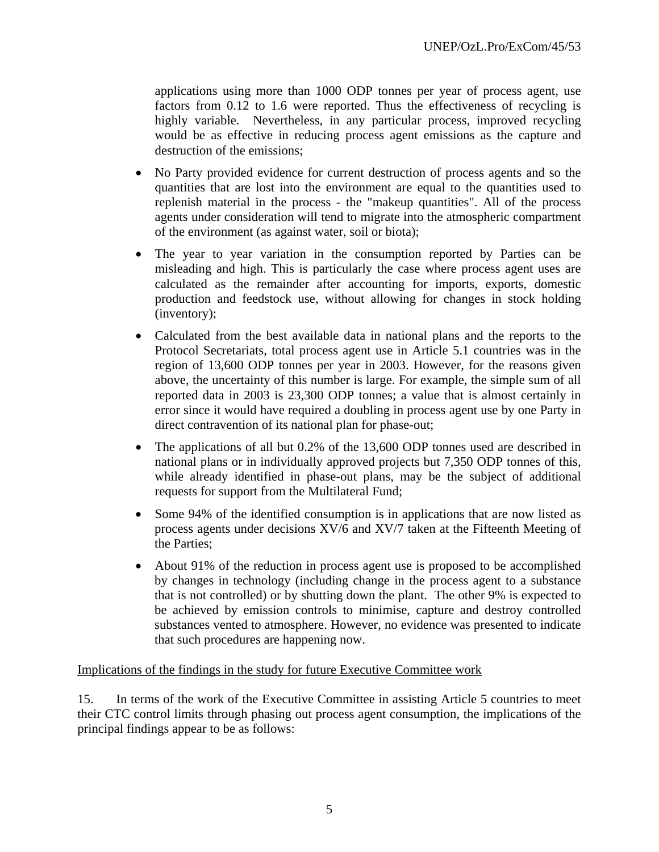applications using more than 1000 ODP tonnes per year of process agent, use factors from 0.12 to 1.6 were reported. Thus the effectiveness of recycling is highly variable. Nevertheless, in any particular process, improved recycling would be as effective in reducing process agent emissions as the capture and destruction of the emissions;

- No Party provided evidence for current destruction of process agents and so the quantities that are lost into the environment are equal to the quantities used to replenish material in the process - the "makeup quantities". All of the process agents under consideration will tend to migrate into the atmospheric compartment of the environment (as against water, soil or biota);
- The year to year variation in the consumption reported by Parties can be misleading and high. This is particularly the case where process agent uses are calculated as the remainder after accounting for imports, exports, domestic production and feedstock use, without allowing for changes in stock holding (inventory);
- Calculated from the best available data in national plans and the reports to the Protocol Secretariats, total process agent use in Article 5.1 countries was in the region of 13,600 ODP tonnes per year in 2003. However, for the reasons given above, the uncertainty of this number is large. For example, the simple sum of all reported data in 2003 is 23,300 ODP tonnes; a value that is almost certainly in error since it would have required a doubling in process agent use by one Party in direct contravention of its national plan for phase-out;
- The applications of all but 0.2% of the 13,600 ODP tonnes used are described in national plans or in individually approved projects but 7,350 ODP tonnes of this, while already identified in phase-out plans, may be the subject of additional requests for support from the Multilateral Fund;
- Some 94% of the identified consumption is in applications that are now listed as process agents under decisions XV/6 and XV/7 taken at the Fifteenth Meeting of the Parties;
- About 91% of the reduction in process agent use is proposed to be accomplished by changes in technology (including change in the process agent to a substance that is not controlled) or by shutting down the plant. The other 9% is expected to be achieved by emission controls to minimise, capture and destroy controlled substances vented to atmosphere. However, no evidence was presented to indicate that such procedures are happening now.

### Implications of the findings in the study for future Executive Committee work

15. In terms of the work of the Executive Committee in assisting Article 5 countries to meet their CTC control limits through phasing out process agent consumption, the implications of the principal findings appear to be as follows: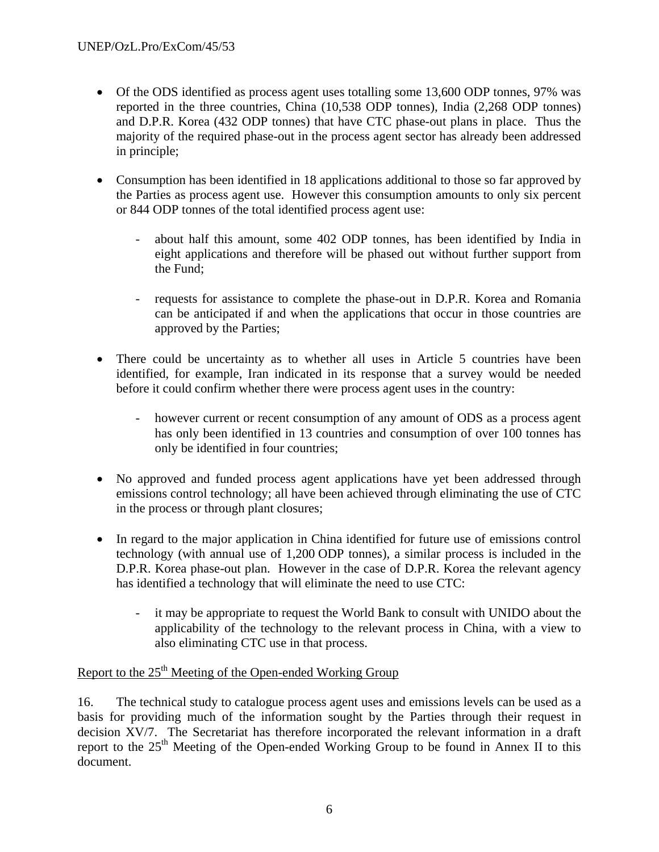- Of the ODS identified as process agent uses totalling some 13,600 ODP tonnes, 97% was reported in the three countries, China (10,538 ODP tonnes), India (2,268 ODP tonnes) and D.P.R. Korea (432 ODP tonnes) that have CTC phase-out plans in place. Thus the majority of the required phase-out in the process agent sector has already been addressed in principle;
- Consumption has been identified in 18 applications additional to those so far approved by the Parties as process agent use. However this consumption amounts to only six percent or 844 ODP tonnes of the total identified process agent use:
	- about half this amount, some 402 ODP tonnes, has been identified by India in eight applications and therefore will be phased out without further support from the Fund;
	- requests for assistance to complete the phase-out in D.P.R. Korea and Romania can be anticipated if and when the applications that occur in those countries are approved by the Parties;
- There could be uncertainty as to whether all uses in Article 5 countries have been identified, for example, Iran indicated in its response that a survey would be needed before it could confirm whether there were process agent uses in the country:
	- however current or recent consumption of any amount of ODS as a process agent has only been identified in 13 countries and consumption of over 100 tonnes has only be identified in four countries;
- No approved and funded process agent applications have yet been addressed through emissions control technology; all have been achieved through eliminating the use of CTC in the process or through plant closures;
- In regard to the major application in China identified for future use of emissions control technology (with annual use of 1,200 ODP tonnes), a similar process is included in the D.P.R. Korea phase-out plan. However in the case of D.P.R. Korea the relevant agency has identified a technology that will eliminate the need to use CTC:
	- it may be appropriate to request the World Bank to consult with UNIDO about the applicability of the technology to the relevant process in China, with a view to also eliminating CTC use in that process.

## Report to the  $25<sup>th</sup>$  Meeting of the Open-ended Working Group

16. The technical study to catalogue process agent uses and emissions levels can be used as a basis for providing much of the information sought by the Parties through their request in decision XV/7. The Secretariat has therefore incorporated the relevant information in a draft report to the 25<sup>th</sup> Meeting of the Open-ended Working Group to be found in Annex II to this document.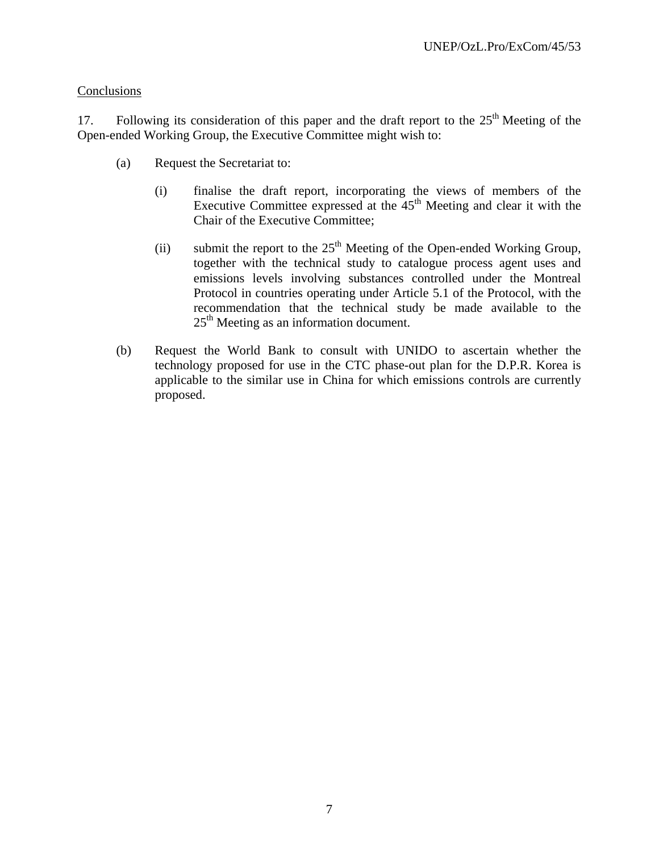### **Conclusions**

17. Following its consideration of this paper and the draft report to the  $25<sup>th</sup>$  Meeting of the Open-ended Working Group, the Executive Committee might wish to:

- (a) Request the Secretariat to:
	- (i) finalise the draft report, incorporating the views of members of the Executive Committee expressed at the  $45<sup>th</sup>$  Meeting and clear it with the Chair of the Executive Committee;
	- (ii) submit the report to the  $25<sup>th</sup>$  Meeting of the Open-ended Working Group, together with the technical study to catalogue process agent uses and emissions levels involving substances controlled under the Montreal Protocol in countries operating under Article 5.1 of the Protocol, with the recommendation that the technical study be made available to the  $25<sup>th</sup>$  Meeting as an information document.
- (b) Request the World Bank to consult with UNIDO to ascertain whether the technology proposed for use in the CTC phase-out plan for the D.P.R. Korea is applicable to the similar use in China for which emissions controls are currently proposed.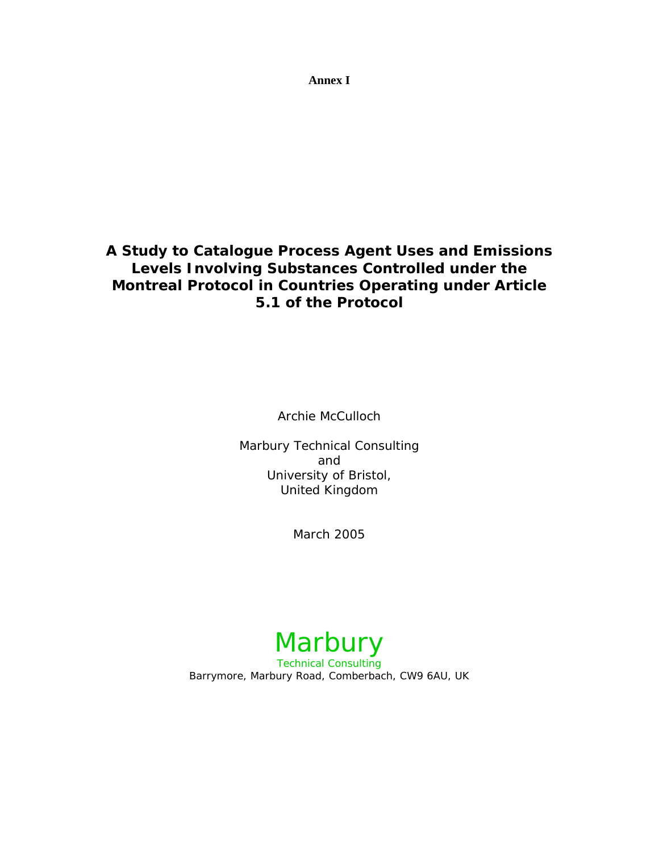**Annex I** 

## **A Study to Catalogue Process Agent Uses and Emissions Levels Involving Substances Controlled under the Montreal Protocol in Countries Operating under Article 5.1 of the Protocol**

Archie McCulloch

Marbury Technical Consulting and University of Bristol, United Kingdom

March 2005

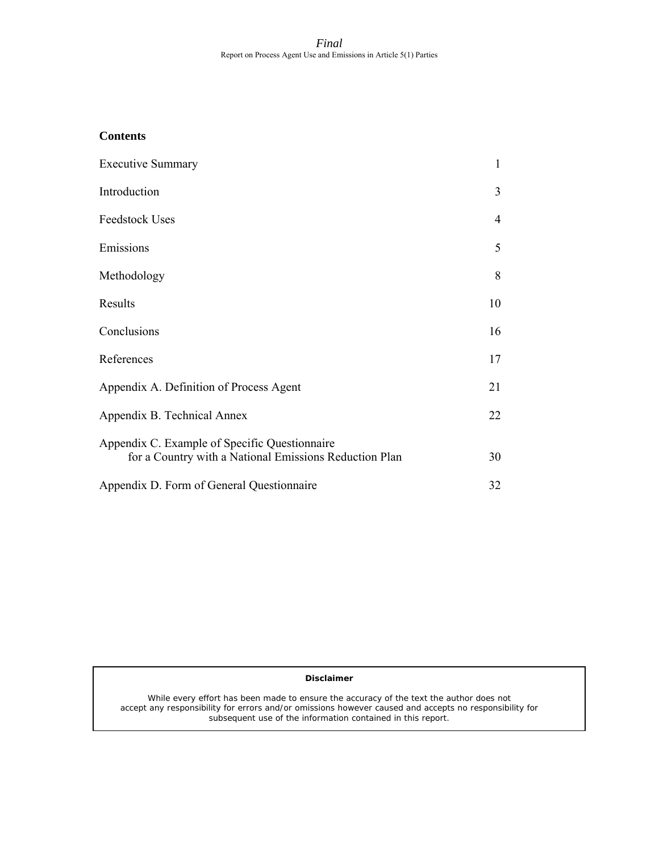### **Contents**

| <b>Executive Summary</b>                                                                                | 1  |
|---------------------------------------------------------------------------------------------------------|----|
| Introduction                                                                                            | 3  |
| <b>Feedstock Uses</b>                                                                                   | 4  |
| Emissions                                                                                               | 5  |
| Methodology                                                                                             | 8  |
| Results                                                                                                 | 10 |
| Conclusions                                                                                             | 16 |
| References                                                                                              | 17 |
| Appendix A. Definition of Process Agent                                                                 | 21 |
| Appendix B. Technical Annex                                                                             | 22 |
| Appendix C. Example of Specific Questionnaire<br>for a Country with a National Emissions Reduction Plan | 30 |
| Appendix D. Form of General Questionnaire                                                               | 32 |

### **Disclaimer**

While every effort has been made to ensure the accuracy of the text the author does not accept any responsibility for errors and/or omissions however caused and accepts no responsibility for subsequent use of the information contained in this report.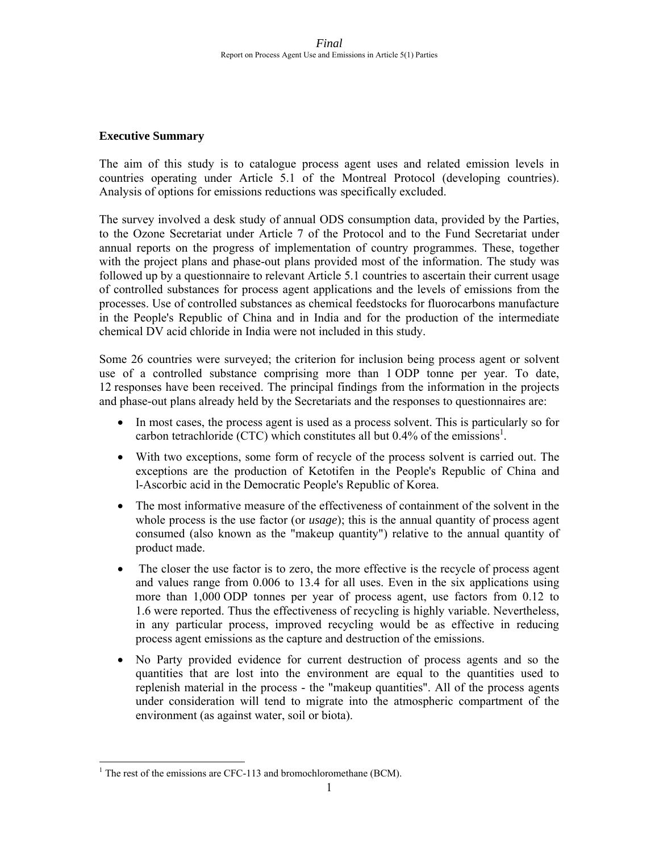### **Executive Summary**

The aim of this study is to catalogue process agent uses and related emission levels in countries operating under Article 5.1 of the Montreal Protocol (developing countries). Analysis of options for emissions reductions was specifically excluded.

The survey involved a desk study of annual ODS consumption data, provided by the Parties, to the Ozone Secretariat under Article 7 of the Protocol and to the Fund Secretariat under annual reports on the progress of implementation of country programmes. These, together with the project plans and phase-out plans provided most of the information. The study was followed up by a questionnaire to relevant Article 5.1 countries to ascertain their current usage of controlled substances for process agent applications and the levels of emissions from the processes. Use of controlled substances as chemical feedstocks for fluorocarbons manufacture in the People's Republic of China and in India and for the production of the intermediate chemical DV acid chloride in India were not included in this study.

Some 26 countries were surveyed; the criterion for inclusion being process agent or solvent use of a controlled substance comprising more than 1 ODP tonne per year. To date, 12 responses have been received. The principal findings from the information in the projects and phase-out plans already held by the Secretariats and the responses to questionnaires are:

- In most cases, the process agent is used as a process solvent. This is particularly so for carbon tetrachloride (CTC) which constitutes all but  $0.4\%$  of the emissions<sup>1</sup>.
- With two exceptions, some form of recycle of the process solvent is carried out. The exceptions are the production of Ketotifen in the People's Republic of China and l-Ascorbic acid in the Democratic People's Republic of Korea.
- The most informative measure of the effectiveness of containment of the solvent in the whole process is the use factor (or *usage*); this is the annual quantity of process agent consumed (also known as the "makeup quantity") relative to the annual quantity of product made.
- The closer the use factor is to zero, the more effective is the recycle of process agent and values range from 0.006 to 13.4 for all uses. Even in the six applications using more than 1,000 ODP tonnes per year of process agent, use factors from 0.12 to 1.6 were reported. Thus the effectiveness of recycling is highly variable. Nevertheless, in any particular process, improved recycling would be as effective in reducing process agent emissions as the capture and destruction of the emissions.
- No Party provided evidence for current destruction of process agents and so the quantities that are lost into the environment are equal to the quantities used to replenish material in the process - the "makeup quantities". All of the process agents under consideration will tend to migrate into the atmospheric compartment of the environment (as against water, soil or biota).

-

<sup>&</sup>lt;sup>1</sup> The rest of the emissions are CFC-113 and bromochloromethane (BCM).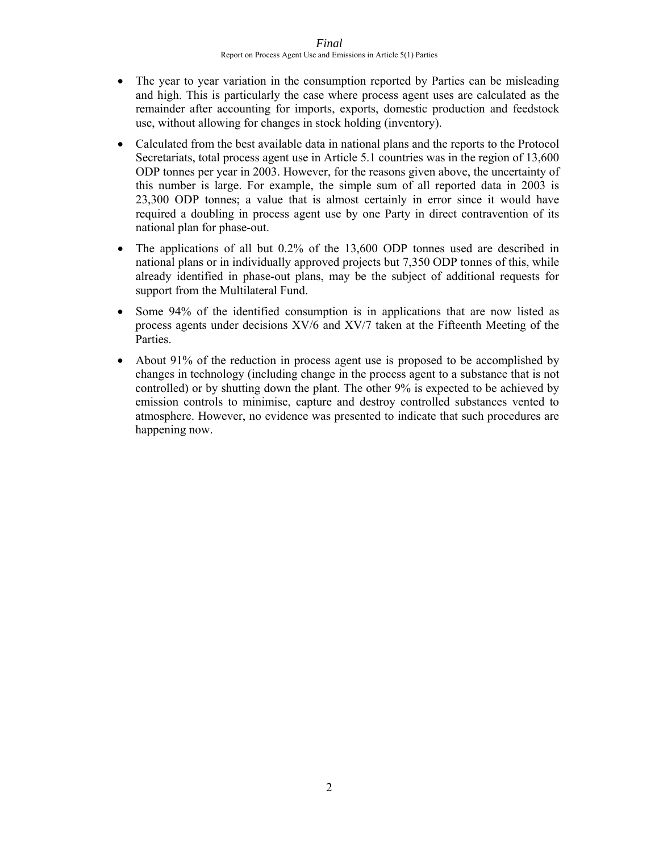- The year to year variation in the consumption reported by Parties can be misleading and high. This is particularly the case where process agent uses are calculated as the remainder after accounting for imports, exports, domestic production and feedstock use, without allowing for changes in stock holding (inventory).
- Calculated from the best available data in national plans and the reports to the Protocol Secretariats, total process agent use in Article 5.1 countries was in the region of 13,600 ODP tonnes per year in 2003. However, for the reasons given above, the uncertainty of this number is large. For example, the simple sum of all reported data in 2003 is 23,300 ODP tonnes; a value that is almost certainly in error since it would have required a doubling in process agent use by one Party in direct contravention of its national plan for phase-out.
- The applications of all but 0.2% of the 13,600 ODP tonnes used are described in national plans or in individually approved projects but 7,350 ODP tonnes of this, while already identified in phase-out plans, may be the subject of additional requests for support from the Multilateral Fund.
- Some 94% of the identified consumption is in applications that are now listed as process agents under decisions XV/6 and XV/7 taken at the Fifteenth Meeting of the Parties.
- About 91% of the reduction in process agent use is proposed to be accomplished by changes in technology (including change in the process agent to a substance that is not controlled) or by shutting down the plant. The other 9% is expected to be achieved by emission controls to minimise, capture and destroy controlled substances vented to atmosphere. However, no evidence was presented to indicate that such procedures are happening now.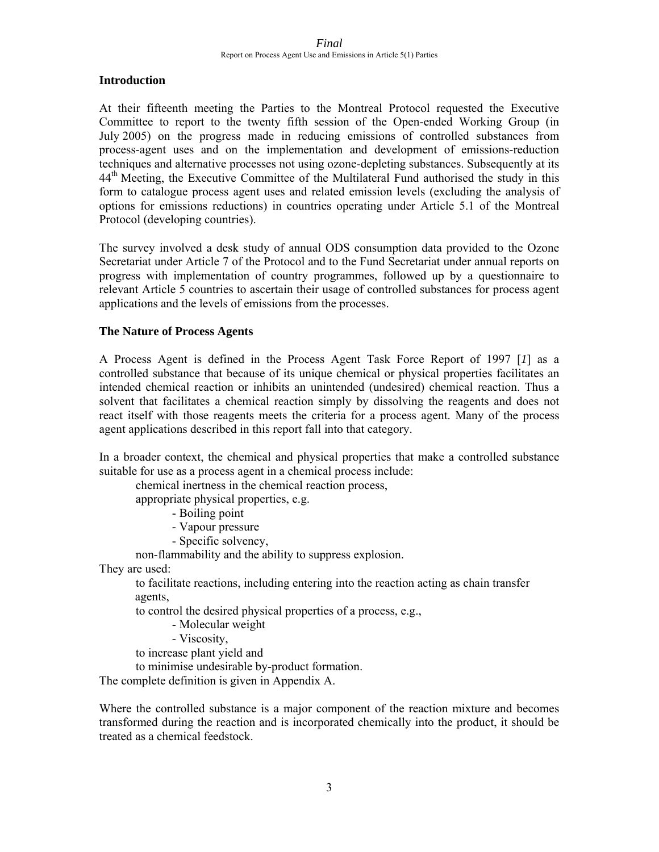### **Introduction**

At their fifteenth meeting the Parties to the Montreal Protocol requested the Executive Committee to report to the twenty fifth session of the Open-ended Working Group (in July 2005) on the progress made in reducing emissions of controlled substances from process-agent uses and on the implementation and development of emissions-reduction techniques and alternative processes not using ozone-depleting substances. Subsequently at its 44<sup>th</sup> Meeting, the Executive Committee of the Multilateral Fund authorised the study in this form to catalogue process agent uses and related emission levels (excluding the analysis of options for emissions reductions) in countries operating under Article 5.1 of the Montreal Protocol (developing countries).

The survey involved a desk study of annual ODS consumption data provided to the Ozone Secretariat under Article 7 of the Protocol and to the Fund Secretariat under annual reports on progress with implementation of country programmes, followed up by a questionnaire to relevant Article 5 countries to ascertain their usage of controlled substances for process agent applications and the levels of emissions from the processes.

### **The Nature of Process Agents**

A Process Agent is defined in the Process Agent Task Force Report of 1997 [*1*] as a controlled substance that because of its unique chemical or physical properties facilitates an intended chemical reaction or inhibits an unintended (undesired) chemical reaction. Thus a solvent that facilitates a chemical reaction simply by dissolving the reagents and does not react itself with those reagents meets the criteria for a process agent. Many of the process agent applications described in this report fall into that category.

In a broader context, the chemical and physical properties that make a controlled substance suitable for use as a process agent in a chemical process include:

chemical inertness in the chemical reaction process,

appropriate physical properties, e.g.

- Boiling point

- Vapour pressure

- Specific solvency,

non-flammability and the ability to suppress explosion.

They are used:

to facilitate reactions, including entering into the reaction acting as chain transfer agents,

to control the desired physical properties of a process, e.g.,

- Molecular weight

- Viscosity,

to increase plant yield and

to minimise undesirable by-product formation.

The complete definition is given in Appendix A.

Where the controlled substance is a major component of the reaction mixture and becomes transformed during the reaction and is incorporated chemically into the product, it should be treated as a chemical feedstock.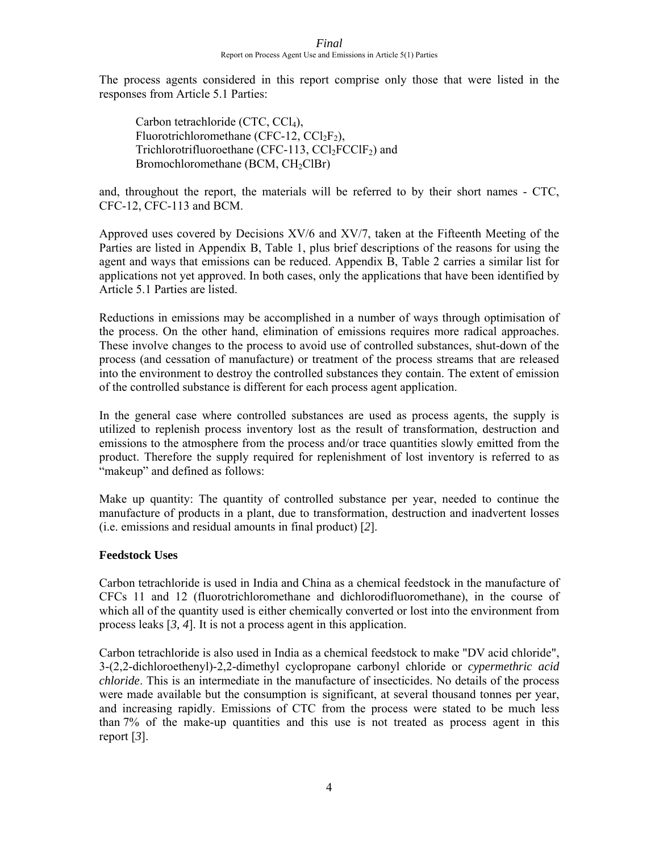The process agents considered in this report comprise only those that were listed in the responses from Article 5.1 Parties:

Carbon tetrachloride (CTC,  $CCl<sub>4</sub>$ ), Fluorotrichloromethane (CFC-12,  $CCl_2F_2$ ), Trichlorotrifluoroethane (CFC-113, CCl<sub>2</sub>FCClF<sub>2</sub>) and Bromochloromethane (BCM,  $CH<sub>2</sub>ClBr$ )

and, throughout the report, the materials will be referred to by their short names - CTC, CFC-12, CFC-113 and BCM.

Approved uses covered by Decisions XV/6 and XV/7, taken at the Fifteenth Meeting of the Parties are listed in Appendix B, Table 1, plus brief descriptions of the reasons for using the agent and ways that emissions can be reduced. Appendix B, Table 2 carries a similar list for applications not yet approved. In both cases, only the applications that have been identified by Article 5.1 Parties are listed.

Reductions in emissions may be accomplished in a number of ways through optimisation of the process. On the other hand, elimination of emissions requires more radical approaches. These involve changes to the process to avoid use of controlled substances, shut-down of the process (and cessation of manufacture) or treatment of the process streams that are released into the environment to destroy the controlled substances they contain. The extent of emission of the controlled substance is different for each process agent application.

In the general case where controlled substances are used as process agents, the supply is utilized to replenish process inventory lost as the result of transformation, destruction and emissions to the atmosphere from the process and/or trace quantities slowly emitted from the product. Therefore the supply required for replenishment of lost inventory is referred to as "makeup" and defined as follows:

Make up quantity: The quantity of controlled substance per year, needed to continue the manufacture of products in a plant, due to transformation, destruction and inadvertent losses (i.e. emissions and residual amounts in final product) [*2*].

### **Feedstock Uses**

Carbon tetrachloride is used in India and China as a chemical feedstock in the manufacture of CFCs 11 and 12 (fluorotrichloromethane and dichlorodifluoromethane), in the course of which all of the quantity used is either chemically converted or lost into the environment from process leaks [*3, 4*]. It is not a process agent in this application.

Carbon tetrachloride is also used in India as a chemical feedstock to make "DV acid chloride", 3-(2,2-dichloroethenyl)-2,2-dimethyl cyclopropane carbonyl chloride or *cypermethric acid chloride*. This is an intermediate in the manufacture of insecticides. No details of the process were made available but the consumption is significant, at several thousand tonnes per year, and increasing rapidly. Emissions of CTC from the process were stated to be much less than 7% of the make-up quantities and this use is not treated as process agent in this report [*3*].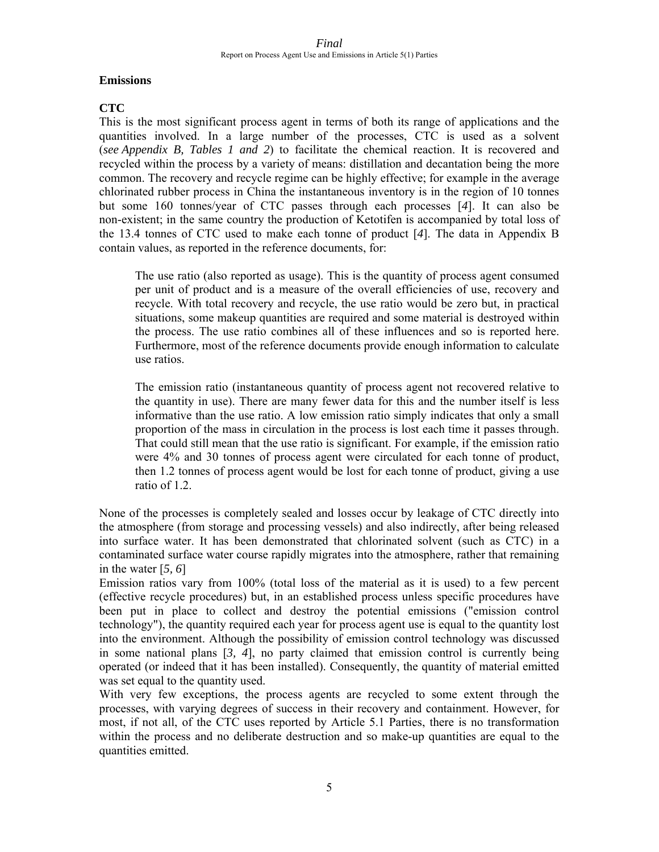### **Emissions**

### **CTC**

This is the most significant process agent in terms of both its range of applications and the quantities involved. In a large number of the processes, CTC is used as a solvent (*see Appendix B, Tables 1 and 2*) to facilitate the chemical reaction. It is recovered and recycled within the process by a variety of means: distillation and decantation being the more common. The recovery and recycle regime can be highly effective; for example in the average chlorinated rubber process in China the instantaneous inventory is in the region of 10 tonnes but some 160 tonnes/year of CTC passes through each processes [*4*]. It can also be non-existent; in the same country the production of Ketotifen is accompanied by total loss of the 13.4 tonnes of CTC used to make each tonne of product [*4*]. The data in Appendix B contain values, as reported in the reference documents, for:

The use ratio (also reported as usage). This is the quantity of process agent consumed per unit of product and is a measure of the overall efficiencies of use, recovery and recycle. With total recovery and recycle, the use ratio would be zero but, in practical situations, some makeup quantities are required and some material is destroyed within the process. The use ratio combines all of these influences and so is reported here. Furthermore, most of the reference documents provide enough information to calculate use ratios.

The emission ratio (instantaneous quantity of process agent not recovered relative to the quantity in use). There are many fewer data for this and the number itself is less informative than the use ratio. A low emission ratio simply indicates that only a small proportion of the mass in circulation in the process is lost each time it passes through. That could still mean that the use ratio is significant. For example, if the emission ratio were 4% and 30 tonnes of process agent were circulated for each tonne of product, then 1.2 tonnes of process agent would be lost for each tonne of product, giving a use ratio of 1.2.

None of the processes is completely sealed and losses occur by leakage of CTC directly into the atmosphere (from storage and processing vessels) and also indirectly, after being released into surface water. It has been demonstrated that chlorinated solvent (such as CTC) in a contaminated surface water course rapidly migrates into the atmosphere, rather that remaining in the water [*5, 6*]

Emission ratios vary from 100% (total loss of the material as it is used) to a few percent (effective recycle procedures) but, in an established process unless specific procedures have been put in place to collect and destroy the potential emissions ("emission control technology"), the quantity required each year for process agent use is equal to the quantity lost into the environment. Although the possibility of emission control technology was discussed in some national plans [*3, 4*], no party claimed that emission control is currently being operated (or indeed that it has been installed). Consequently, the quantity of material emitted was set equal to the quantity used.

With very few exceptions, the process agents are recycled to some extent through the processes, with varying degrees of success in their recovery and containment. However, for most, if not all, of the CTC uses reported by Article 5.1 Parties, there is no transformation within the process and no deliberate destruction and so make-up quantities are equal to the quantities emitted.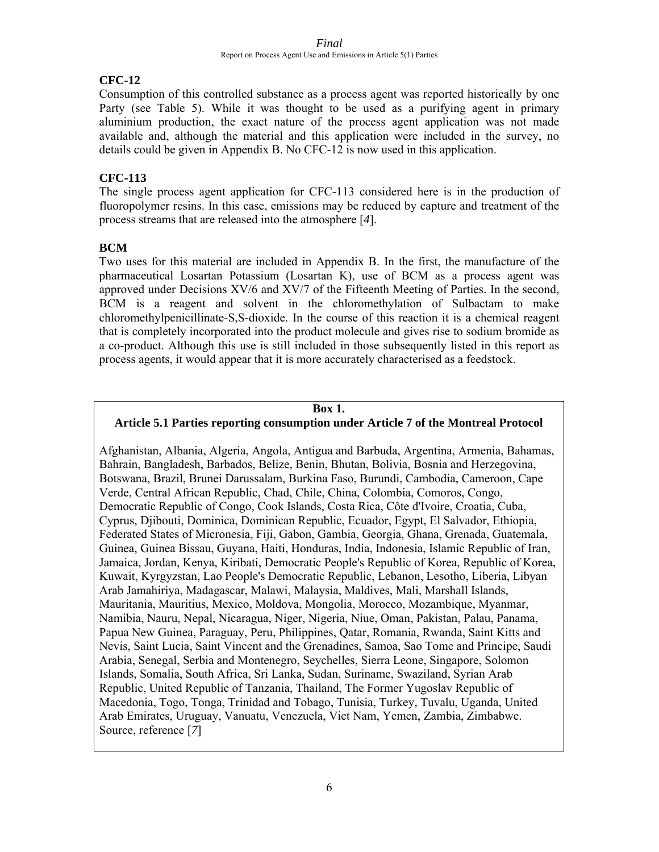### **CFC-12**

Consumption of this controlled substance as a process agent was reported historically by one Party (see Table 5). While it was thought to be used as a purifying agent in primary aluminium production, the exact nature of the process agent application was not made available and, although the material and this application were included in the survey, no details could be given in Appendix B. No CFC-12 is now used in this application.

### **CFC-113**

The single process agent application for CFC-113 considered here is in the production of fluoropolymer resins. In this case, emissions may be reduced by capture and treatment of the process streams that are released into the atmosphere [*4*].

### **BCM**

Two uses for this material are included in Appendix B. In the first, the manufacture of the pharmaceutical Losartan Potassium (Losartan K), use of BCM as a process agent was approved under Decisions XV/6 and XV/7 of the Fifteenth Meeting of Parties. In the second, BCM is a reagent and solvent in the chloromethylation of Sulbactam to make chloromethylpenicillinate-S,S-dioxide. In the course of this reaction it is a chemical reagent that is completely incorporated into the product molecule and gives rise to sodium bromide as a co-product. Although this use is still included in those subsequently listed in this report as process agents, it would appear that it is more accurately characterised as a feedstock.

### **Box 1.**

### **Article 5.1 Parties reporting consumption under Article 7 of the Montreal Protocol**

Afghanistan, Albania, Algeria, Angola, Antigua and Barbuda, Argentina, Armenia, Bahamas, Bahrain, Bangladesh, Barbados, Belize, Benin, Bhutan, Bolivia, Bosnia and Herzegovina, Botswana, Brazil, Brunei Darussalam, Burkina Faso, Burundi, Cambodia, Cameroon, Cape Verde, Central African Republic, Chad, Chile, China, Colombia, Comoros, Congo, Democratic Republic of Congo, Cook Islands, Costa Rica, Côte d'Ivoire, Croatia, Cuba, Cyprus, Djibouti, Dominica, Dominican Republic, Ecuador, Egypt, El Salvador, Ethiopia, Federated States of Micronesia, Fiji, Gabon, Gambia, Georgia, Ghana, Grenada, Guatemala, Guinea, Guinea Bissau, Guyana, Haiti, Honduras, India, Indonesia, Islamic Republic of Iran, Jamaica, Jordan, Kenya, Kiribati, Democratic People's Republic of Korea, Republic of Korea, Kuwait, Kyrgyzstan, Lao People's Democratic Republic, Lebanon, Lesotho, Liberia, Libyan Arab Jamahiriya, Madagascar, Malawi, Malaysia, Maldives, Mali, Marshall Islands, Mauritania, Mauritius, Mexico, Moldova, Mongolia, Morocco, Mozambique, Myanmar, Namibia, Nauru, Nepal, Nicaragua, Niger, Nigeria, Niue, Oman, Pakistan, Palau, Panama, Papua New Guinea, Paraguay, Peru, Philippines, Qatar, Romania, Rwanda, Saint Kitts and Nevis, Saint Lucia, Saint Vincent and the Grenadines, Samoa, Sao Tome and Principe, Saudi Arabia, Senegal, Serbia and Montenegro, Seychelles, Sierra Leone, Singapore, Solomon Islands, Somalia, South Africa, Sri Lanka, Sudan, Suriname, Swaziland, Syrian Arab Republic, United Republic of Tanzania, Thailand, The Former Yugoslav Republic of Macedonia, Togo, Tonga, Trinidad and Tobago, Tunisia, Turkey, Tuvalu, Uganda, United Arab Emirates, Uruguay, Vanuatu, Venezuela, Viet Nam, Yemen, Zambia, Zimbabwe. Source, reference [*7*]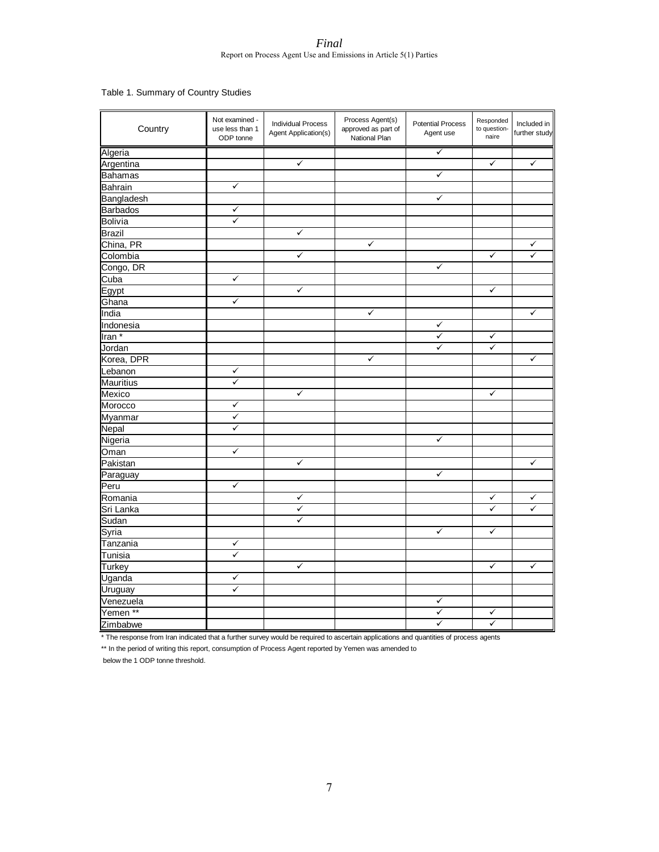Table 1. Summary of Country Studies

| Country             | Not examined -<br>use less than 1<br>ODP tonne | <b>Individual Process</b><br>Agent Application(s) | Process Agent(s)<br>approved as part of<br>National Plan | <b>Potential Process</b><br>Agent use | Responded<br>to question-<br>naire | Included in<br>further study |
|---------------------|------------------------------------------------|---------------------------------------------------|----------------------------------------------------------|---------------------------------------|------------------------------------|------------------------------|
| Algeria             |                                                |                                                   |                                                          | ✓                                     |                                    |                              |
| Argentina           |                                                | ✓                                                 |                                                          |                                       | ✓                                  | $\checkmark$                 |
| <b>Bahamas</b>      |                                                |                                                   |                                                          | ✓                                     |                                    |                              |
| <b>Bahrain</b>      | $\checkmark$                                   |                                                   |                                                          |                                       |                                    |                              |
| Bangladesh          |                                                |                                                   |                                                          | ✓                                     |                                    |                              |
| <b>Barbados</b>     | ✓                                              |                                                   |                                                          |                                       |                                    |                              |
| <b>Bolivia</b>      | ✓                                              |                                                   |                                                          |                                       |                                    |                              |
| <b>Brazil</b>       |                                                | $\checkmark$                                      |                                                          |                                       |                                    |                              |
| China, PR           |                                                |                                                   | $\checkmark$                                             |                                       |                                    | ✓                            |
| Colombia            |                                                | ✓                                                 |                                                          |                                       | $\checkmark$                       | ✓                            |
| Congo, DR           |                                                |                                                   |                                                          | $\checkmark$                          |                                    |                              |
| Cuba                | $\checkmark$                                   |                                                   |                                                          |                                       |                                    |                              |
| Egypt               |                                                | $\checkmark$                                      |                                                          |                                       | ✓                                  |                              |
| Ghana               | $\checkmark$                                   |                                                   |                                                          |                                       |                                    |                              |
| India               |                                                |                                                   | $\checkmark$                                             |                                       |                                    | $\checkmark$                 |
| Indonesia           |                                                |                                                   |                                                          | $\checkmark$                          |                                    |                              |
| Iran <sup>*</sup>   |                                                |                                                   |                                                          | ✓                                     | ✓                                  |                              |
| Jordan              |                                                |                                                   |                                                          | ✓                                     | $\checkmark$                       |                              |
| Korea, DPR          |                                                |                                                   | $\checkmark$                                             |                                       |                                    | $\checkmark$                 |
| Lebanon             | ✓                                              |                                                   |                                                          |                                       |                                    |                              |
| <b>Mauritius</b>    | ✓                                              |                                                   |                                                          |                                       |                                    |                              |
| Mexico              |                                                | $\checkmark$                                      |                                                          |                                       | ✓                                  |                              |
| Morocco             | ✓                                              |                                                   |                                                          |                                       |                                    |                              |
| Myanmar             | ✓                                              |                                                   |                                                          |                                       |                                    |                              |
| Nepal               | ✓                                              |                                                   |                                                          |                                       |                                    |                              |
| Nigeria             |                                                |                                                   |                                                          | ✓                                     |                                    |                              |
| Oman                | $\checkmark$                                   |                                                   |                                                          |                                       |                                    |                              |
| Pakistan            |                                                | $\checkmark$                                      |                                                          |                                       |                                    | $\checkmark$                 |
| Paraguay            |                                                |                                                   |                                                          | ✓                                     |                                    |                              |
| Peru                | ✓                                              |                                                   |                                                          |                                       |                                    |                              |
| Romania             |                                                | $\checkmark$                                      |                                                          |                                       | $\checkmark$                       | ✓                            |
| Sri Lanka           |                                                | ✓                                                 |                                                          |                                       | ✓                                  | ✓                            |
| Sudan               |                                                | $\checkmark$                                      |                                                          |                                       |                                    |                              |
| Syria               |                                                |                                                   |                                                          | $\checkmark$                          | ✓                                  |                              |
| Tanzania            | ✓                                              |                                                   |                                                          |                                       |                                    |                              |
| Tunisia             | $\checkmark$                                   |                                                   |                                                          |                                       |                                    |                              |
| Turkey              |                                                | $\checkmark$                                      |                                                          |                                       | $\checkmark$                       | $\checkmark$                 |
| Uganda              | ✓                                              |                                                   |                                                          |                                       |                                    |                              |
| Uruguay             | $\checkmark$                                   |                                                   |                                                          |                                       |                                    |                              |
| Venezuela           |                                                |                                                   |                                                          | $\checkmark$                          |                                    |                              |
| Yemen <sup>**</sup> |                                                |                                                   |                                                          | ✓                                     | ✓                                  |                              |
| Zimbabwe            |                                                |                                                   |                                                          | ✓                                     | $\checkmark$                       |                              |

\* The response from Iran indicated that a further survey would be required to ascertain applications and quantities of process agents

\*\* In the period of writing this report, consumption of Process Agent reported by Yemen was amended to

below the 1 ODP tonne threshold.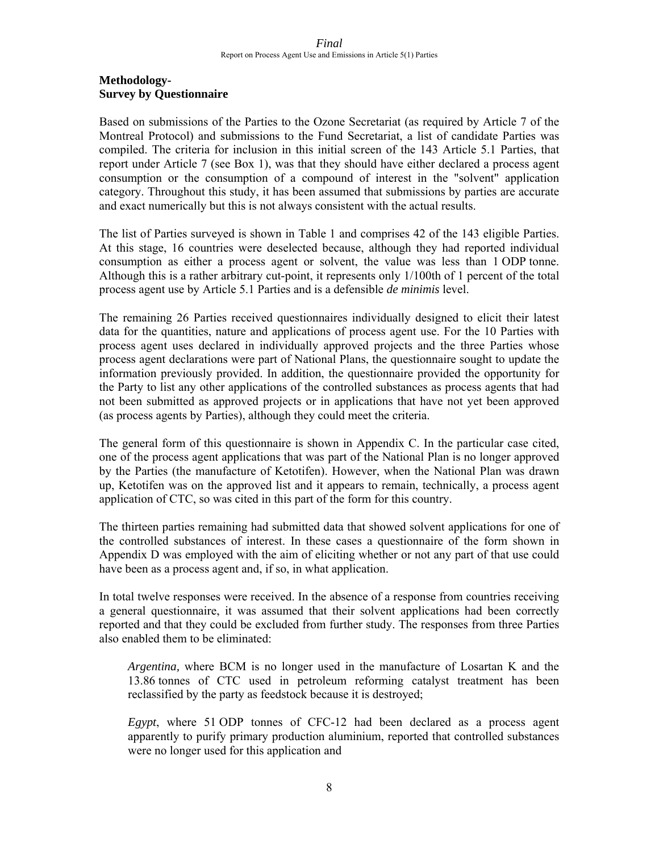### **Methodology-Survey by Questionnaire**

Based on submissions of the Parties to the Ozone Secretariat (as required by Article 7 of the Montreal Protocol) and submissions to the Fund Secretariat, a list of candidate Parties was compiled. The criteria for inclusion in this initial screen of the 143 Article 5.1 Parties, that report under Article 7 (see Box 1), was that they should have either declared a process agent consumption or the consumption of a compound of interest in the "solvent" application category. Throughout this study, it has been assumed that submissions by parties are accurate and exact numerically but this is not always consistent with the actual results.

The list of Parties surveyed is shown in Table 1 and comprises 42 of the 143 eligible Parties. At this stage, 16 countries were deselected because, although they had reported individual consumption as either a process agent or solvent, the value was less than 1 ODP tonne. Although this is a rather arbitrary cut-point, it represents only 1/100th of 1 percent of the total process agent use by Article 5.1 Parties and is a defensible *de minimis* level.

The remaining 26 Parties received questionnaires individually designed to elicit their latest data for the quantities, nature and applications of process agent use. For the 10 Parties with process agent uses declared in individually approved projects and the three Parties whose process agent declarations were part of National Plans, the questionnaire sought to update the information previously provided. In addition, the questionnaire provided the opportunity for the Party to list any other applications of the controlled substances as process agents that had not been submitted as approved projects or in applications that have not yet been approved (as process agents by Parties), although they could meet the criteria.

The general form of this questionnaire is shown in Appendix C. In the particular case cited, one of the process agent applications that was part of the National Plan is no longer approved by the Parties (the manufacture of Ketotifen). However, when the National Plan was drawn up, Ketotifen was on the approved list and it appears to remain, technically, a process agent application of CTC, so was cited in this part of the form for this country.

The thirteen parties remaining had submitted data that showed solvent applications for one of the controlled substances of interest. In these cases a questionnaire of the form shown in Appendix D was employed with the aim of eliciting whether or not any part of that use could have been as a process agent and, if so, in what application.

In total twelve responses were received. In the absence of a response from countries receiving a general questionnaire, it was assumed that their solvent applications had been correctly reported and that they could be excluded from further study. The responses from three Parties also enabled them to be eliminated:

*Argentina,* where BCM is no longer used in the manufacture of Losartan K and the 13.86 tonnes of CTC used in petroleum reforming catalyst treatment has been reclassified by the party as feedstock because it is destroyed;

*Egypt*, where 51 ODP tonnes of CFC-12 had been declared as a process agent apparently to purify primary production aluminium, reported that controlled substances were no longer used for this application and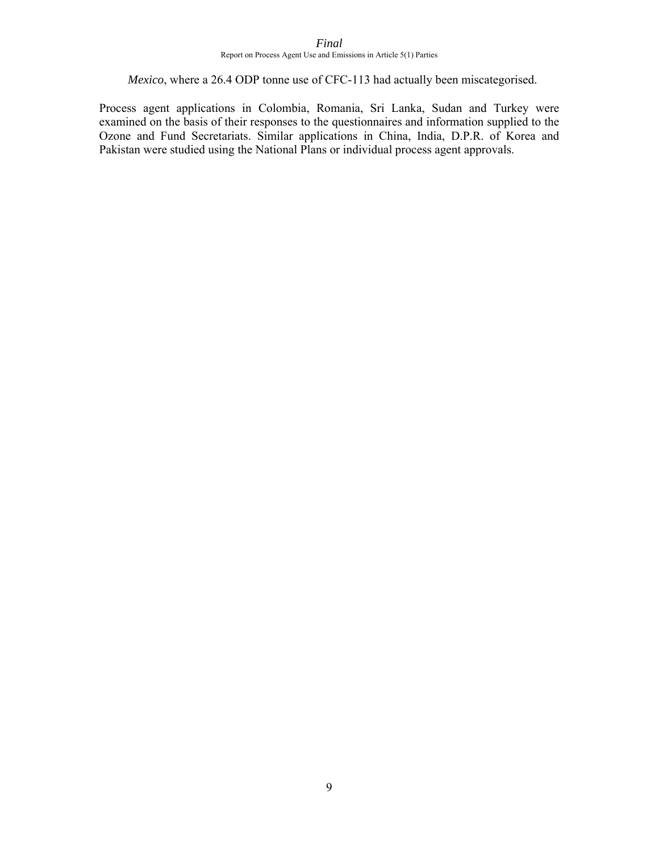### *Mexico*, where a 26.4 ODP tonne use of CFC-113 had actually been miscategorised.

Process agent applications in Colombia, Romania, Sri Lanka, Sudan and Turkey were examined on the basis of their responses to the questionnaires and information supplied to the Ozone and Fund Secretariats. Similar applications in China, India, D.P.R. of Korea and Pakistan were studied using the National Plans or individual process agent approvals.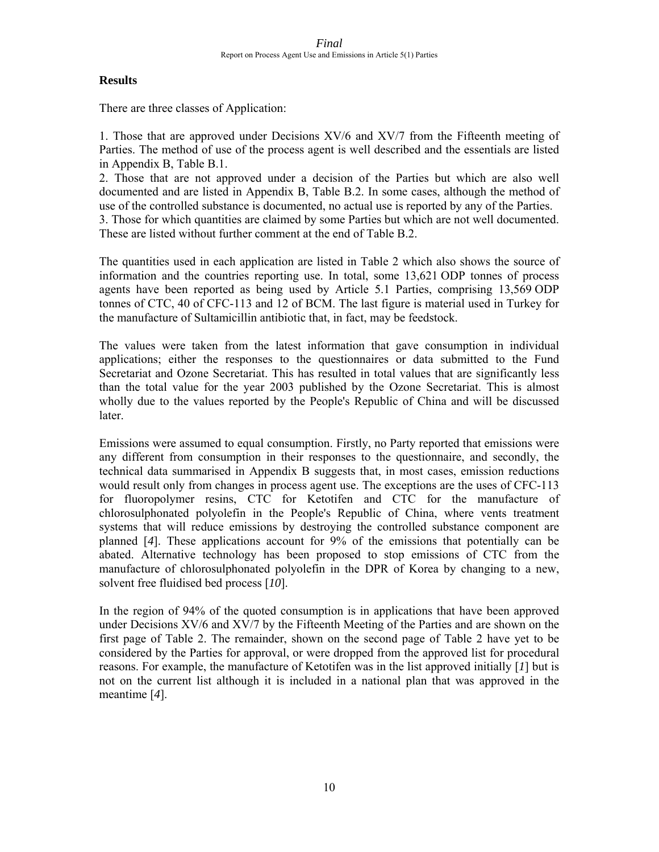### **Results**

There are three classes of Application:

1. Those that are approved under Decisions XV/6 and XV/7 from the Fifteenth meeting of Parties. The method of use of the process agent is well described and the essentials are listed in Appendix B, Table B.1.

2. Those that are not approved under a decision of the Parties but which are also well documented and are listed in Appendix B, Table B.2. In some cases, although the method of use of the controlled substance is documented, no actual use is reported by any of the Parties.

3. Those for which quantities are claimed by some Parties but which are not well documented. These are listed without further comment at the end of Table B.2.

The quantities used in each application are listed in Table 2 which also shows the source of information and the countries reporting use. In total, some 13,621 ODP tonnes of process agents have been reported as being used by Article 5.1 Parties, comprising 13,569 ODP tonnes of CTC, 40 of CFC-113 and 12 of BCM. The last figure is material used in Turkey for the manufacture of Sultamicillin antibiotic that, in fact, may be feedstock.

The values were taken from the latest information that gave consumption in individual applications; either the responses to the questionnaires or data submitted to the Fund Secretariat and Ozone Secretariat. This has resulted in total values that are significantly less than the total value for the year 2003 published by the Ozone Secretariat. This is almost wholly due to the values reported by the People's Republic of China and will be discussed later.

Emissions were assumed to equal consumption. Firstly, no Party reported that emissions were any different from consumption in their responses to the questionnaire, and secondly, the technical data summarised in Appendix B suggests that, in most cases, emission reductions would result only from changes in process agent use. The exceptions are the uses of CFC-113 for fluoropolymer resins, CTC for Ketotifen and CTC for the manufacture of chlorosulphonated polyolefin in the People's Republic of China, where vents treatment systems that will reduce emissions by destroying the controlled substance component are planned [*4*]. These applications account for 9% of the emissions that potentially can be abated. Alternative technology has been proposed to stop emissions of CTC from the manufacture of chlorosulphonated polyolefin in the DPR of Korea by changing to a new, solvent free fluidised bed process [*10*].

In the region of 94% of the quoted consumption is in applications that have been approved under Decisions XV/6 and XV/7 by the Fifteenth Meeting of the Parties and are shown on the first page of Table 2. The remainder, shown on the second page of Table 2 have yet to be considered by the Parties for approval, or were dropped from the approved list for procedural reasons. For example, the manufacture of Ketotifen was in the list approved initially [*1*] but is not on the current list although it is included in a national plan that was approved in the meantime [*4*].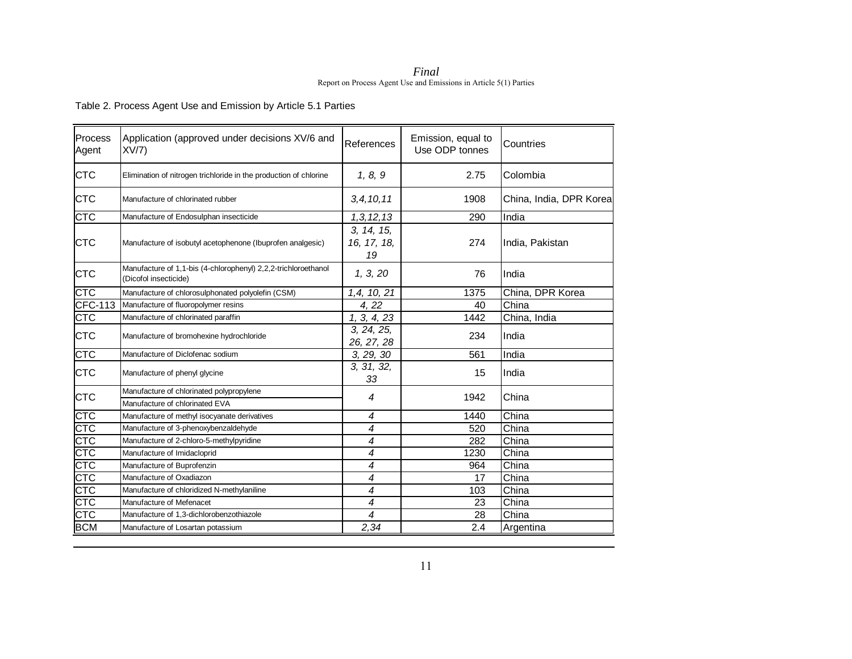*Final*  Report on Process Agent Use and Emissions in Article 5(1) Parties

Table 2. Process Agent Use and Emission by Article 5.1 Parties

| Process<br>Agent | Application (approved under decisions XV/6 and<br>XV/7                                  | References                      | Emission, equal to<br>Use ODP tonnes | Countries               |
|------------------|-----------------------------------------------------------------------------------------|---------------------------------|--------------------------------------|-------------------------|
| <b>CTC</b>       | Elimination of nitrogen trichloride in the production of chlorine                       | 1, 8, 9                         | 2.75                                 | Colombia                |
| <b>CTC</b>       | Manufacture of chlorinated rubber                                                       | 3, 4, 10, 11                    | 1908                                 | China, India, DPR Korea |
| СТС              | Manufacture of Endosulphan insecticide                                                  | 1, 3, 12, 13                    | 290                                  | India                   |
| <b>CTC</b>       | Manufacture of isobutyl acetophenone (Ibuprofen analgesic)                              | 3, 14, 15,<br>16, 17, 18,<br>19 | 274                                  | India, Pakistan         |
| <b>CTC</b>       | Manufacture of 1,1-bis (4-chlorophenyl) 2,2,2-trichloroethanol<br>(Dicofol insecticide) | 1, 3, 20                        | 76                                   | India                   |
| <b>CTC</b>       | Manufacture of chlorosulphonated polyolefin (CSM)                                       | 1,4, 10, 21                     | 1375                                 | China, DPR Korea        |
| <b>CFC-113</b>   | Manufacture of fluoropolymer resins                                                     | 4, 22                           | 40                                   | China                   |
| <b>CTC</b>       | Manufacture of chlorinated paraffin                                                     | 1, 3, 4, 23                     | 1442                                 | China, India            |
| <b>CTC</b>       | Manufacture of bromohexine hydrochloride                                                | 3, 24, 25,<br>26, 27, 28        | 234                                  | India                   |
| <b>CTC</b>       | Manufacture of Diclofenac sodium                                                        | 3, 29, 30                       | 561                                  | India                   |
| <b>CTC</b>       | Manufacture of phenyl glycine                                                           | 3, 31, 32,<br>33                | 15                                   | India                   |
| <b>CTC</b>       | Manufacture of chlorinated polypropylene                                                | 4                               | 1942                                 | China                   |
|                  | Manufacture of chlorinated EVA                                                          |                                 |                                      |                         |
| CTC              | Manufacture of methyl isocyanate derivatives                                            | 4                               | 1440                                 | China                   |
| CTC              | Manufacture of 3-phenoxybenzaldehyde                                                    | 4                               | 520                                  | China                   |
| <b>CTC</b>       | Manufacture of 2-chloro-5-methylpyridine                                                | 4                               | 282                                  | China                   |
| <b>CTC</b>       | Manufacture of Imidacloprid                                                             | 4                               | 1230                                 | China                   |
| <b>CTC</b>       | Manufacture of Buprofenzin                                                              | 4                               | 964                                  | China                   |
| CTC              | Manufacture of Oxadiazon                                                                | $\overline{\mathcal{A}}$        | 17                                   | China                   |
| <b>CTC</b>       | Manufacture of chloridized N-methylaniline                                              | 4                               | 103                                  | China                   |
| <b>CTC</b>       | Manufacture of Mefenacet                                                                | 4                               | 23                                   | China                   |
| <b>CTC</b>       | Manufacture of 1,3-dichlorobenzothiazole                                                | 4                               | 28                                   | China                   |
| <b>BCM</b>       | Manufacture of Losartan potassium                                                       | 2,34                            | 2.4                                  | Argentina               |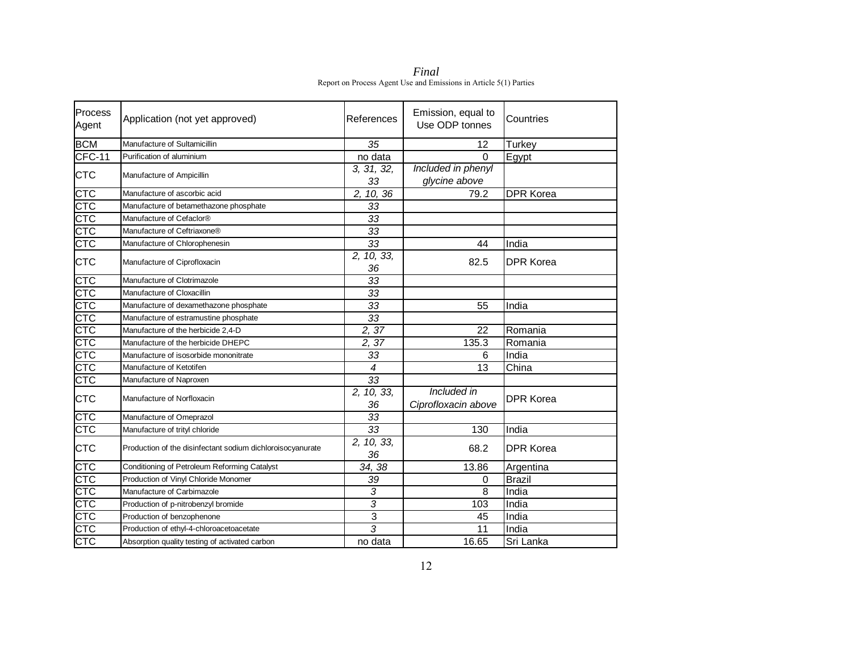*Final*  Report on Process Agent Use and Emissions in Article 5(1) Parties

| Process<br>Agent        | Application (not yet approved)                             | References       | Emission, equal to<br>Use ODP tonnes | Countries        |
|-------------------------|------------------------------------------------------------|------------------|--------------------------------------|------------------|
| <b>BCM</b>              | Manufacture of Sultamicillin                               | 35               | 12                                   | Turkey           |
| <b>CFC-11</b>           | Purification of aluminium                                  | no data          | 0                                    | Egypt            |
| <b>CTC</b>              | Manufacture of Ampicillin                                  | 3, 31, 32,<br>33 | Included in phenyl<br>glycine above  |                  |
| CTC                     | Manufacture of ascorbic acid                               | 2, 10, 36        | 79.2                                 | <b>DPR Korea</b> |
| CTC                     | Manufacture of betamethazone phosphate                     | 33               |                                      |                  |
| <b>CTC</b>              | Manufacture of Cefaclor®                                   | 33               |                                      |                  |
| $\overline{\text{CTC}}$ | Manufacture of Ceftriaxone®                                | 33               |                                      |                  |
| CTC                     | Manufacture of Chlorophenesin                              | 33               | 44                                   | India            |
| <b>CTC</b>              | Manufacture of Ciprofloxacin                               | 2, 10, 33,<br>36 | 82.5                                 | <b>DPR Korea</b> |
| <b>CTC</b>              | Manufacture of Clotrimazole                                | 33               |                                      |                  |
| <b>CTC</b>              | Manufacture of Cloxacillin                                 | 33               |                                      |                  |
| CTC                     | Manufacture of dexamethazone phosphate                     | 33               | 55                                   | India            |
| CTC                     | Manufacture of estramustine phosphate                      | 33               |                                      |                  |
| <b>CTC</b>              | Manufacture of the herbicide 2,4-D                         | 2,37             | 22                                   | Romania          |
| <b>CTC</b>              | Manufacture of the herbicide DHEPC                         | 2,37             | 135.3                                | Romania          |
| CTC                     | Manufacture of isosorbide mononitrate                      | 33               | 6                                    | India            |
| CTC                     | Manufacture of Ketotifen                                   | $\overline{4}$   | 13                                   | China            |
| CTC                     | Manufacture of Naproxen                                    | 33               |                                      |                  |
| <b>CTC</b>              | Manufacture of Norfloxacin                                 | 2, 10, 33,<br>36 | Included in<br>Ciprofloxacin above   | <b>DPR Korea</b> |
| CTC                     | Manufacture of Omeprazol                                   | 33               |                                      |                  |
| <b>CTC</b>              | Manufacture of trityl chloride                             | 33               | 130                                  | India            |
| <b>CTC</b>              | Production of the disinfectant sodium dichloroisocyanurate | 2, 10, 33,<br>36 | 68.2                                 | <b>DPR Korea</b> |
| CTC                     | Conditioning of Petroleum Reforming Catalyst               | 34, 38           | 13.86                                | Argentina        |
| <b>CTC</b>              | Production of Vinyl Chloride Monomer                       | 39               | 0                                    | <b>Brazil</b>    |
| <b>CTC</b>              | Manufacture of Carbimazole                                 | $\sqrt{3}$       | 8                                    | India            |
| <b>CTC</b>              | Production of p-nitrobenzyl bromide                        | 3                | 103                                  | India            |
| <b>CTC</b>              | Production of benzophenone                                 | 3                | 45                                   | India            |
| $\overline{\text{CTC}}$ | Production of ethyl-4-chloroacetoacetate                   | $\overline{3}$   | $\overline{11}$                      | India            |
| <b>CTC</b>              | Absorption quality testing of activated carbon             | no data          | 16.65                                | Sri Lanka        |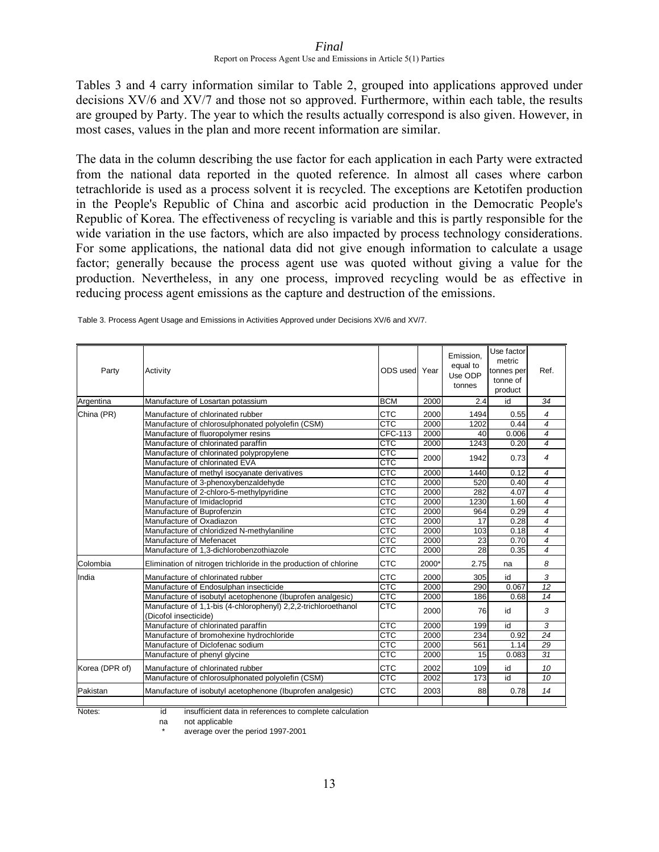Tables 3 and 4 carry information similar to Table 2, grouped into applications approved under decisions XV/6 and XV/7 and those not so approved. Furthermore, within each table, the results are grouped by Party. The year to which the results actually correspond is also given. However, in most cases, values in the plan and more recent information are similar.

The data in the column describing the use factor for each application in each Party were extracted from the national data reported in the quoted reference. In almost all cases where carbon tetrachloride is used as a process solvent it is recycled. The exceptions are Ketotifen production in the People's Republic of China and ascorbic acid production in the Democratic People's Republic of Korea. The effectiveness of recycling is variable and this is partly responsible for the wide variation in the use factors, which are also impacted by process technology considerations. For some applications, the national data did not give enough information to calculate a usage factor; generally because the process agent use was quoted without giving a value for the production. Nevertheless, in any one process, improved recycling would be as effective in reducing process agent emissions as the capture and destruction of the emissions.

| Party          | Activity                                                                                   | ODS used Year |       | Emission,<br>equal to<br>Use ODP<br>tonnes | Use factor<br>metric<br>tonnes per<br>tonne of<br>product | Ref.           |
|----------------|--------------------------------------------------------------------------------------------|---------------|-------|--------------------------------------------|-----------------------------------------------------------|----------------|
| Argentina      | Manufacture of Losartan potassium                                                          | <b>BCM</b>    | 2000  | 2.4                                        | id                                                        | 34             |
| China (PR)     | Manufacture of chlorinated rubber                                                          | <b>CTC</b>    | 2000  | 1494                                       | 0.55                                                      | 4              |
|                | Manufacture of chlorosulphonated polyolefin (CSM)                                          | <b>CTC</b>    | 2000  | 1202                                       | 0.44                                                      | $\overline{4}$ |
|                | Manufacture of fluoropolymer resins                                                        | CFC-113       | 2000  | 40                                         | 0.006                                                     | $\overline{4}$ |
|                | Manufacture of chlorinated paraffin                                                        | <b>CTC</b>    | 2000  | 1243                                       | 0.20                                                      | $\overline{4}$ |
|                | Manufacture of chlorinated polypropylene                                                   | <b>CTC</b>    | 2000  | 1942                                       | 0.73                                                      | $\overline{4}$ |
|                | Manufacture of chlorinated EVA                                                             | <b>CTC</b>    |       |                                            |                                                           |                |
|                | Manufacture of methyl isocyanate derivatives                                               | <b>CTC</b>    | 2000  | 1440                                       | 0.12                                                      | $\overline{4}$ |
|                | Manufacture of 3-phenoxybenzaldehyde                                                       | <b>CTC</b>    | 2000  | 520                                        | 0.40                                                      | 4              |
|                | Manufacture of 2-chloro-5-methylpyridine                                                   | <b>CTC</b>    | 2000  | 282                                        | 4.07                                                      | $\overline{4}$ |
|                | Manufacture of Imidacloprid                                                                | CTC           | 2000  | 1230                                       | 1.60                                                      | 4              |
|                | Manufacture of Buprofenzin                                                                 | <b>CTC</b>    | 2000  | 964                                        | 0.29                                                      | $\overline{4}$ |
|                | Manufacture of Oxadiazon                                                                   | CTC           | 2000  | 17                                         | 0.28                                                      | $\overline{4}$ |
|                | Manufacture of chloridized N-methylaniline                                                 | <b>CTC</b>    | 2000  | 103                                        | 0.18                                                      | $\overline{4}$ |
|                | Manufacture of Mefenacet                                                                   | <b>CTC</b>    | 2000  | 23                                         | 0.70                                                      | $\overline{4}$ |
|                | Manufacture of 1.3-dichlorobenzothiazole                                                   | <b>CTC</b>    | 2000  | 28                                         | 0.35                                                      | $\overline{4}$ |
| Colombia       | Elimination of nitrogen trichloride in the production of chlorine                          | <b>CTC</b>    | 2000* | 2.75                                       | na                                                        | 8              |
| India          | Manufacture of chlorinated rubber                                                          | <b>CTC</b>    | 2000  | 305                                        | id                                                        | 3              |
|                | Manufacture of Endosulphan insecticide                                                     | <b>CTC</b>    | 2000  | 290                                        | 0.067                                                     | 12             |
|                | Manufacture of isobutyl acetophenone (Ibuprofen analgesic)                                 | <b>CTC</b>    | 2000  | 186                                        | 0.68                                                      | 14             |
|                | Manufacture of 1,1-bis (4-chlorophenyl) 2,2,2-trichloroethanol<br>(Dicofol insecticide)    | CTC           | 2000  | 76                                         | id                                                        | 3              |
|                | Manufacture of chlorinated paraffin                                                        | <b>CTC</b>    | 2000  | 199                                        | id                                                        | 3              |
|                | Manufacture of bromohexine hydrochloride                                                   | <b>CTC</b>    | 2000  | 234                                        | 0.92                                                      | 24             |
|                | Manufacture of Diclofenac sodium                                                           | <b>CTC</b>    | 2000  | 561                                        | 1.14                                                      | 29             |
|                | Manufacture of phenyl glycine                                                              | CTC           | 2000  | 15                                         | 0.083                                                     | 31             |
| Korea (DPR of) | Manufacture of chlorinated rubber                                                          | <b>CTC</b>    | 2002  | 109                                        | id                                                        | 10             |
|                | Manufacture of chlorosulphonated polyolefin (CSM)                                          | CTC           | 2002  | 173                                        | id                                                        | 10             |
| Pakistan       | Manufacture of isobutyl acetophenone (Ibuprofen analgesic)                                 | <b>CTC</b>    | 2003  | 88                                         | 0.78                                                      | 14             |
|                | $\overline{\phantom{a}}$ . The set of $\overline{\phantom{a}}$<br>$\overline{\phantom{a}}$ |               |       |                                            |                                                           |                |

Table 3. Process Agent Usage and Emissions in Activities Approved under Decisions XV/6 and XV/7.

Notes: id insufficient data in references to complete calculation

na not applicable

average over the period 1997-2001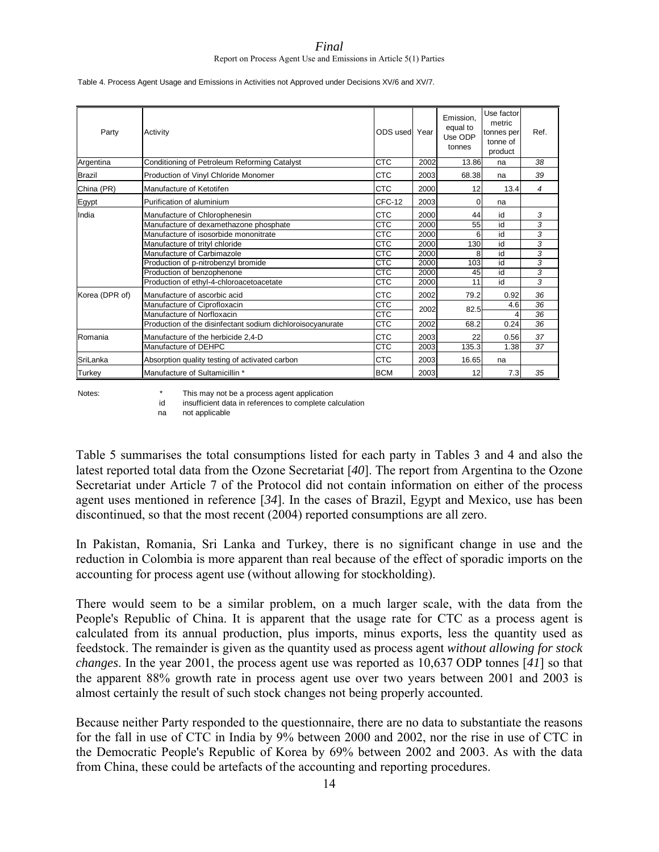| Table 4. Process Agent Usage and Emissions in Activities not Approved under Decisions XV/6 and XV/7. |  |
|------------------------------------------------------------------------------------------------------|--|
|                                                                                                      |  |
|                                                                                                      |  |

| Party          | Activity                                                   | ODS used Year           |      | Emission.<br>equal to<br>Use ODP<br>tonnes | Use factor<br>metric<br>tonnes per<br>tonne of<br>product | Ref.           |
|----------------|------------------------------------------------------------|-------------------------|------|--------------------------------------------|-----------------------------------------------------------|----------------|
| Argentina      | Conditioning of Petroleum Reforming Catalyst               | CTC                     | 2002 | 13.86                                      | na                                                        | 38             |
| <b>Brazil</b>  | Production of Vinyl Chloride Monomer                       | <b>CTC</b>              | 2003 | 68.38                                      | na                                                        | 39             |
| China (PR)     | Manufacture of Ketotifen                                   | CTC                     | 2000 | 12                                         | 13.4                                                      | $\overline{4}$ |
| Egypt          | Purification of aluminium                                  | CFC-12                  | 2003 | 0                                          | na                                                        |                |
| India          | Manufacture of Chlorophenesin                              | <b>CTC</b>              | 2000 | 44                                         | id                                                        | 3              |
|                | Manufacture of dexamethazone phosphate                     | <b>CTC</b>              | 2000 | 55                                         | id                                                        | 3              |
|                | Manufacture of isosorbide mononitrate                      | <b>CTC</b>              | 2000 | 6                                          | id                                                        | 3              |
|                | Manufacture of trityl chloride                             | $\overline{\text{CTC}}$ | 2000 | 130                                        | id                                                        | 3              |
|                | Manufacture of Carbimazole                                 | <b>CTC</b>              | 2000 | 8                                          | id                                                        | 3              |
|                | Production of p-nitrobenzyl bromide                        | CTC                     | 2000 | 103                                        | id                                                        | 3              |
|                | Production of benzophenone                                 | <b>CTC</b>              | 2000 | 45                                         | id                                                        | 3              |
|                | Production of ethyl-4-chloroacetoacetate                   | <b>CTC</b>              | 2000 | 11                                         | id                                                        | 3              |
| Korea (DPR of) | Manufacture of ascorbic acid                               | <b>CTC</b>              | 2002 | 79.2                                       | 0.92                                                      | 36             |
|                | Manufacture of Ciprofloxacin                               | <b>CTC</b>              | 2002 | 82.5                                       | 4.6                                                       | 36             |
|                | Manufacture of Norfloxacin                                 | CTC                     |      |                                            |                                                           | 36             |
|                | Production of the disinfectant sodium dichloroisocyanurate | CTC                     | 2002 | 68.2                                       | 0.24                                                      | 36             |
| Romania        | Manufacture of the herbicide 2,4-D                         | <b>CTC</b>              | 2003 | 22                                         | 0.56                                                      | 37             |
|                | Manufacture of DEHPC                                       | <b>CTC</b>              | 2003 | 135.3                                      | 1.38                                                      | 37             |
| SriLanka       | Absorption quality testing of activated carbon             | <b>CTC</b>              | 2003 | 16.65                                      | na                                                        |                |
| Turkey         | Manufacture of Sultamicillin *                             | <b>BCM</b>              | 2003 | 12                                         | 7.3                                                       | 35             |

id insufficient data in references to complete calculation

na not applicable

Table 5 summarises the total consumptions listed for each party in Tables 3 and 4 and also the latest reported total data from the Ozone Secretariat [*40*]. The report from Argentina to the Ozone Secretariat under Article 7 of the Protocol did not contain information on either of the process agent uses mentioned in reference [*34*]. In the cases of Brazil, Egypt and Mexico, use has been discontinued, so that the most recent (2004) reported consumptions are all zero.

In Pakistan, Romania, Sri Lanka and Turkey, there is no significant change in use and the reduction in Colombia is more apparent than real because of the effect of sporadic imports on the accounting for process agent use (without allowing for stockholding).

There would seem to be a similar problem, on a much larger scale, with the data from the People's Republic of China. It is apparent that the usage rate for CTC as a process agent is calculated from its annual production, plus imports, minus exports, less the quantity used as feedstock. The remainder is given as the quantity used as process agent *without allowing for stock changes*. In the year 2001, the process agent use was reported as 10,637 ODP tonnes [*41*] so that the apparent 88% growth rate in process agent use over two years between 2001 and 2003 is almost certainly the result of such stock changes not being properly accounted.

Because neither Party responded to the questionnaire, there are no data to substantiate the reasons for the fall in use of CTC in India by 9% between 2000 and 2002, nor the rise in use of CTC in the Democratic People's Republic of Korea by 69% between 2002 and 2003. As with the data from China, these could be artefacts of the accounting and reporting procedures.

Notes:  $*$  This may not be a process agent application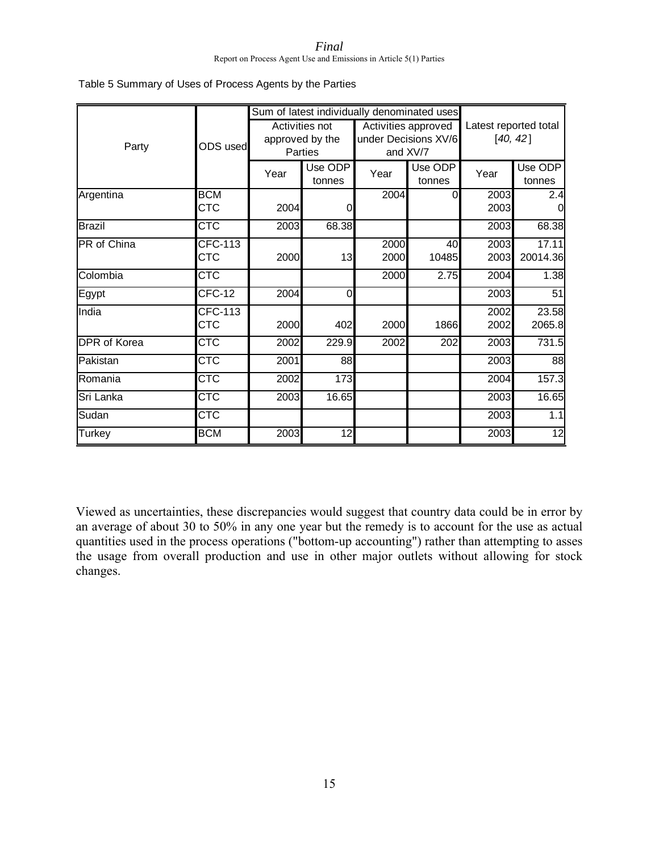*Final* 

Report on Process Agent Use and Emissions in Article 5(1) Parties

| Table 5 Summary of Uses of Process Agents by the Parties |  |  |
|----------------------------------------------------------|--|--|
|----------------------------------------------------------|--|--|

|                     |                         |      | Sum of latest individually denominated uses |      |                      |                       |          |  |
|---------------------|-------------------------|------|---------------------------------------------|------|----------------------|-----------------------|----------|--|
|                     |                         |      | Activities not                              |      | Activities approved  | Latest reported total |          |  |
|                     | ODS used                |      | approved by the                             |      | under Decisions XV/6 | [40, 42]              |          |  |
| Party               |                         |      | Parties                                     |      | and XV/7             |                       |          |  |
|                     |                         | Year | Use ODP                                     | Year | Use ODP              | Year                  | Use ODP  |  |
|                     |                         |      | tonnes                                      |      | tonnes               |                       | tonnes   |  |
| Argentina           | <b>BCM</b>              |      |                                             | 2004 | 0                    | 2003                  | 2.4      |  |
|                     | <b>CTC</b>              | 2004 | 0                                           |      |                      | 2003                  |          |  |
| <b>Brazil</b>       | <b>CTC</b>              | 2003 | 68.38                                       |      |                      | 2003                  | 68.38    |  |
| PR of China         | <b>CFC-113</b>          |      |                                             | 2000 | 40                   | 2003                  | 17.11    |  |
|                     | <b>CTC</b>              | 2000 | 13                                          | 2000 | 10485                | 2003                  | 20014.36 |  |
| Colombia            | <b>CTC</b>              |      |                                             | 2000 | 2.75                 | 2004                  | 1.38     |  |
| Egypt               | CFC-12                  | 2004 | $\Omega$                                    |      |                      | 2003                  | 51       |  |
| India               | CFC-113                 |      |                                             |      |                      | 2002                  | 23.58    |  |
|                     | СТС                     | 2000 | 402                                         | 2000 | 1866                 | 2002                  | 2065.8   |  |
| <b>DPR</b> of Korea | <b>CTC</b>              | 2002 | 229.9                                       | 2002 | 202                  | 2003                  | 731.5    |  |
| Pakistan            | <b>CTC</b>              | 2001 | 88                                          |      |                      | 2003                  | 88       |  |
| Romania             | $\overline{\text{CTC}}$ | 2002 | 173                                         |      |                      | 2004                  | 157.3    |  |
| Sri Lanka           | $\overline{\text{CTC}}$ | 2003 | 16.65                                       |      |                      | 2003                  | 16.65    |  |
| Sudan               | $\overline{\text{CTC}}$ |      |                                             |      |                      | 2003                  | 1.1      |  |
| Turkey              | <b>BCM</b>              | 2003 | 12                                          |      |                      | 2003                  | 12       |  |

Viewed as uncertainties, these discrepancies would suggest that country data could be in error by an average of about 30 to 50% in any one year but the remedy is to account for the use as actual quantities used in the process operations ("bottom-up accounting") rather than attempting to asses the usage from overall production and use in other major outlets without allowing for stock changes.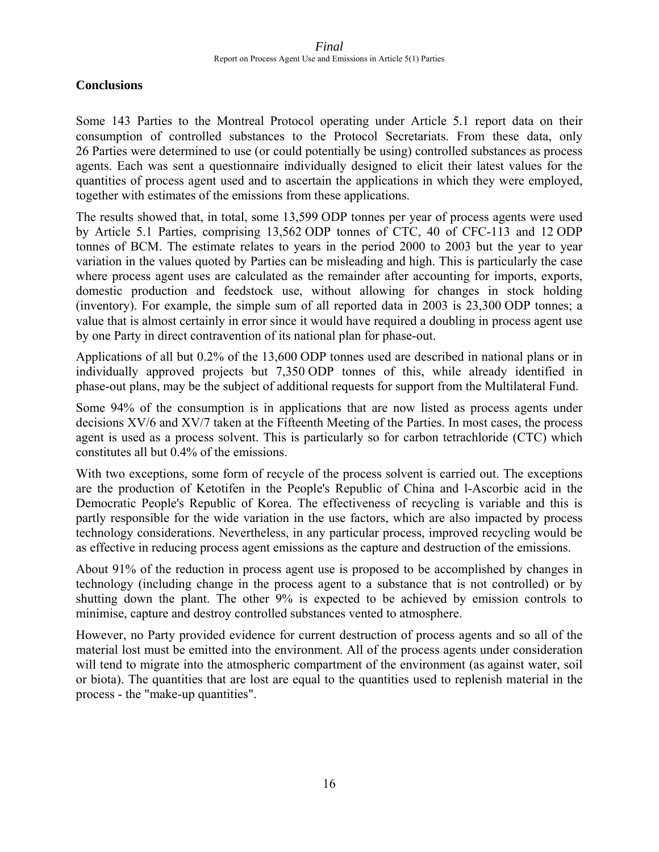### **Conclusions**

Some 143 Parties to the Montreal Protocol operating under Article 5.1 report data on their consumption of controlled substances to the Protocol Secretariats. From these data, only 26 Parties were determined to use (or could potentially be using) controlled substances as process agents. Each was sent a questionnaire individually designed to elicit their latest values for the quantities of process agent used and to ascertain the applications in which they were employed, together with estimates of the emissions from these applications.

The results showed that, in total, some 13,599 ODP tonnes per year of process agents were used by Article 5.1 Parties, comprising 13,562 ODP tonnes of CTC, 40 of CFC-113 and 12 ODP tonnes of BCM. The estimate relates to years in the period 2000 to 2003 but the year to year variation in the values quoted by Parties can be misleading and high. This is particularly the case where process agent uses are calculated as the remainder after accounting for imports, exports, domestic production and feedstock use, without allowing for changes in stock holding (inventory). For example, the simple sum of all reported data in 2003 is 23,300 ODP tonnes; a value that is almost certainly in error since it would have required a doubling in process agent use by one Party in direct contravention of its national plan for phase-out.

Applications of all but 0.2% of the 13,600 ODP tonnes used are described in national plans or in individually approved projects but 7,350 ODP tonnes of this, while already identified in phase-out plans, may be the subject of additional requests for support from the Multilateral Fund.

Some 94% of the consumption is in applications that are now listed as process agents under decisions XV/6 and XV/7 taken at the Fifteenth Meeting of the Parties. In most cases, the process agent is used as a process solvent. This is particularly so for carbon tetrachloride (CTC) which constitutes all but 0.4% of the emissions.

With two exceptions, some form of recycle of the process solvent is carried out. The exceptions are the production of Ketotifen in the People's Republic of China and l-Ascorbic acid in the Democratic People's Republic of Korea. The effectiveness of recycling is variable and this is partly responsible for the wide variation in the use factors, which are also impacted by process technology considerations. Nevertheless, in any particular process, improved recycling would be as effective in reducing process agent emissions as the capture and destruction of the emissions.

About 91% of the reduction in process agent use is proposed to be accomplished by changes in technology (including change in the process agent to a substance that is not controlled) or by shutting down the plant. The other 9% is expected to be achieved by emission controls to minimise, capture and destroy controlled substances vented to atmosphere.

However, no Party provided evidence for current destruction of process agents and so all of the material lost must be emitted into the environment. All of the process agents under consideration will tend to migrate into the atmospheric compartment of the environment (as against water, soil or biota). The quantities that are lost are equal to the quantities used to replenish material in the process - the "make-up quantities".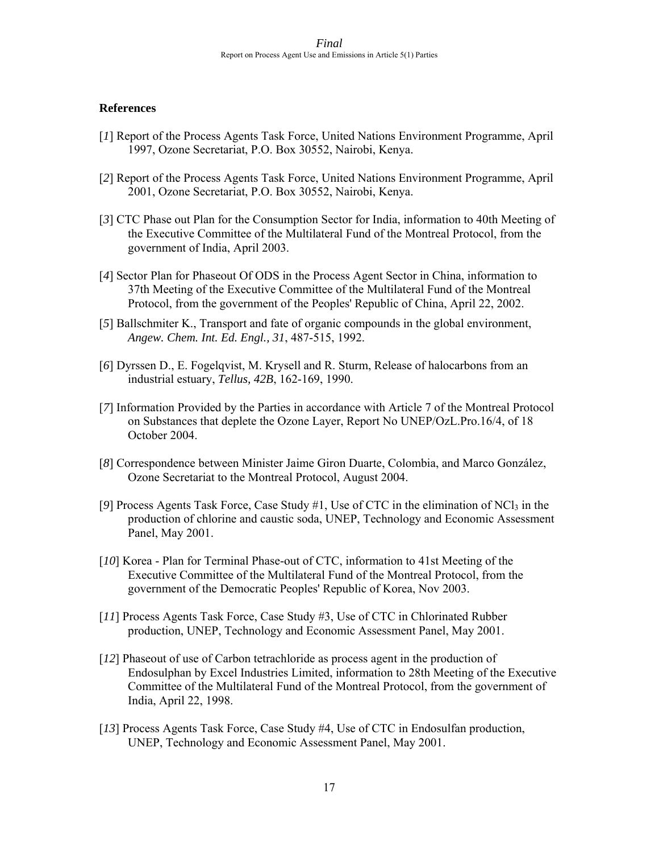### **References**

- [*1*] Report of the Process Agents Task Force, United Nations Environment Programme, April 1997, Ozone Secretariat, P.O. Box 30552, Nairobi, Kenya.
- [*2*] Report of the Process Agents Task Force, United Nations Environment Programme, April 2001, Ozone Secretariat, P.O. Box 30552, Nairobi, Kenya.
- [*3*] CTC Phase out Plan for the Consumption Sector for India, information to 40th Meeting of the Executive Committee of the Multilateral Fund of the Montreal Protocol, from the government of India, April 2003.
- [*4*] Sector Plan for Phaseout Of ODS in the Process Agent Sector in China, information to 37th Meeting of the Executive Committee of the Multilateral Fund of the Montreal Protocol, from the government of the Peoples' Republic of China, April 22, 2002.
- [*5*] Ballschmiter K., Transport and fate of organic compounds in the global environment, *Angew. Chem. Int. Ed. Engl., 31*, 487-515, 1992.
- [*6*] Dyrssen D., E. Fogelqvist, M. Krysell and R. Sturm, Release of halocarbons from an industrial estuary, *Tellus, 42B*, 162-169, 1990.
- [*7*] Information Provided by the Parties in accordance with Article 7 of the Montreal Protocol on Substances that deplete the Ozone Layer, Report No UNEP/OzL.Pro.16/4, of 18 October 2004.
- [*8*] Correspondence between Minister Jaime Giron Duarte, Colombia, and Marco González, Ozone Secretariat to the Montreal Protocol, August 2004.
- [9] Process Agents Task Force, Case Study #1, Use of CTC in the elimination of NCl<sub>3</sub> in the production of chlorine and caustic soda, UNEP, Technology and Economic Assessment Panel, May 2001.
- [*10*] Korea Plan for Terminal Phase-out of CTC, information to 41st Meeting of the Executive Committee of the Multilateral Fund of the Montreal Protocol, from the government of the Democratic Peoples' Republic of Korea, Nov 2003.
- [*11*] Process Agents Task Force, Case Study #3, Use of CTC in Chlorinated Rubber production, UNEP, Technology and Economic Assessment Panel, May 2001.
- [*12*] Phaseout of use of Carbon tetrachloride as process agent in the production of Endosulphan by Excel Industries Limited, information to 28th Meeting of the Executive Committee of the Multilateral Fund of the Montreal Protocol, from the government of India, April 22, 1998.
- [*13*] Process Agents Task Force, Case Study #4, Use of CTC in Endosulfan production, UNEP, Technology and Economic Assessment Panel, May 2001.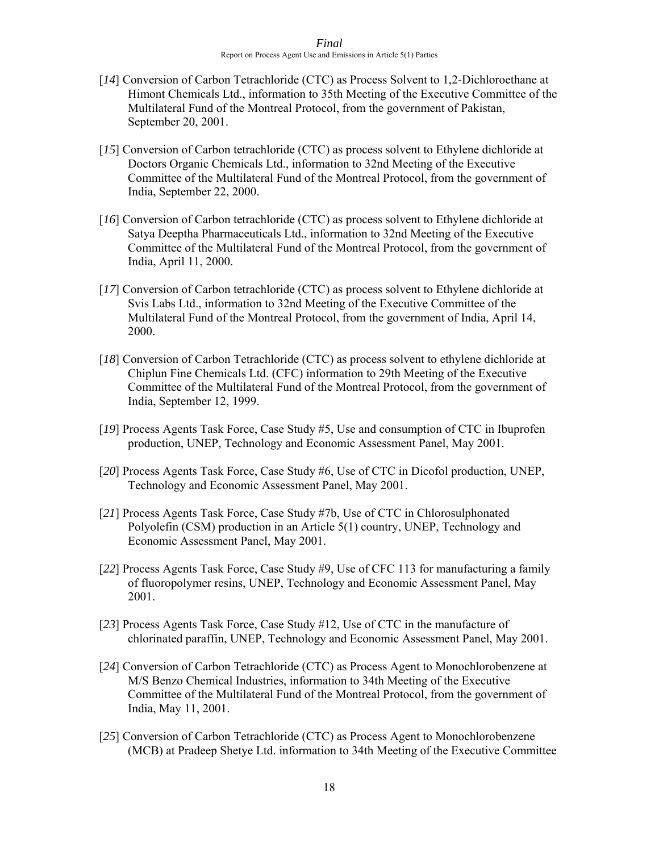- [*14*] Conversion of Carbon Tetrachloride (CTC) as Process Solvent to 1,2-Dichloroethane at Himont Chemicals Ltd., information to 35th Meeting of the Executive Committee of the Multilateral Fund of the Montreal Protocol, from the government of Pakistan, September 20, 2001.
- [15] Conversion of Carbon tetrachloride (CTC) as process solvent to Ethylene dichloride at Doctors Organic Chemicals Ltd., information to 32nd Meeting of the Executive Committee of the Multilateral Fund of the Montreal Protocol, from the government of India, September 22, 2000.
- [16] Conversion of Carbon tetrachloride (CTC) as process solvent to Ethylene dichloride at Satya Deeptha Pharmaceuticals Ltd., information to 32nd Meeting of the Executive Committee of the Multilateral Fund of the Montreal Protocol, from the government of India, April 11, 2000.
- [17] Conversion of Carbon tetrachloride (CTC) as process solvent to Ethylene dichloride at Svis Labs Ltd., information to 32nd Meeting of the Executive Committee of the Multilateral Fund of the Montreal Protocol, from the government of India, April 14, 2000.
- [18] Conversion of Carbon Tetrachloride (CTC) as process solvent to ethylene dichloride at Chiplun Fine Chemicals Ltd. (CFC) information to 29th Meeting of the Executive Committee of the Multilateral Fund of the Montreal Protocol, from the government of India, September 12, 1999.
- [*19*] Process Agents Task Force, Case Study #5, Use and consumption of CTC in Ibuprofen production, UNEP, Technology and Economic Assessment Panel, May 2001.
- [*20*] Process Agents Task Force, Case Study #6, Use of CTC in Dicofol production, UNEP, Technology and Economic Assessment Panel, May 2001.
- [*21*] Process Agents Task Force, Case Study #7b, Use of CTC in Chlorosulphonated Polyolefin (CSM) production in an Article 5(1) country, UNEP, Technology and Economic Assessment Panel, May 2001.
- [*22*] Process Agents Task Force, Case Study #9, Use of CFC 113 for manufacturing a family of fluoropolymer resins, UNEP, Technology and Economic Assessment Panel, May 2001.
- [*23*] Process Agents Task Force, Case Study #12, Use of CTC in the manufacture of chlorinated paraffin, UNEP, Technology and Economic Assessment Panel, May 2001.
- [*24*] Conversion of Carbon Tetrachloride (CTC) as Process Agent to Monochlorobenzene at M/S Benzo Chemical Industries, information to 34th Meeting of the Executive Committee of the Multilateral Fund of the Montreal Protocol, from the government of India, May 11, 2001.
- [25] Conversion of Carbon Tetrachloride (CTC) as Process Agent to Monochlorobenzene (MCB) at Pradeep Shetye Ltd. information to 34th Meeting of the Executive Committee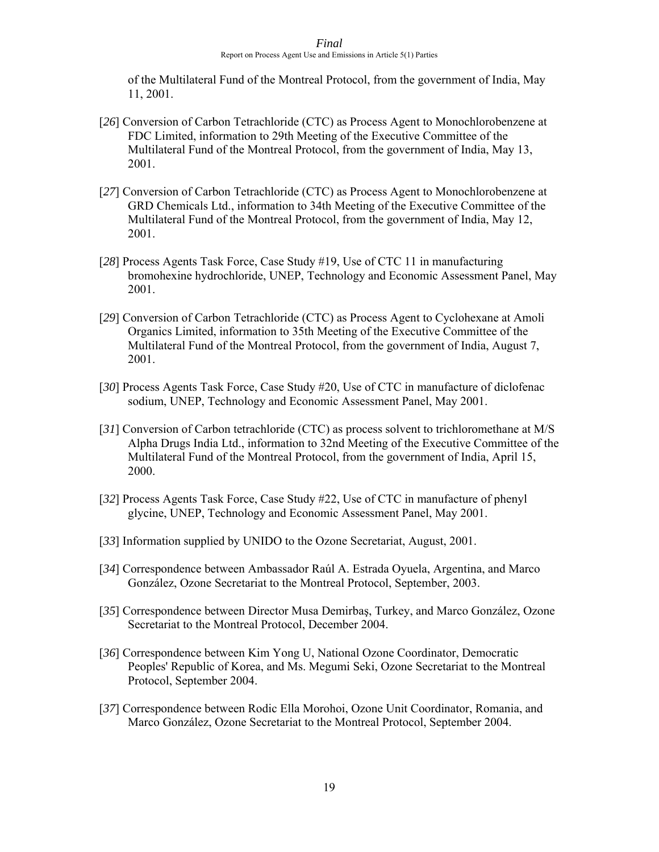of the Multilateral Fund of the Montreal Protocol, from the government of India, May 11, 2001.

- [*26*] Conversion of Carbon Tetrachloride (CTC) as Process Agent to Monochlorobenzene at FDC Limited, information to 29th Meeting of the Executive Committee of the Multilateral Fund of the Montreal Protocol, from the government of India, May 13, 2001.
- [*27*] Conversion of Carbon Tetrachloride (CTC) as Process Agent to Monochlorobenzene at GRD Chemicals Ltd., information to 34th Meeting of the Executive Committee of the Multilateral Fund of the Montreal Protocol, from the government of India, May 12, 2001.
- [*28*] Process Agents Task Force, Case Study #19, Use of CTC 11 in manufacturing bromohexine hydrochloride, UNEP, Technology and Economic Assessment Panel, May 2001.
- [*29*] Conversion of Carbon Tetrachloride (CTC) as Process Agent to Cyclohexane at Amoli Organics Limited, information to 35th Meeting of the Executive Committee of the Multilateral Fund of the Montreal Protocol, from the government of India, August 7, 2001.
- [*30*] Process Agents Task Force, Case Study #20, Use of CTC in manufacture of diclofenac sodium, UNEP, Technology and Economic Assessment Panel, May 2001.
- [*31*] Conversion of Carbon tetrachloride (CTC) as process solvent to trichloromethane at M/S Alpha Drugs India Ltd., information to 32nd Meeting of the Executive Committee of the Multilateral Fund of the Montreal Protocol, from the government of India, April 15, 2000.
- [*32*] Process Agents Task Force, Case Study #22, Use of CTC in manufacture of phenyl glycine, UNEP, Technology and Economic Assessment Panel, May 2001.
- [33] Information supplied by UNIDO to the Ozone Secretariat, August, 2001.
- [*34*] Correspondence between Ambassador Raúl A. Estrada Oyuela, Argentina, and Marco González, Ozone Secretariat to the Montreal Protocol, September, 2003.
- [*35*] Correspondence between Director Musa Demirbaş, Turkey, and Marco González, Ozone Secretariat to the Montreal Protocol, December 2004.
- [*36*] Correspondence between Kim Yong U, National Ozone Coordinator, Democratic Peoples' Republic of Korea, and Ms. Megumi Seki, Ozone Secretariat to the Montreal Protocol, September 2004.
- [*37*] Correspondence between Rodic Ella Morohoi, Ozone Unit Coordinator, Romania, and Marco González, Ozone Secretariat to the Montreal Protocol, September 2004.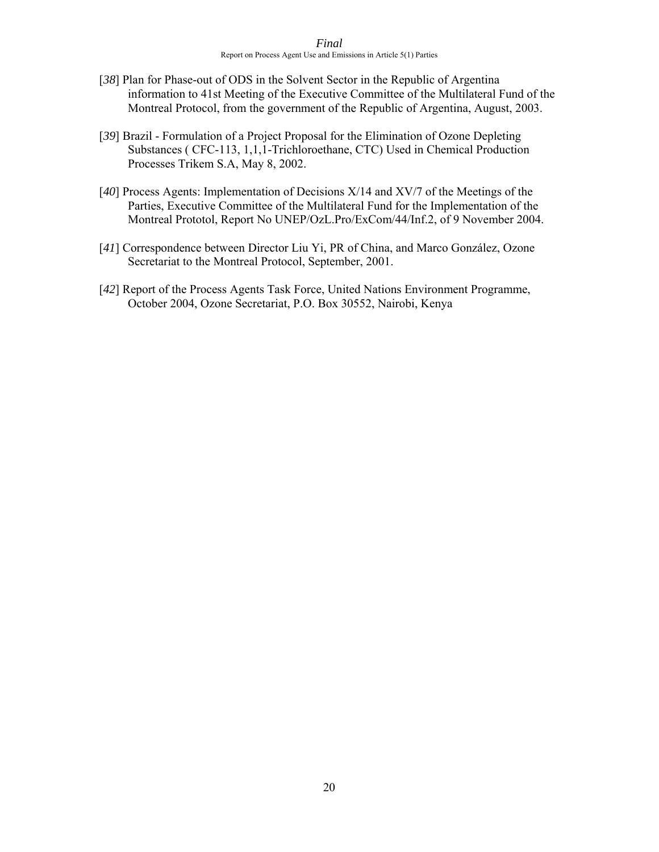- [*38*] Plan for Phase-out of ODS in the Solvent Sector in the Republic of Argentina information to 41st Meeting of the Executive Committee of the Multilateral Fund of the Montreal Protocol, from the government of the Republic of Argentina, August, 2003.
- [*39*] Brazil Formulation of a Project Proposal for the Elimination of Ozone Depleting Substances ( CFC-113, 1,1,1-Trichloroethane, CTC) Used in Chemical Production Processes Trikem S.A, May 8, 2002.
- [*40*] Process Agents: Implementation of Decisions X/14 and XV/7 of the Meetings of the Parties, Executive Committee of the Multilateral Fund for the Implementation of the Montreal Prototol, Report No UNEP/OzL.Pro/ExCom/44/Inf.2, of 9 November 2004.
- [*41*] Correspondence between Director Liu Yi, PR of China, and Marco González, Ozone Secretariat to the Montreal Protocol, September, 2001.
- [*42*] Report of the Process Agents Task Force, United Nations Environment Programme, October 2004, Ozone Secretariat, P.O. Box 30552, Nairobi, Kenya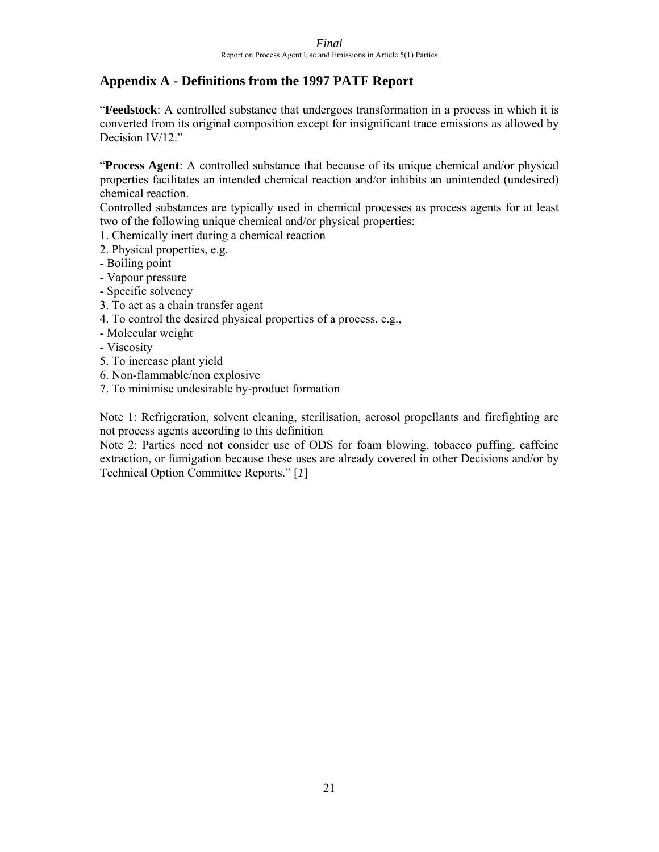## **Appendix A - Definitions from the 1997 PATF Report**

"**Feedstock**: A controlled substance that undergoes transformation in a process in which it is converted from its original composition except for insignificant trace emissions as allowed by Decision IV/12."

"**Process Agent**: A controlled substance that because of its unique chemical and/or physical properties facilitates an intended chemical reaction and/or inhibits an unintended (undesired) chemical reaction.

Controlled substances are typically used in chemical processes as process agents for at least two of the following unique chemical and/or physical properties:

- 1. Chemically inert during a chemical reaction
- 2. Physical properties, e.g.
- Boiling point
- Vapour pressure
- Specific solvency
- 3. To act as a chain transfer agent
- 4. To control the desired physical properties of a process, e.g.,
- Molecular weight
- Viscosity
- 5. To increase plant yield
- 6. Non-flammable/non explosive
- 7. To minimise undesirable by-product formation

Note 1: Refrigeration, solvent cleaning, sterilisation, aerosol propellants and firefighting are not process agents according to this definition

Note 2: Parties need not consider use of ODS for foam blowing, tobacco puffing, caffeine extraction, or fumigation because these uses are already covered in other Decisions and/or by Technical Option Committee Reports." [*1*]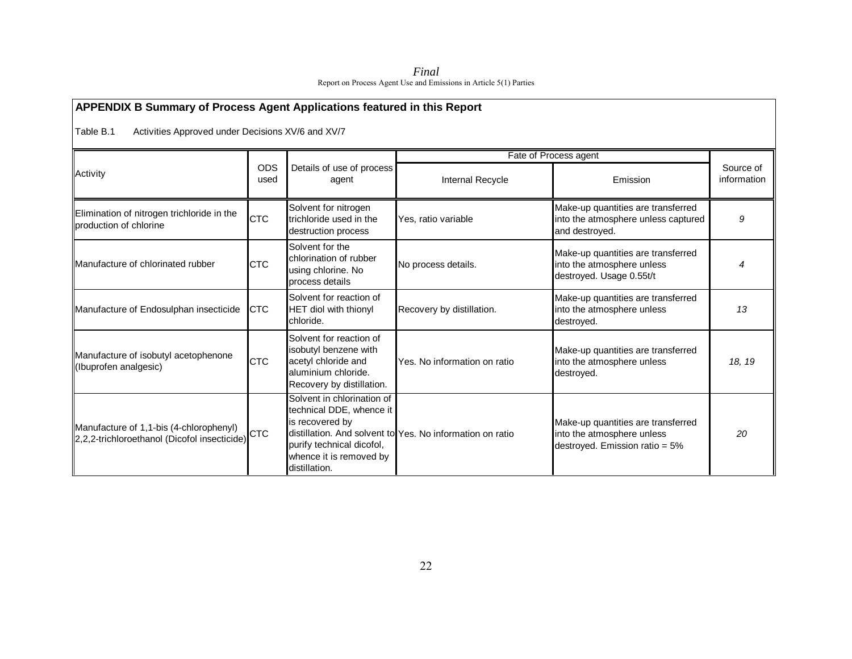| Final                                                             |
|-------------------------------------------------------------------|
| Report on Process Agent Use and Emissions in Article 5(1) Parties |

| APPENDIX B Summary of Process Agent Applications featured in this Report                |                    |                                                                                                                                                    |                                                           |                                                                                                    |                          |  |  |  |
|-----------------------------------------------------------------------------------------|--------------------|----------------------------------------------------------------------------------------------------------------------------------------------------|-----------------------------------------------------------|----------------------------------------------------------------------------------------------------|--------------------------|--|--|--|
| Table B.1<br>Activities Approved under Decisions XV/6 and XV/7                          |                    |                                                                                                                                                    |                                                           |                                                                                                    |                          |  |  |  |
|                                                                                         |                    |                                                                                                                                                    | Fate of Process agent                                     |                                                                                                    |                          |  |  |  |
| Activity                                                                                | <b>ODS</b><br>used | Details of use of process<br>agent                                                                                                                 | Internal Recycle                                          | Emission                                                                                           | Source of<br>information |  |  |  |
| Elimination of nitrogen trichloride in the<br>production of chlorine                    | <b>CTC</b>         | Solvent for nitrogen<br>trichloride used in the<br>destruction process                                                                             | Yes, ratio variable                                       | Make-up quantities are transferred<br>into the atmosphere unless captured<br>and destroved.        | 9                        |  |  |  |
| <b>IManufacture of chlorinated rubber</b>                                               | <b>CTC</b>         | Solvent for the<br>chlorination of rubber<br>using chlorine. No<br>process details                                                                 | No process details.                                       | Make-up quantities are transferred<br>into the atmosphere unless<br>destroyed. Usage 0.55t/t       |                          |  |  |  |
| Manufacture of Endosulphan insecticide                                                  | <b>CTC</b>         | Solvent for reaction of<br><b>HET diol with thionyl</b><br>chloride.                                                                               | Recovery by distillation.                                 | Make-up quantities are transferred<br>into the atmosphere unless<br>destroyed.                     | 13                       |  |  |  |
| Manufacture of isobutyl acetophenone<br>(Ibuprofen analgesic)                           | <b>CTC</b>         | Solvent for reaction of<br>isobutyl benzene with<br>acetyl chloride and<br>aluminium chloride.<br>Recovery by distillation.                        | Yes. No information on ratio                              | Make-up quantities are transferred<br>into the atmosphere unless<br>destroyed.                     | 18, 19                   |  |  |  |
| Manufacture of 1,1-bis (4-chlorophenyl)<br>2,2,2-trichloroethanol (Dicofol insecticide) | <b>CTC</b>         | Solvent in chlorination of<br>technical DDE, whence it<br>is recovered by<br>purify technical dicofol,<br>whence it is removed by<br>distillation. | distillation. And solvent to Yes. No information on ratio | Make-up quantities are transferred<br>into the atmosphere unless<br>destroyed. Emission ratio = 5% | 20                       |  |  |  |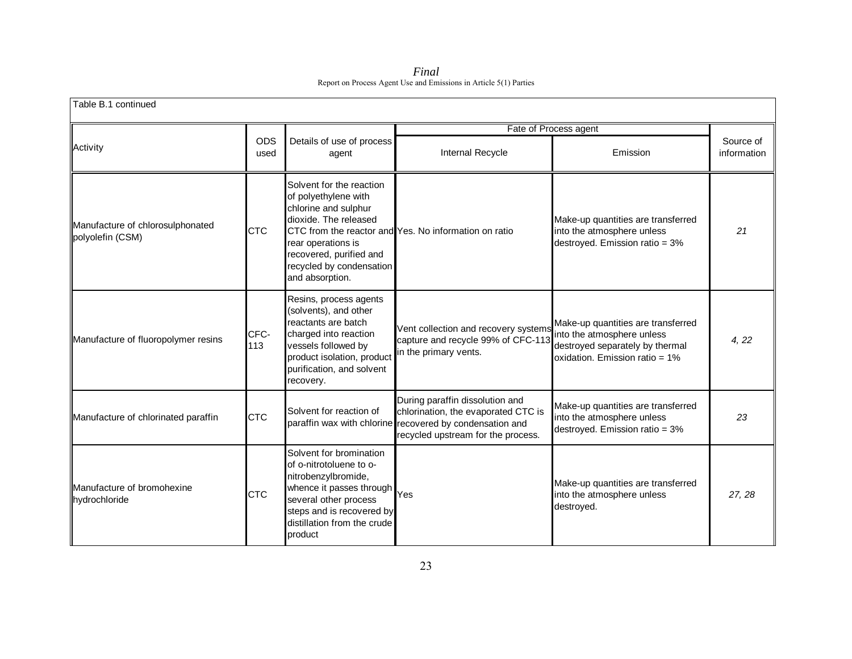*Final*  Report on Process Agent Use and Emissions in Article 5(1) Parties

| Table B.1 continued                                  |                    |                                                                                                                                                                                                       |                                                                                                                                                                          |                                                                                                                                       |                          |  |  |
|------------------------------------------------------|--------------------|-------------------------------------------------------------------------------------------------------------------------------------------------------------------------------------------------------|--------------------------------------------------------------------------------------------------------------------------------------------------------------------------|---------------------------------------------------------------------------------------------------------------------------------------|--------------------------|--|--|
|                                                      |                    |                                                                                                                                                                                                       |                                                                                                                                                                          | Fate of Process agent                                                                                                                 |                          |  |  |
| Activity                                             | <b>ODS</b><br>used | Details of use of process<br>agent                                                                                                                                                                    | Internal Recycle                                                                                                                                                         | Emission                                                                                                                              | Source of<br>information |  |  |
| Manufacture of chlorosulphonated<br>polyolefin (CSM) | <b>CTC</b>         | Solvent for the reaction<br>of polyethylene with<br>chlorine and sulphur<br>dioxide. The released<br>rear operations is<br>recovered, purified and<br>recycled by condensation<br>and absorption.     | CTC from the reactor and Yes. No information on ratio                                                                                                                    | Make-up quantities are transferred<br>into the atmosphere unless<br>destroyed. Emission ratio = 3%                                    | 21                       |  |  |
| Manufacture of fluoropolymer resins                  | CFC-<br>113        | Resins, process agents<br>(solvents), and other<br>reactants are batch<br>charged into reaction<br>vessels followed by<br>product isolation, product<br>purification, and solvent<br>recovery.        | Vent collection and recovery systems<br>capture and recycle 99% of CFC-113<br>in the primary vents.                                                                      | Make-up quantities are transferred<br>into the atmosphere unless<br>destroyed separately by thermal<br>oxidation. Emission ratio = 1% | 4, 22                    |  |  |
| Manufacture of chlorinated paraffin                  | <b>CTC</b>         | Solvent for reaction of                                                                                                                                                                               | During paraffin dissolution and<br>chlorination, the evaporated CTC is<br>paraffin wax with chlorine recovered by condensation and<br>recycled upstream for the process. | Make-up quantities are transferred<br>into the atmosphere unless<br>destroyed. Emission ratio = 3%                                    | 23                       |  |  |
| Manufacture of bromohexine<br>hydrochloride          | <b>CTC</b>         | Solvent for bromination<br>of o-nitrotoluene to o-<br>nitrobenzylbromide,<br>whence it passes through<br>several other process<br>steps and is recovered by<br>distillation from the crude<br>product | Yes                                                                                                                                                                      | Make-up quantities are transferred<br>into the atmosphere unless<br>destroyed.                                                        | 27, 28                   |  |  |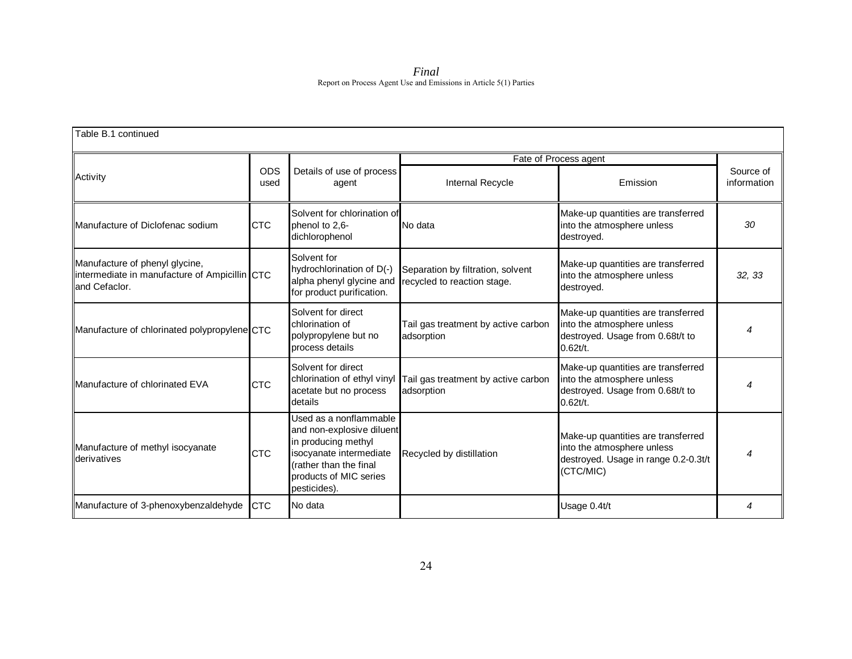*Final*  Report on Process Agent Use and Emissions in Article 5(1) Parties

| Table B.1 continued                                                                              |                                                                                                |                                                                                                                                                                           |                                                                  |                                                                                                                       |                          |
|--------------------------------------------------------------------------------------------------|------------------------------------------------------------------------------------------------|---------------------------------------------------------------------------------------------------------------------------------------------------------------------------|------------------------------------------------------------------|-----------------------------------------------------------------------------------------------------------------------|--------------------------|
|                                                                                                  |                                                                                                |                                                                                                                                                                           |                                                                  | Fate of Process agent                                                                                                 |                          |
| Activity                                                                                         | <b>ODS</b><br>used                                                                             | Details of use of process<br>agent                                                                                                                                        | Internal Recycle                                                 | Emission                                                                                                              | Source of<br>information |
| Manufacture of Diclofenac sodium                                                                 | <b>CTC</b>                                                                                     | Solvent for chlorination of<br>phenol to 2,6-<br>dichlorophenol                                                                                                           | No data                                                          | Make-up quantities are transferred<br>into the atmosphere unless<br>destroyed.                                        | 30                       |
| Manufacture of phenyl glycine,<br>intermediate in manufacture of Ampicillin CTC<br>and Cefaclor. |                                                                                                | Solvent for<br>hydrochlorination of D(-)<br>alpha phenyl glycine and<br>for product purification.                                                                         | Separation by filtration, solvent<br>recycled to reaction stage. | Make-up quantities are transferred<br>into the atmosphere unless<br>destroved.                                        | 32, 33                   |
| Manufacture of chlorinated polypropylene CTC                                                     | Solvent for direct<br>chlorination of<br>polypropylene but no<br>adsorption<br>process details |                                                                                                                                                                           | Tail gas treatment by active carbon                              | Make-up quantities are transferred<br>into the atmosphere unless<br>destroyed. Usage from 0.68t/t to<br>0.62t/t.      |                          |
| Manufacture of chlorinated EVA                                                                   | <b>CTC</b>                                                                                     | Solvent for direct<br>chlorination of ethyl vinyl<br>acetate but no process<br>details                                                                                    | Tail gas treatment by active carbon<br>adsorption                | Make-up quantities are transferred<br>into the atmosphere unless<br>destroyed. Usage from 0.68t/t to<br>0.62t/t.      |                          |
| Manufacture of methyl isocyanate<br>derivatives                                                  | <b>CTC</b>                                                                                     | Used as a nonflammable<br>and non-explosive diluent<br>in producing methyl<br>isocyanate intermediate<br>(rather than the final<br>products of MIC series<br>pesticides). | Recycled by distillation                                         | Make-up quantities are transferred<br>into the atmosphere unless<br>destroyed. Usage in range 0.2-0.3t/t<br>(CTC/MIC) | 4                        |
| Manufacture of 3-phenoxybenzaldehyde                                                             | <b>CTC</b>                                                                                     | No data                                                                                                                                                                   |                                                                  | Usage 0.4t/t                                                                                                          |                          |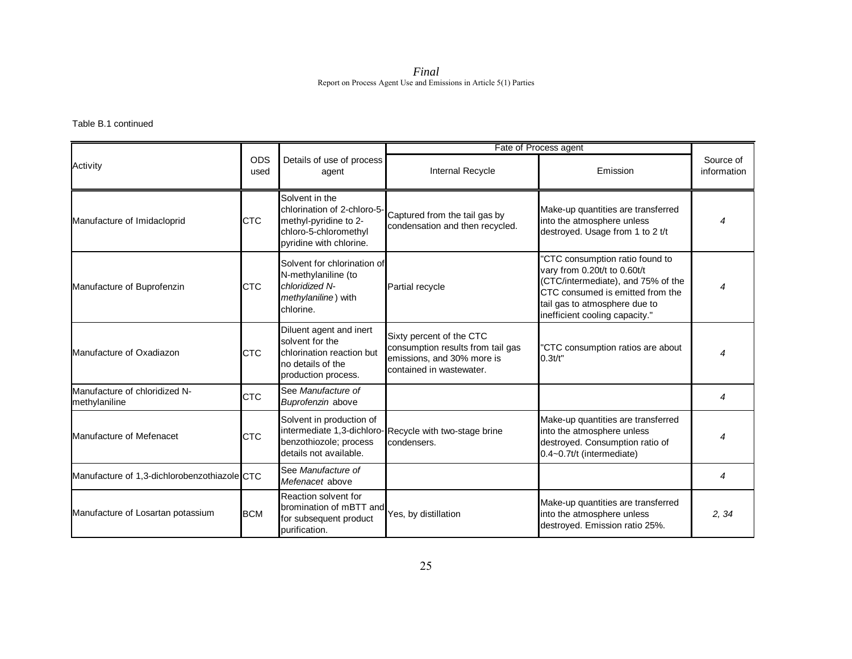*Final*  Report on Process Agent Use and Emissions in Article 5(1) Parties

### Table B.1 continued

|                                                |                    |                                                                                                                            | Fate of Process agent                                                                                                   |                                                                                                                                                                                                              |                          |
|------------------------------------------------|--------------------|----------------------------------------------------------------------------------------------------------------------------|-------------------------------------------------------------------------------------------------------------------------|--------------------------------------------------------------------------------------------------------------------------------------------------------------------------------------------------------------|--------------------------|
| Activity                                       | <b>ODS</b><br>used | Details of use of process<br>agent                                                                                         | Internal Recycle                                                                                                        | Emission                                                                                                                                                                                                     | Source of<br>information |
| Manufacture of Imidacloprid                    | <b>CTC</b>         | Solvent in the<br>chlorination of 2-chloro-5-<br>methyl-pyridine to 2-<br>chloro-5-chloromethyl<br>pyridine with chlorine. | Captured from the tail gas by<br>condensation and then recycled.                                                        | Make-up quantities are transferred<br>into the atmosphere unless<br>destroyed. Usage from 1 to 2 t/t                                                                                                         |                          |
| Manufacture of Buprofenzin                     | <b>CTC</b>         | Solvent for chlorination of<br>N-methylaniline (to<br>chloridized N-<br>methylaniline) with<br>chlorine.                   | Partial recycle                                                                                                         | 'CTC consumption ratio found to<br>vary from 0.20t/t to 0.60t/t<br>(CTC/intermediate), and 75% of the<br>CTC consumed is emitted from the<br>tail gas to atmosphere due to<br>inefficient cooling capacity." |                          |
| Manufacture of Oxadiazon                       | <b>CTC</b>         | Diluent agent and inert<br>solvent for the<br>chlorination reaction but<br>no details of the<br>production process.        | Sixty percent of the CTC<br>consumption results from tail gas<br>emissions, and 30% more is<br>contained in wastewater. | 'CTC consumption ratios are about<br>$0.3t/t$ "                                                                                                                                                              |                          |
| Manufacture of chloridized N-<br>methylaniline | <b>CTC</b>         | See Manufacture of<br>Buprofenzin above                                                                                    |                                                                                                                         |                                                                                                                                                                                                              | 4                        |
| Manufacture of Mefenacet                       | <b>CTC</b>         | Solvent in production of<br>benzothiozole; process<br>details not available.                                               | intermediate 1,3-dichloro-Recycle with two-stage brine<br>condensers.                                                   | Make-up quantities are transferred<br>into the atmosphere unless<br>destroyed. Consumption ratio of<br>0.4~0.7t/t (intermediate)                                                                             |                          |
| Manufacture of 1,3-dichlorobenzothiazole CTC   |                    | See Manufacture of<br>Mefenacet above                                                                                      |                                                                                                                         |                                                                                                                                                                                                              | 4                        |
| Manufacture of Losartan potassium              | <b>BCM</b>         | Reaction solvent for<br>bromination of mBTT and<br>for subsequent product<br>purification.                                 | Yes, by distillation                                                                                                    | Make-up quantities are transferred<br>into the atmosphere unless<br>destroyed. Emission ratio 25%.                                                                                                           | 2.34                     |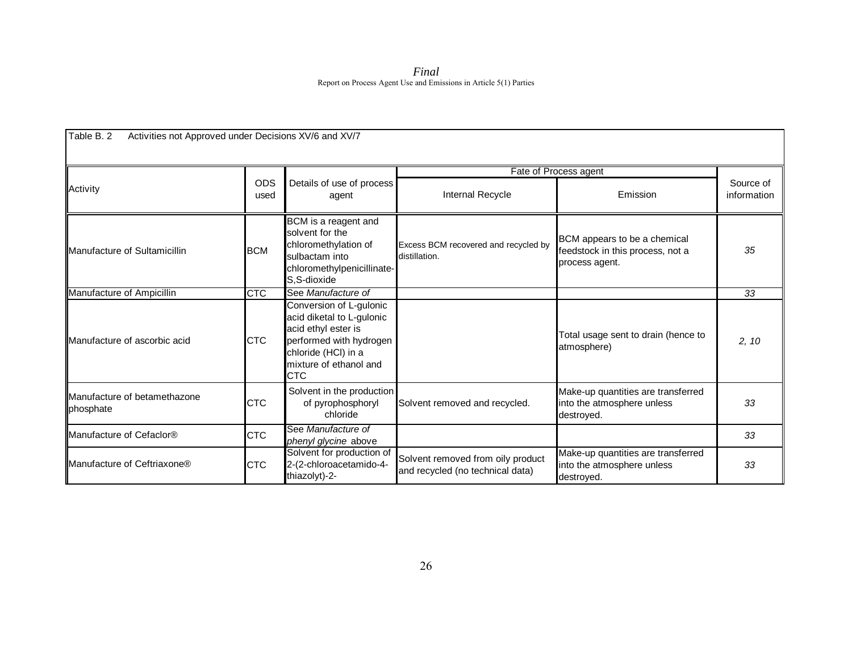| Final                                                             |
|-------------------------------------------------------------------|
| Report on Process Agent Use and Emissions in Article 5(1) Parties |

|                                                                                                                                                                              |             |                                                                                                                                                                       |                                                                                    | Fate of Process agent                                                          |                          |
|------------------------------------------------------------------------------------------------------------------------------------------------------------------------------|-------------|-----------------------------------------------------------------------------------------------------------------------------------------------------------------------|------------------------------------------------------------------------------------|--------------------------------------------------------------------------------|--------------------------|
| Activity                                                                                                                                                                     | ODS<br>used | Details of use of process<br>agent                                                                                                                                    | Internal Recycle                                                                   | Emission                                                                       | Source of<br>information |
| BCM is a reagent and<br>solvent for the<br>chloromethylation of<br><b>BCM</b><br>Manufacture of Sultamicillin<br>sulbactam into<br>chloromethylpenicillinate-<br>S.S-dioxide |             | Excess BCM recovered and recycled by<br>distillation.                                                                                                                 | BCM appears to be a chemical<br>feedstock in this process, not a<br>process agent. | 35                                                                             |                          |
| Manufacture of Ampicillin                                                                                                                                                    | <b>CTC</b>  | See Manufacture of                                                                                                                                                    |                                                                                    |                                                                                | 33                       |
| Manufacture of ascorbic acid                                                                                                                                                 | <b>CTC</b>  | Conversion of L-gulonic<br>acid diketal to L-gulonic<br>acid ethyl ester is<br>performed with hydrogen<br>chloride (HCI) in a<br>mixture of ethanol and<br><b>CTC</b> |                                                                                    | Total usage sent to drain (hence to<br>atmosphere)                             | 2, 10                    |
| Manufacture of betamethazone<br>phosphate                                                                                                                                    | <b>CTC</b>  | Solvent in the production<br>of pyrophosphoryl<br>chloride                                                                                                            | Solvent removed and recycled.                                                      | Make-up quantities are transferred<br>into the atmosphere unless<br>destroyed. | 33                       |
| Manufacture of Cefaclor <sup>®</sup>                                                                                                                                         | <b>CTC</b>  | See Manufacture of<br>phenyl glycine above                                                                                                                            |                                                                                    |                                                                                | 33                       |
| Manufacture of Ceftriaxone®                                                                                                                                                  | <b>CTC</b>  | Solvent for production of<br>2-(2-chloroacetamido-4-<br>thiazolyt)-2-                                                                                                 | Solvent removed from oily product<br>and recycled (no technical data)              | Make-up quantities are transferred<br>into the atmosphere unless<br>destroyed. | 33                       |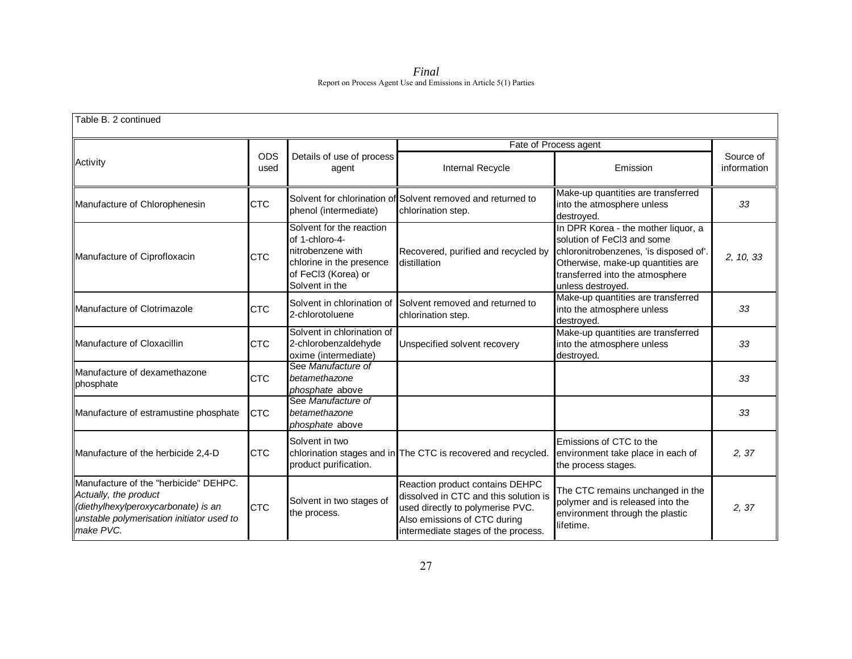*Final*  Report on Process Agent Use and Emissions in Article 5(1) Parties

| Table B. 2 continued                                                                                                                                            |                    |                                                                                                                                      |                                                                                                                                                                                     |                                                                                                                                                                                                          |                          |
|-----------------------------------------------------------------------------------------------------------------------------------------------------------------|--------------------|--------------------------------------------------------------------------------------------------------------------------------------|-------------------------------------------------------------------------------------------------------------------------------------------------------------------------------------|----------------------------------------------------------------------------------------------------------------------------------------------------------------------------------------------------------|--------------------------|
|                                                                                                                                                                 |                    |                                                                                                                                      |                                                                                                                                                                                     | Fate of Process agent                                                                                                                                                                                    |                          |
| Activity                                                                                                                                                        | <b>ODS</b><br>used | Details of use of process<br>agent                                                                                                   | Internal Recycle                                                                                                                                                                    | Emission                                                                                                                                                                                                 | Source of<br>information |
| Manufacture of Chlorophenesin                                                                                                                                   | <b>CTC</b>         | phenol (intermediate)                                                                                                                | Solvent for chlorination of Solvent removed and returned to<br>chlorination step.                                                                                                   | Make-up quantities are transferred<br>into the atmosphere unless<br>destroyed.                                                                                                                           | 33                       |
| Manufacture of Ciprofloxacin                                                                                                                                    | <b>CTC</b>         | Solvent for the reaction<br>of 1-chloro-4-<br>nitrobenzene with<br>chlorine in the presence<br>of FeCl3 (Korea) or<br>Solvent in the | Recovered, purified and recycled by<br>distillation                                                                                                                                 | In DPR Korea - the mother liquor, a<br>solution of FeCl3 and some<br>chloronitrobenzenes, 'is disposed of'.<br>Otherwise, make-up quantities are<br>transferred into the atmosphere<br>unless destroyed. | 2, 10, 33                |
| Manufacture of Clotrimazole                                                                                                                                     | <b>CTC</b>         | Solvent in chlorination of<br>2-chlorotoluene                                                                                        | Solvent removed and returned to<br>chlorination step.                                                                                                                               | Make-up quantities are transferred<br>into the atmosphere unless<br>destroyed.                                                                                                                           | 33                       |
| Manufacture of Cloxacillin                                                                                                                                      | <b>CTC</b>         | Solvent in chlorination of<br>2-chlorobenzaldehyde<br>oxime (intermediate)                                                           | Unspecified solvent recovery                                                                                                                                                        | Make-up quantities are transferred<br>into the atmosphere unless<br>destroyed.                                                                                                                           | 33                       |
| <b>I</b> Manufacture of dexamethazone<br>phosphate                                                                                                              | <b>CTC</b>         | See Manufacture of<br>betamethazone<br>phosphate above                                                                               |                                                                                                                                                                                     |                                                                                                                                                                                                          | 33                       |
| Manufacture of estramustine phosphate                                                                                                                           | <b>CTC</b>         | See Manufacture of<br>betamethazone<br>phosphate above                                                                               |                                                                                                                                                                                     |                                                                                                                                                                                                          | 33                       |
| Manufacture of the herbicide 2,4-D                                                                                                                              | <b>CTC</b>         | Solvent in two<br>product purification.                                                                                              | chlorination stages and in The CTC is recovered and recycled.                                                                                                                       | Emissions of CTC to the<br>environment take place in each of<br>the process stages.                                                                                                                      | 2, 37                    |
| Manufacture of the "herbicide" DEHPC.<br>Actually, the product<br>(diethylhexylperoxycarbonate) is an<br>unstable polymerisation initiator used to<br>make PVC. | <b>CTC</b>         | Solvent in two stages of<br>the process.                                                                                             | Reaction product contains DEHPC<br>dissolved in CTC and this solution is<br>used directly to polymerise PVC.<br>Also emissions of CTC during<br>intermediate stages of the process. | The CTC remains unchanged in the<br>polymer and is released into the<br>environment through the plastic<br>lifetime.                                                                                     | 2,37                     |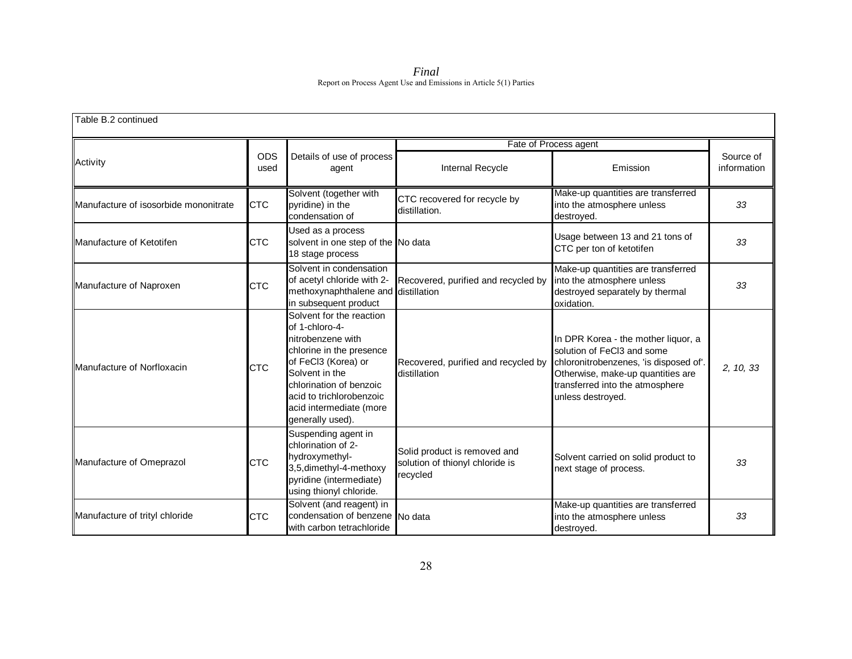*Final*  Report on Process Agent Use and Emissions in Article 5(1) Parties

| Table B.2 continued                   |                                                                             |                                                                                                                                                                                                                                            |                                                                             |                                                                                                                                                                                                          |                          |  |  |
|---------------------------------------|-----------------------------------------------------------------------------|--------------------------------------------------------------------------------------------------------------------------------------------------------------------------------------------------------------------------------------------|-----------------------------------------------------------------------------|----------------------------------------------------------------------------------------------------------------------------------------------------------------------------------------------------------|--------------------------|--|--|
|                                       |                                                                             |                                                                                                                                                                                                                                            | Fate of Process agent                                                       |                                                                                                                                                                                                          |                          |  |  |
| Activity                              | ODS<br>used                                                                 | Details of use of process<br>agent                                                                                                                                                                                                         | Internal Recycle                                                            | Emission                                                                                                                                                                                                 | Source of<br>information |  |  |
| Manufacture of isosorbide mononitrate | Solvent (together with<br><b>CTC</b><br>pyridine) in the<br>condensation of |                                                                                                                                                                                                                                            | CTC recovered for recycle by<br>distillation.                               | Make-up quantities are transferred<br>into the atmosphere unless<br>destroyed.                                                                                                                           | 33                       |  |  |
| Manufacture of Ketotifen              | <b>CTC</b>                                                                  | Used as a process<br>solvent in one step of the No data<br>18 stage process                                                                                                                                                                |                                                                             | Usage between 13 and 21 tons of<br>CTC per ton of ketotifen                                                                                                                                              | 33                       |  |  |
| Manufacture of Naproxen               | <b>CTC</b>                                                                  | Solvent in condensation<br>of acetyl chloride with 2-<br>methoxynaphthalene and distillation<br>in subsequent product                                                                                                                      | Recovered, purified and recycled by                                         | Make-up quantities are transferred<br>into the atmosphere unless<br>destroyed separately by thermal<br>oxidation.                                                                                        | 33                       |  |  |
| <b>IManufacture of Norfloxacin</b>    | <b>CTC</b>                                                                  | Solvent for the reaction<br>of 1-chloro-4-<br>nitrobenzene with<br>chlorine in the presence<br>of FeCl3 (Korea) or<br>Solvent in the<br>chlorination of benzoic<br>acid to trichlorobenzoic<br>acid intermediate (more<br>generally used). | Recovered, purified and recycled by<br>distillation                         | In DPR Korea - the mother liquor, a<br>solution of FeCl3 and some<br>chloronitrobenzenes, 'is disposed of'.<br>Otherwise, make-up quantities are<br>transferred into the atmosphere<br>unless destroyed. | 2, 10, 33                |  |  |
| Manufacture of Omeprazol              | <b>CTC</b>                                                                  | Suspending agent in<br>chlorination of 2-<br>hydroxymethyl-<br>3,5,dimethyl-4-methoxy<br>pyridine (intermediate)<br>using thionyl chloride.                                                                                                | Solid product is removed and<br>solution of thionyl chloride is<br>recycled | Solvent carried on solid product to<br>next stage of process.                                                                                                                                            | 33                       |  |  |
| Manufacture of trityl chloride        | <b>CTC</b>                                                                  | Solvent (and reagent) in<br>condensation of benzene No data<br>with carbon tetrachloride                                                                                                                                                   |                                                                             | Make-up quantities are transferred<br>into the atmosphere unless<br>destroyed.                                                                                                                           | 33                       |  |  |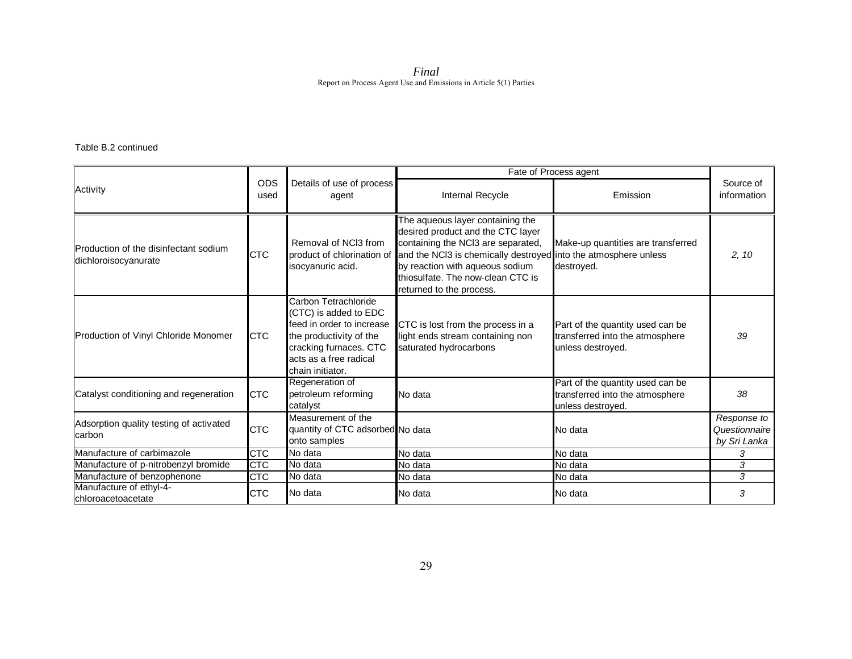Table B.2 continued

|                                                               |                                                                                                                                                                                             |                                                                        |                                                                                                                                                                                                                                                                                                               | Fate of Process agent                                                                    |                                              |
|---------------------------------------------------------------|---------------------------------------------------------------------------------------------------------------------------------------------------------------------------------------------|------------------------------------------------------------------------|---------------------------------------------------------------------------------------------------------------------------------------------------------------------------------------------------------------------------------------------------------------------------------------------------------------|------------------------------------------------------------------------------------------|----------------------------------------------|
| Activity                                                      | <b>ODS</b><br>used                                                                                                                                                                          | Details of use of process<br>agent                                     | Internal Recycle                                                                                                                                                                                                                                                                                              | Emission                                                                                 | Source of<br>information                     |
| Production of the disinfectant sodium<br>dichloroisocyanurate | <b>CTC</b>                                                                                                                                                                                  | Removal of NCI3 from<br>isocyanuric acid.                              | The aqueous layer containing the<br>desired product and the CTC layer<br>containing the NCI3 are separated,<br>product of chlorination of and the NCl3 is chemically destroyed into the atmosphere unless<br>by reaction with aqueous sodium<br>thiosulfate. The now-clean CTC is<br>returned to the process. | Make-up quantities are transferred<br>destroyed.                                         | 2, 10                                        |
| Production of Vinyl Chloride Monomer                          | Carbon Tetrachloride<br>(CTC) is added to EDC<br>feed in order to increase<br><b>CTC</b><br>the productivity of the<br>cracking furnaces. CTC<br>acts as a free radical<br>chain initiator. |                                                                        | CTC is lost from the process in a<br>light ends stream containing non<br>saturated hydrocarbons                                                                                                                                                                                                               | Part of the quantity used can be<br>transferred into the atmosphere<br>unless destroyed. | 39                                           |
| Catalyst conditioning and regeneration                        | <b>CTC</b>                                                                                                                                                                                  | Regeneration of<br>petroleum reforming<br>catalyst                     | No data                                                                                                                                                                                                                                                                                                       | Part of the quantity used can be<br>transferred into the atmosphere<br>unless destroyed. | 38                                           |
| Adsorption quality testing of activated<br>carbon             | <b>CTC</b>                                                                                                                                                                                  | Measurement of the<br>quantity of CTC adsorbed No data<br>onto samples |                                                                                                                                                                                                                                                                                                               | No data                                                                                  | Response to<br>Questionnaire<br>by Sri Lanka |
| Manufacture of carbimazole                                    | <b>CTC</b>                                                                                                                                                                                  | No data                                                                | No data                                                                                                                                                                                                                                                                                                       | $No$ data                                                                                | 3                                            |
| Manufacture of p-nitrobenzyl bromide                          | <b>CTC</b>                                                                                                                                                                                  | No data                                                                | No data                                                                                                                                                                                                                                                                                                       | No data                                                                                  | 3                                            |
| Manufacture of benzophenone                                   | <b>CTC</b>                                                                                                                                                                                  | No data                                                                | No data                                                                                                                                                                                                                                                                                                       | No data                                                                                  | 3                                            |
| Manufacture of ethyl-4-<br>chloroacetoacetate                 | <b>CTC</b>                                                                                                                                                                                  | No data                                                                | No data                                                                                                                                                                                                                                                                                                       | No data                                                                                  | 3                                            |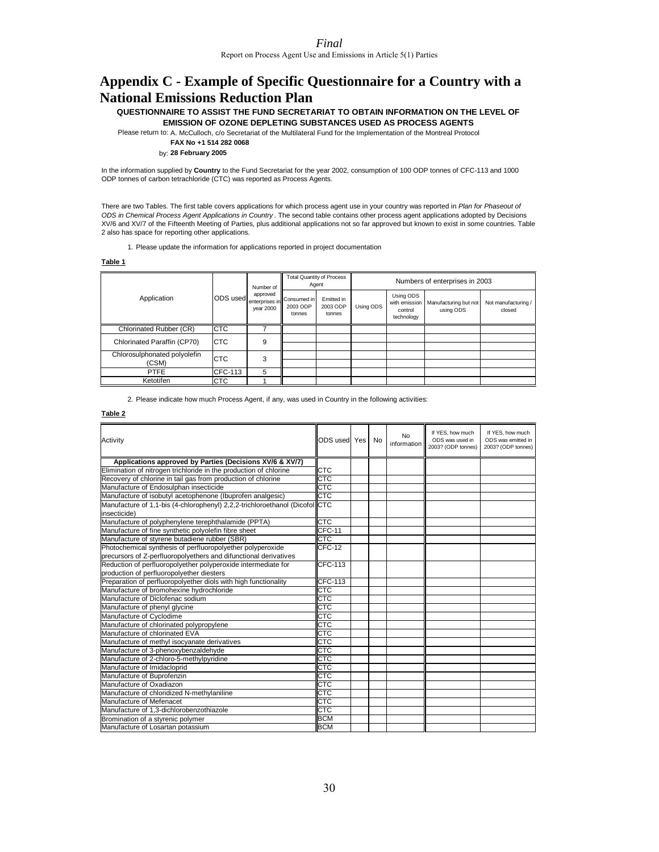## **Appendix C - Example of Specific Questionnaire for a Country with a National Emissions Reduction Plan**

**QUESTIONNAIRE TO ASSIST THE FUND SECRETARIAT TO OBTAIN INFORMATION ON THE LEVEL OF EMISSION OF OZONE DEPLETING SUBSTANCES USED AS PROCESS AGENTS**

Please return to: A. McCulloch, c/o Secretariat of the Multilateral Fund for the Implementation of the Montreal Protocol

**FAX No +1 514 282 0068**

by: **28 February 2005**

In the information supplied by **Country** to the Fund Secretariat for the year 2002, consumption of 100 ODP tonnes of CFC-113 and 1000 ODP tonnes of carbon tetrachloride (CTC) was reported as Process Agents.

There are two Tables. The first table covers applications for which process agent use in your country was reported in *Plan for Phaseout of ODS in Chemical Process Agent Applications in Country* . The second table contains other process agent applications adopted by Decisions XV/6 and XV/7 of the Fifteenth Meeting of Parties, plus additional applications not so far approved but known to exist in some countries. Table 2 also has space for reporting other applications.

1. Please update the information for applications reported in project documentation

**Table 1**

|                              |            | Number of             | <b>Total Quantity of Process</b><br>Agent           |                                  | Numbers of enterprises in 2003 |                                                     |                                    |                               |
|------------------------------|------------|-----------------------|-----------------------------------------------------|----------------------------------|--------------------------------|-----------------------------------------------------|------------------------------------|-------------------------------|
| Application                  | ODS used   | approved<br>vear 2000 | 'I enterprises in Consumed in<br>2003 ODP<br>tonnes | Emitted in<br>2003 ODP<br>tonnes | Using ODS                      | Using ODS<br>with emission<br>control<br>technology | Manufacturing but not<br>using ODS | Not manufacturing /<br>closed |
| Chlorinated Rubber (CR)      | <b>CTC</b> |                       |                                                     |                                  |                                |                                                     |                                    |                               |
| Chlorinated Paraffin (CP70)  | <b>CTC</b> | 9                     |                                                     |                                  |                                |                                                     |                                    |                               |
|                              |            |                       |                                                     |                                  |                                |                                                     |                                    |                               |
| Chlorosulphonated polyolefin | <b>CTC</b> | 3                     |                                                     |                                  |                                |                                                     |                                    |                               |
| (CSM)                        |            |                       |                                                     |                                  |                                |                                                     |                                    |                               |
| <b>PTFE</b>                  | CFC-113    | 5                     |                                                     |                                  |                                |                                                     |                                    |                               |
| Ketotifen                    | <b>CTC</b> |                       |                                                     |                                  |                                |                                                     |                                    |                               |

2. Please indicate how much Process Agent, if any, was used in Country in the following activities:

#### **Table 2**

| Activity                                                                                    | ODS used Yes            | No | No<br>information | If YES, how much<br>ODS was used in<br>2003? (ODP tonnes) | If YES, how much<br>ODS was emitted in<br>2003? (ODP tonnes) |
|---------------------------------------------------------------------------------------------|-------------------------|----|-------------------|-----------------------------------------------------------|--------------------------------------------------------------|
| Applications approved by Parties (Decisions XV/6 & XV/7)                                    |                         |    |                   |                                                           |                                                              |
| Elimination of nitrogen trichloride in the production of chlorine                           | <b>CTC</b>              |    |                   |                                                           |                                                              |
| Recovery of chlorine in tail gas from production of chlorine                                | CTC                     |    |                   |                                                           |                                                              |
| Manufacture of Endosulphan insecticide                                                      | CTC                     |    |                   |                                                           |                                                              |
| Manufacture of isobutyl acetophenone (Ibuprofen analgesic)                                  | CTC                     |    |                   |                                                           |                                                              |
| Manufacture of 1,1-bis (4-chlorophenyl) 2,2,2-trichloroethanol (Dicofol CTC<br>insecticide) |                         |    |                   |                                                           |                                                              |
| Manufacture of polyphenylene terephthalamide (PPTA)                                         | CTC                     |    |                   |                                                           |                                                              |
| Manufacture of fine synthetic polyolefin fibre sheet                                        | <b>CFC-11</b>           |    |                   |                                                           |                                                              |
| Manufacture of styrene butadiene rubber (SBR)                                               | CTC                     |    |                   |                                                           |                                                              |
| Photochemical synthesis of perfluoropolyether polyperoxide                                  | <b>CFC-12</b>           |    |                   |                                                           |                                                              |
| precursors of Z-perfluoropolyethers and difunctional derivatives                            |                         |    |                   |                                                           |                                                              |
| Reduction of perfluoropolyether polyperoxide intermediate for                               | <b>CFC-113</b>          |    |                   |                                                           |                                                              |
| production of perfluoropolyether diesters                                                   |                         |    |                   |                                                           |                                                              |
| Preparation of perfluoropolyether diols with high functionality                             | <b>CFC-113</b>          |    |                   |                                                           |                                                              |
| Manufacture of bromohexine hydrochloride                                                    | CTC                     |    |                   |                                                           |                                                              |
| Manufacture of Diclofenac sodium                                                            | СТС                     |    |                   |                                                           |                                                              |
| Manufacture of phenyl glycine                                                               | CTC                     |    |                   |                                                           |                                                              |
| Manufacture of Cyclodime                                                                    | <b>CTC</b>              |    |                   |                                                           |                                                              |
| Manufacture of chlorinated polypropylene                                                    | <b>CTC</b>              |    |                   |                                                           |                                                              |
| Manufacture of chlorinated EVA                                                              | $\overline{\text{CTC}}$ |    |                   |                                                           |                                                              |
| Manufacture of methyl isocyanate derivatives                                                | CTC                     |    |                   |                                                           |                                                              |
| Manufacture of 3-phenoxybenzaldehyde                                                        | CTC                     |    |                   |                                                           |                                                              |
| Manufacture of 2-chloro-5-methylpyridine                                                    | <b>CTC</b>              |    |                   |                                                           |                                                              |
| Manufacture of Imidacloprid                                                                 | CTC                     |    |                   |                                                           |                                                              |
| Manufacture of Buprofenzin                                                                  | CTC                     |    |                   |                                                           |                                                              |
| Manufacture of Oxadiazon                                                                    | CTC                     |    |                   |                                                           |                                                              |
| Manufacture of chloridized N-methylaniline                                                  | CTC                     |    |                   |                                                           |                                                              |
| Manufacture of Mefenacet                                                                    | CTC                     |    |                   |                                                           |                                                              |
| Manufacture of 1.3-dichlorobenzothiazole                                                    | CTC                     |    |                   |                                                           |                                                              |
| Bromination of a styrenic polymer                                                           | <b>BCM</b>              |    |                   |                                                           |                                                              |
| Manufacture of Losartan potassium                                                           | <b>BCM</b>              |    |                   |                                                           |                                                              |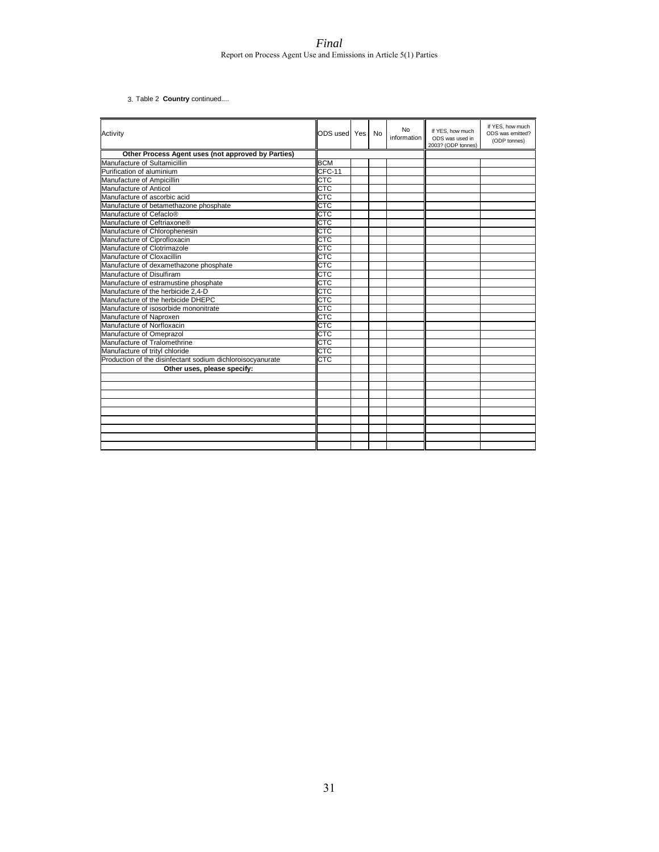3. Table 2 **Country** continued....

| Activity                                                   | ODS used   Yes | No | No<br>information | If YES, how much<br>ODS was used in<br>2003? (ODP tonnes) | If YES, how much<br>ODS was emitted?<br>(ODP tonnes) |
|------------------------------------------------------------|----------------|----|-------------------|-----------------------------------------------------------|------------------------------------------------------|
| Other Process Agent uses (not approved by Parties)         |                |    |                   |                                                           |                                                      |
| Manufacture of Sultamicillin                               | <b>BCM</b>     |    |                   |                                                           |                                                      |
| Purification of aluminium                                  | CFC-11         |    |                   |                                                           |                                                      |
| Manufacture of Ampicillin                                  | CTC            |    |                   |                                                           |                                                      |
| Manufacture of Anticol                                     | CTC            |    |                   |                                                           |                                                      |
| Manufacture of ascorbic acid                               | CTC            |    |                   |                                                           |                                                      |
| Manufacture of betamethazone phosphate                     | CTC            |    |                   |                                                           |                                                      |
| Manufacture of Cefaclo®                                    | CTC            |    |                   |                                                           |                                                      |
| Manufacture of Ceftriaxone®                                | CTC            |    |                   |                                                           |                                                      |
| Manufacture of Chlorophenesin                              | CTC            |    |                   |                                                           |                                                      |
| Manufacture of Ciprofloxacin                               | CTC            |    |                   |                                                           |                                                      |
| Manufacture of Clotrimazole                                | <b>CTC</b>     |    |                   |                                                           |                                                      |
| Manufacture of Cloxacillin                                 | CTC            |    |                   |                                                           |                                                      |
| Manufacture of dexamethazone phosphate                     | <b>CTC</b>     |    |                   |                                                           |                                                      |
| Manufacture of Disulfiram                                  | CTC            |    |                   |                                                           |                                                      |
| Manufacture of estramustine phosphate                      | CTC            |    |                   |                                                           |                                                      |
| Manufacture of the herbicide 2.4-D                         | CTC            |    |                   |                                                           |                                                      |
| Manufacture of the herbicide DHEPC                         | CTC            |    |                   |                                                           |                                                      |
| Manufacture of isosorbide mononitrate                      | CTC            |    |                   |                                                           |                                                      |
| Manufacture of Naproxen                                    | CTC            |    |                   |                                                           |                                                      |
| Manufacture of Norfloxacin                                 | CTC            |    |                   |                                                           |                                                      |
| Manufacture of Omeprazol                                   | CTC            |    |                   |                                                           |                                                      |
| Manufacture of Tralomethrine                               | CTC            |    |                   |                                                           |                                                      |
| Manufacture of trityl chloride                             | <b>CTC</b>     |    |                   |                                                           |                                                      |
| Production of the disinfectant sodium dichloroisocyanurate | CTC            |    |                   |                                                           |                                                      |
| Other uses, please specify:                                |                |    |                   |                                                           |                                                      |
|                                                            |                |    |                   |                                                           |                                                      |
|                                                            |                |    |                   |                                                           |                                                      |
|                                                            |                |    |                   |                                                           |                                                      |
|                                                            |                |    |                   |                                                           |                                                      |
|                                                            |                |    |                   |                                                           |                                                      |
|                                                            |                |    |                   |                                                           |                                                      |
|                                                            |                |    |                   |                                                           |                                                      |
|                                                            |                |    |                   |                                                           |                                                      |
|                                                            |                |    |                   |                                                           |                                                      |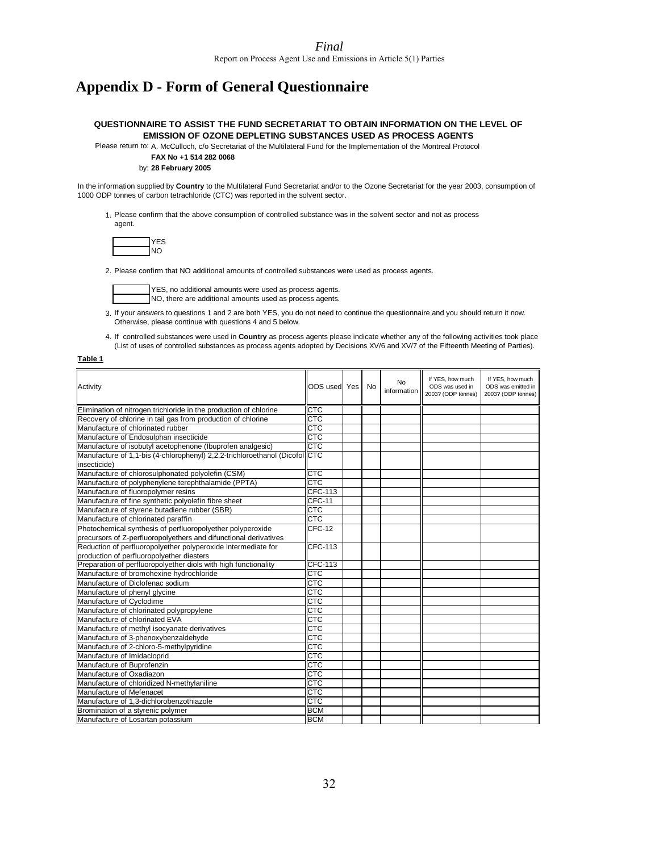## **Appendix D - Form of General Questionnaire**

#### **QUESTIONNAIRE TO ASSIST THE FUND SECRETARIAT TO OBTAIN INFORMATION ON THE LEVEL OF EMISSION OF OZONE DEPLETING SUBSTANCES USED AS PROCESS AGENTS**

Please return to: A. McCulloch, c/o Secretariat of the Multilateral Fund for the Implementation of the Montreal Protocol

### **FAX No +1 514 282 0068**

#### by: **28 February 2005**

In the information supplied by **Country** to the Multilateral Fund Secretariat and/or to the Ozone Secretariat for the year 2003, consumption of 1000 ODP tonnes of carbon tetrachloride (CTC) was reported in the solvent sector.

1. Please confirm that the above consumption of controlled substance was in the solvent sector and not as process agent.

2. Please confirm that NO additional amounts of controlled substances were used as process agents.

TYES, no additional amounts were used as process agents. NO, there are additional amounts used as process agents.

3. If your answers to questions 1 and 2 are both YES, you do not need to continue the questionnaire and you should return it now. Otherwise, please continue with questions 4 and 5 below.

4. If controlled substances were used in **Country** as process agents please indicate whether any of the following activities took place (List of uses of controlled substances as process agents adopted by Decisions XV/6 and XV/7 of the Fifteenth Meeting of Parties).

#### **Table 1**

| Activity                                                                    | ODS used   Yes | No | <b>No</b><br>information | If YES, how much<br>ODS was used in<br>2003? (ODP tonnes) | If YES, how much<br>ODS was emitted in<br>2003? (ODP tonnes) |
|-----------------------------------------------------------------------------|----------------|----|--------------------------|-----------------------------------------------------------|--------------------------------------------------------------|
| Elimination of nitrogen trichloride in the production of chlorine           | CTC            |    |                          |                                                           |                                                              |
| Recovery of chlorine in tail gas from production of chlorine                | CTC            |    |                          |                                                           |                                                              |
| Manufacture of chlorinated rubber                                           | CTC            |    |                          |                                                           |                                                              |
| Manufacture of Endosulphan insecticide                                      | CTC            |    |                          |                                                           |                                                              |
| Manufacture of isobutyl acetophenone (Ibuprofen analgesic)                  | <b>CTC</b>     |    |                          |                                                           |                                                              |
| Manufacture of 1,1-bis (4-chlorophenyl) 2,2,2-trichloroethanol (Dicofol CTC |                |    |                          |                                                           |                                                              |
| insecticide)                                                                |                |    |                          |                                                           |                                                              |
| Manufacture of chlorosulphonated polyolefin (CSM)                           | <b>CTC</b>     |    |                          |                                                           |                                                              |
| Manufacture of polyphenylene terephthalamide (PPTA)                         | CTC            |    |                          |                                                           |                                                              |
| Manufacture of fluoropolymer resins                                         | <b>CFC-113</b> |    |                          |                                                           |                                                              |
| Manufacture of fine synthetic polyolefin fibre sheet                        | $CFC-11$       |    |                          |                                                           |                                                              |
| Manufacture of styrene butadiene rubber (SBR)                               | CTC            |    |                          |                                                           |                                                              |
| Manufacture of chlorinated paraffin                                         | <b>CTC</b>     |    |                          |                                                           |                                                              |
| Photochemical synthesis of perfluoropolyether polyperoxide                  | CFC-12         |    |                          |                                                           |                                                              |
| precursors of Z-perfluoropolyethers and difunctional derivatives            |                |    |                          |                                                           |                                                              |
| Reduction of perfluoropolyether polyperoxide intermediate for               | <b>CFC-113</b> |    |                          |                                                           |                                                              |
| production of perfluoropolyether diesters                                   |                |    |                          |                                                           |                                                              |
| Preparation of perfluoropolyether diols with high functionality             | <b>CFC-113</b> |    |                          |                                                           |                                                              |
| Manufacture of bromohexine hydrochloride                                    | <b>CTC</b>     |    |                          |                                                           |                                                              |
| Manufacture of Diclofenac sodium                                            | <b>CTC</b>     |    |                          |                                                           |                                                              |
| Manufacture of phenyl glycine                                               | CTC            |    |                          |                                                           |                                                              |
| Manufacture of Cyclodime                                                    | <b>CTC</b>     |    |                          |                                                           |                                                              |
| Manufacture of chlorinated polypropylene                                    | <b>CTC</b>     |    |                          |                                                           |                                                              |
| Manufacture of chlorinated EVA                                              | CTC            |    |                          |                                                           |                                                              |
| Manufacture of methyl isocyanate derivatives                                | <b>CTC</b>     |    |                          |                                                           |                                                              |
| Manufacture of 3-phenoxybenzaldehyde                                        | CTC            |    |                          |                                                           |                                                              |
| Manufacture of 2-chloro-5-methylpyridine                                    | CTC            |    |                          |                                                           |                                                              |
| Manufacture of Imidacloprid                                                 | CTC            |    |                          |                                                           |                                                              |
| Manufacture of Buprofenzin                                                  | СTC            |    |                          |                                                           |                                                              |
| Manufacture of Oxadiazon                                                    | CTC            |    |                          |                                                           |                                                              |
| Manufacture of chloridized N-methylaniline                                  | <b>CTC</b>     |    |                          |                                                           |                                                              |
| Manufacture of Mefenacet                                                    | <b>CTC</b>     |    |                          |                                                           |                                                              |
| Manufacture of 1.3-dichlorobenzothiazole                                    | CTC            |    |                          |                                                           |                                                              |
| Bromination of a styrenic polymer                                           | <b>BCM</b>     |    |                          |                                                           |                                                              |
| Manufacture of Losartan potassium                                           | <b>BCM</b>     |    |                          |                                                           |                                                              |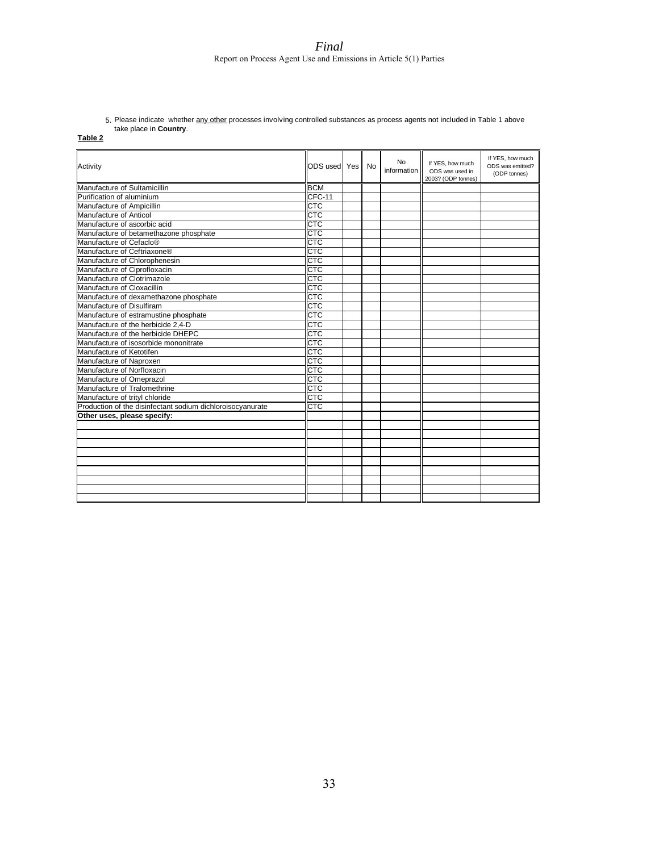5. Please indicate whether <u>any other</u> processes involving controlled substances as process agents not included in Table 1 above take place in **Country**.

| abı |  | ٠ |
|-----|--|---|
|-----|--|---|

| Activity                                                   | ODS used   Yes | No | No<br>information | If YES, how much<br>ODS was used in<br>2003? (ODP tonnes) | If YES, how much<br>ODS was emitted?<br>(ODP tonnes) |
|------------------------------------------------------------|----------------|----|-------------------|-----------------------------------------------------------|------------------------------------------------------|
| Manufacture of Sultamicillin                               | <b>BCM</b>     |    |                   |                                                           |                                                      |
| Purification of aluminium                                  | CFC-11         |    |                   |                                                           |                                                      |
| Manufacture of Ampicillin                                  | CTC            |    |                   |                                                           |                                                      |
| Manufacture of Anticol                                     | CTC            |    |                   |                                                           |                                                      |
| Manufacture of ascorbic acid                               | CTC            |    |                   |                                                           |                                                      |
| Manufacture of betamethazone phosphate                     | CTC            |    |                   |                                                           |                                                      |
| Manufacture of Cefaclo <sup>®</sup>                        | CTC            |    |                   |                                                           |                                                      |
| Manufacture of Ceftriaxone®                                | CTC            |    |                   |                                                           |                                                      |
| Manufacture of Chlorophenesin                              | CTC            |    |                   |                                                           |                                                      |
| Manufacture of Ciprofloxacin                               | <b>CTC</b>     |    |                   |                                                           |                                                      |
| Manufacture of Clotrimazole                                | <b>CTC</b>     |    |                   |                                                           |                                                      |
| Manufacture of Cloxacillin                                 | <b>CTC</b>     |    |                   |                                                           |                                                      |
| Manufacture of dexamethazone phosphate                     | СТС            |    |                   |                                                           |                                                      |
| Manufacture of Disulfiram                                  | <b>CTC</b>     |    |                   |                                                           |                                                      |
| Manufacture of estramustine phosphate                      | CTC            |    |                   |                                                           |                                                      |
| Manufacture of the herbicide 2,4-D                         | СТС            |    |                   |                                                           |                                                      |
| Manufacture of the herbicide DHEPC                         | CTC            |    |                   |                                                           |                                                      |
| Manufacture of isosorbide mononitrate                      | СТС            |    |                   |                                                           |                                                      |
| Manufacture of Ketotifen                                   | <b>CTC</b>     |    |                   |                                                           |                                                      |
| Manufacture of Naproxen                                    | СТС            |    |                   |                                                           |                                                      |
| Manufacture of Norfloxacin                                 | CTC            |    |                   |                                                           |                                                      |
| Manufacture of Omeprazol                                   | CTC            |    |                   |                                                           |                                                      |
| Manufacture of Tralomethrine                               | <b>CTC</b>     |    |                   |                                                           |                                                      |
| Manufacture of trityl chloride                             | CTC            |    |                   |                                                           |                                                      |
| Production of the disinfectant sodium dichloroisocyanurate | CTC            |    |                   |                                                           |                                                      |
| Other uses, please specify:                                |                |    |                   |                                                           |                                                      |
|                                                            |                |    |                   |                                                           |                                                      |
|                                                            |                |    |                   |                                                           |                                                      |
|                                                            |                |    |                   |                                                           |                                                      |
|                                                            |                |    |                   |                                                           |                                                      |
|                                                            |                |    |                   |                                                           |                                                      |
|                                                            |                |    |                   |                                                           |                                                      |
|                                                            |                |    |                   |                                                           |                                                      |
|                                                            |                |    |                   |                                                           |                                                      |
|                                                            |                |    |                   |                                                           |                                                      |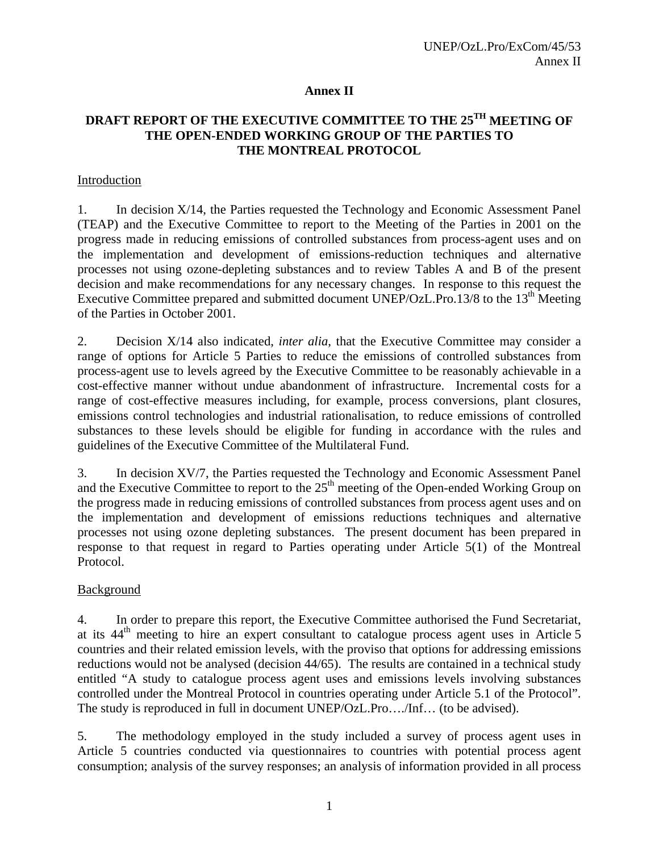### **Annex II**

## **DRAFT REPORT OF THE EXECUTIVE COMMITTEE TO THE 25TH MEETING OF THE OPEN-ENDED WORKING GROUP OF THE PARTIES TO THE MONTREAL PROTOCOL**

### Introduction

1. In decision X/14, the Parties requested the Technology and Economic Assessment Panel (TEAP) and the Executive Committee to report to the Meeting of the Parties in 2001 on the progress made in reducing emissions of controlled substances from process-agent uses and on the implementation and development of emissions-reduction techniques and alternative processes not using ozone-depleting substances and to review Tables A and B of the present decision and make recommendations for any necessary changes. In response to this request the Executive Committee prepared and submitted document UNEP/OzL.Pro.13/8 to the 13<sup>th</sup> Meeting of the Parties in October 2001.

2. Decision X/14 also indicated, *inter alia*, that the Executive Committee may consider a range of options for Article 5 Parties to reduce the emissions of controlled substances from process-agent use to levels agreed by the Executive Committee to be reasonably achievable in a cost-effective manner without undue abandonment of infrastructure. Incremental costs for a range of cost-effective measures including, for example, process conversions, plant closures, emissions control technologies and industrial rationalisation, to reduce emissions of controlled substances to these levels should be eligible for funding in accordance with the rules and guidelines of the Executive Committee of the Multilateral Fund.

3. In decision XV/7, the Parties requested the Technology and Economic Assessment Panel and the Executive Committee to report to the  $25<sup>th</sup>$  meeting of the Open-ended Working Group on the progress made in reducing emissions of controlled substances from process agent uses and on the implementation and development of emissions reductions techniques and alternative processes not using ozone depleting substances. The present document has been prepared in response to that request in regard to Parties operating under Article 5(1) of the Montreal Protocol.

### Background

4. In order to prepare this report, the Executive Committee authorised the Fund Secretariat, at its  $44<sup>th</sup>$  meeting to hire an expert consultant to catalogue process agent uses in Article 5 countries and their related emission levels, with the proviso that options for addressing emissions reductions would not be analysed (decision 44/65). The results are contained in a technical study entitled "A study to catalogue process agent uses and emissions levels involving substances controlled under the Montreal Protocol in countries operating under Article 5.1 of the Protocol". The study is reproduced in full in document UNEP/OzL.Pro…./Inf… (to be advised).

5. The methodology employed in the study included a survey of process agent uses in Article 5 countries conducted via questionnaires to countries with potential process agent consumption; analysis of the survey responses; an analysis of information provided in all process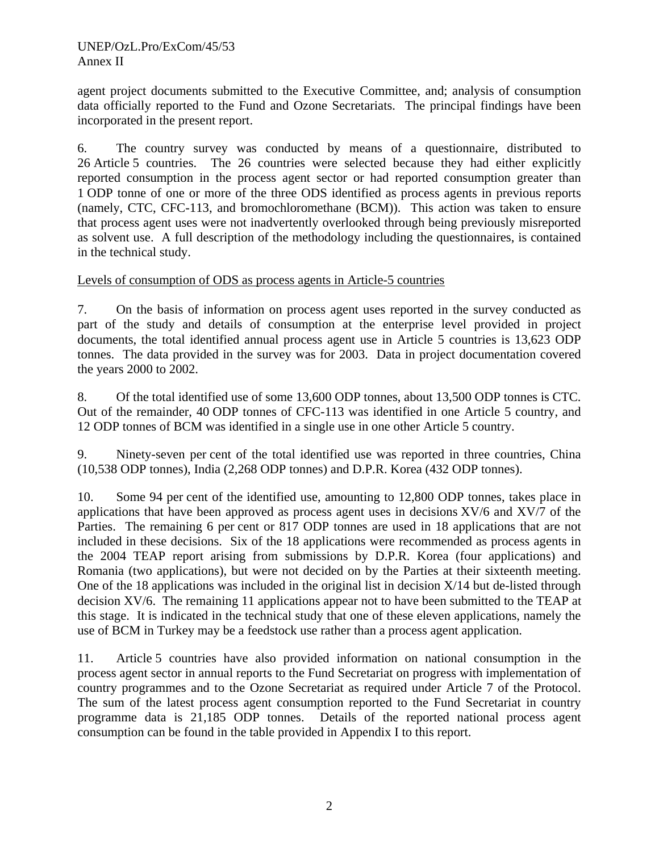agent project documents submitted to the Executive Committee, and; analysis of consumption data officially reported to the Fund and Ozone Secretariats. The principal findings have been incorporated in the present report.

6. The country survey was conducted by means of a questionnaire, distributed to 26 Article 5 countries. The 26 countries were selected because they had either explicitly reported consumption in the process agent sector or had reported consumption greater than 1 ODP tonne of one or more of the three ODS identified as process agents in previous reports (namely, CTC, CFC-113, and bromochloromethane (BCM)). This action was taken to ensure that process agent uses were not inadvertently overlooked through being previously misreported as solvent use. A full description of the methodology including the questionnaires, is contained in the technical study.

### Levels of consumption of ODS as process agents in Article-5 countries

7. On the basis of information on process agent uses reported in the survey conducted as part of the study and details of consumption at the enterprise level provided in project documents, the total identified annual process agent use in Article 5 countries is 13,623 ODP tonnes. The data provided in the survey was for 2003. Data in project documentation covered the years 2000 to 2002.

8. Of the total identified use of some 13,600 ODP tonnes, about 13,500 ODP tonnes is CTC. Out of the remainder, 40 ODP tonnes of CFC-113 was identified in one Article 5 country, and 12 ODP tonnes of BCM was identified in a single use in one other Article 5 country.

9. Ninety-seven per cent of the total identified use was reported in three countries, China (10,538 ODP tonnes), India (2,268 ODP tonnes) and D.P.R. Korea (432 ODP tonnes).

10. Some 94 per cent of the identified use, amounting to 12,800 ODP tonnes, takes place in applications that have been approved as process agent uses in decisions XV/6 and XV/7 of the Parties. The remaining 6 per cent or 817 ODP tonnes are used in 18 applications that are not included in these decisions. Six of the 18 applications were recommended as process agents in the 2004 TEAP report arising from submissions by D.P.R. Korea (four applications) and Romania (two applications), but were not decided on by the Parties at their sixteenth meeting. One of the 18 applications was included in the original list in decision  $X/14$  but de-listed through decision XV/6. The remaining 11 applications appear not to have been submitted to the TEAP at this stage. It is indicated in the technical study that one of these eleven applications, namely the use of BCM in Turkey may be a feedstock use rather than a process agent application.

11. Article 5 countries have also provided information on national consumption in the process agent sector in annual reports to the Fund Secretariat on progress with implementation of country programmes and to the Ozone Secretariat as required under Article 7 of the Protocol. The sum of the latest process agent consumption reported to the Fund Secretariat in country programme data is 21,185 ODP tonnes. Details of the reported national process agent consumption can be found in the table provided in Appendix I to this report.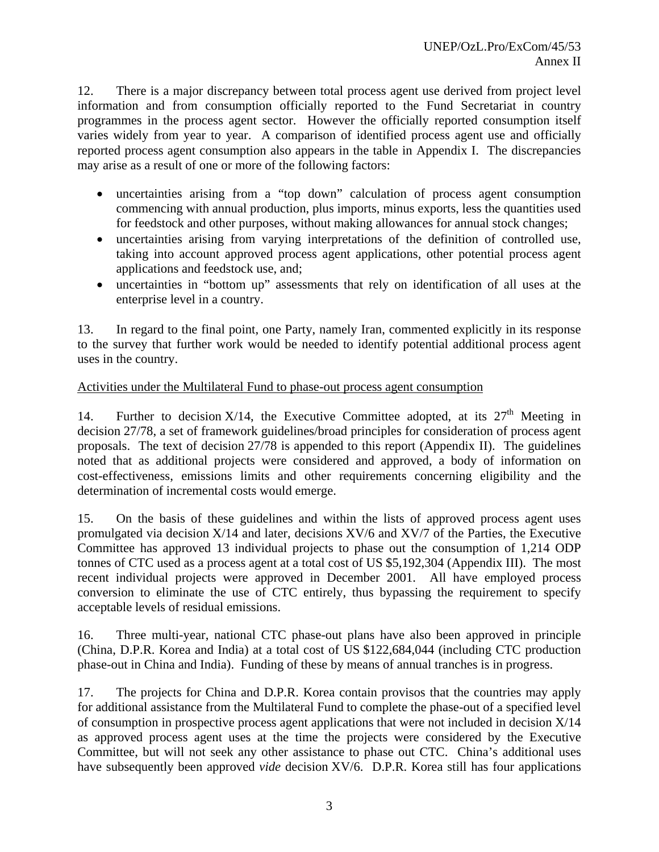12. There is a major discrepancy between total process agent use derived from project level information and from consumption officially reported to the Fund Secretariat in country programmes in the process agent sector. However the officially reported consumption itself varies widely from year to year. A comparison of identified process agent use and officially reported process agent consumption also appears in the table in Appendix I. The discrepancies may arise as a result of one or more of the following factors:

- uncertainties arising from a "top down" calculation of process agent consumption commencing with annual production, plus imports, minus exports, less the quantities used for feedstock and other purposes, without making allowances for annual stock changes;
- uncertainties arising from varying interpretations of the definition of controlled use, taking into account approved process agent applications, other potential process agent applications and feedstock use, and;
- uncertainties in "bottom up" assessments that rely on identification of all uses at the enterprise level in a country.

13. In regard to the final point, one Party, namely Iran, commented explicitly in its response to the survey that further work would be needed to identify potential additional process agent uses in the country.

## Activities under the Multilateral Fund to phase-out process agent consumption

14. Further to decision  $X/14$ , the Executive Committee adopted, at its  $27<sup>th</sup>$  Meeting in decision 27/78, a set of framework guidelines/broad principles for consideration of process agent proposals. The text of decision 27/78 is appended to this report (Appendix II). The guidelines noted that as additional projects were considered and approved, a body of information on cost-effectiveness, emissions limits and other requirements concerning eligibility and the determination of incremental costs would emerge.

15. On the basis of these guidelines and within the lists of approved process agent uses promulgated via decision X/14 and later, decisions XV/6 and XV/7 of the Parties, the Executive Committee has approved 13 individual projects to phase out the consumption of 1,214 ODP tonnes of CTC used as a process agent at a total cost of US \$5,192,304 (Appendix III). The most recent individual projects were approved in December 2001. All have employed process conversion to eliminate the use of CTC entirely, thus bypassing the requirement to specify acceptable levels of residual emissions.

16. Three multi-year, national CTC phase-out plans have also been approved in principle (China, D.P.R. Korea and India) at a total cost of US \$122,684,044 (including CTC production phase-out in China and India). Funding of these by means of annual tranches is in progress.

17. The projects for China and D.P.R. Korea contain provisos that the countries may apply for additional assistance from the Multilateral Fund to complete the phase-out of a specified level of consumption in prospective process agent applications that were not included in decision X/14 as approved process agent uses at the time the projects were considered by the Executive Committee, but will not seek any other assistance to phase out CTC. China's additional uses have subsequently been approved *vide* decision XV/6. D.P.R. Korea still has four applications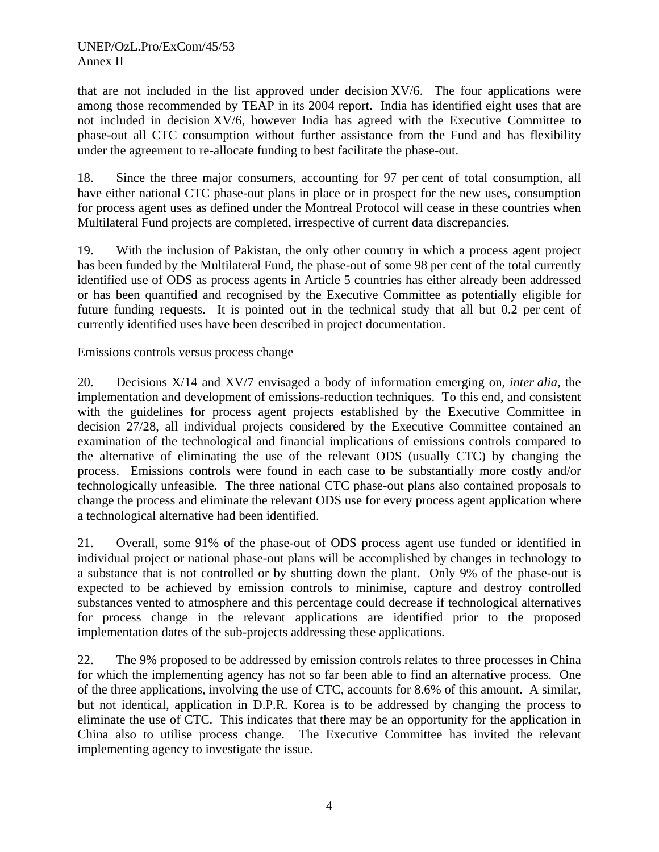that are not included in the list approved under decision XV/6. The four applications were among those recommended by TEAP in its 2004 report. India has identified eight uses that are not included in decision XV/6, however India has agreed with the Executive Committee to phase-out all CTC consumption without further assistance from the Fund and has flexibility under the agreement to re-allocate funding to best facilitate the phase-out.

18. Since the three major consumers, accounting for 97 per cent of total consumption, all have either national CTC phase-out plans in place or in prospect for the new uses, consumption for process agent uses as defined under the Montreal Protocol will cease in these countries when Multilateral Fund projects are completed, irrespective of current data discrepancies.

19. With the inclusion of Pakistan, the only other country in which a process agent project has been funded by the Multilateral Fund, the phase-out of some 98 per cent of the total currently identified use of ODS as process agents in Article 5 countries has either already been addressed or has been quantified and recognised by the Executive Committee as potentially eligible for future funding requests. It is pointed out in the technical study that all but 0.2 per cent of currently identified uses have been described in project documentation.

### Emissions controls versus process change

20. Decisions X/14 and XV/7 envisaged a body of information emerging on, *inter alia*, the implementation and development of emissions-reduction techniques. To this end, and consistent with the guidelines for process agent projects established by the Executive Committee in decision 27/28, all individual projects considered by the Executive Committee contained an examination of the technological and financial implications of emissions controls compared to the alternative of eliminating the use of the relevant ODS (usually CTC) by changing the process. Emissions controls were found in each case to be substantially more costly and/or technologically unfeasible. The three national CTC phase-out plans also contained proposals to change the process and eliminate the relevant ODS use for every process agent application where a technological alternative had been identified.

21. Overall, some 91% of the phase-out of ODS process agent use funded or identified in individual project or national phase-out plans will be accomplished by changes in technology to a substance that is not controlled or by shutting down the plant. Only 9% of the phase-out is expected to be achieved by emission controls to minimise, capture and destroy controlled substances vented to atmosphere and this percentage could decrease if technological alternatives for process change in the relevant applications are identified prior to the proposed implementation dates of the sub-projects addressing these applications.

22. The 9% proposed to be addressed by emission controls relates to three processes in China for which the implementing agency has not so far been able to find an alternative process. One of the three applications, involving the use of CTC, accounts for 8.6% of this amount. A similar, but not identical, application in D.P.R. Korea is to be addressed by changing the process to eliminate the use of CTC. This indicates that there may be an opportunity for the application in China also to utilise process change. The Executive Committee has invited the relevant implementing agency to investigate the issue.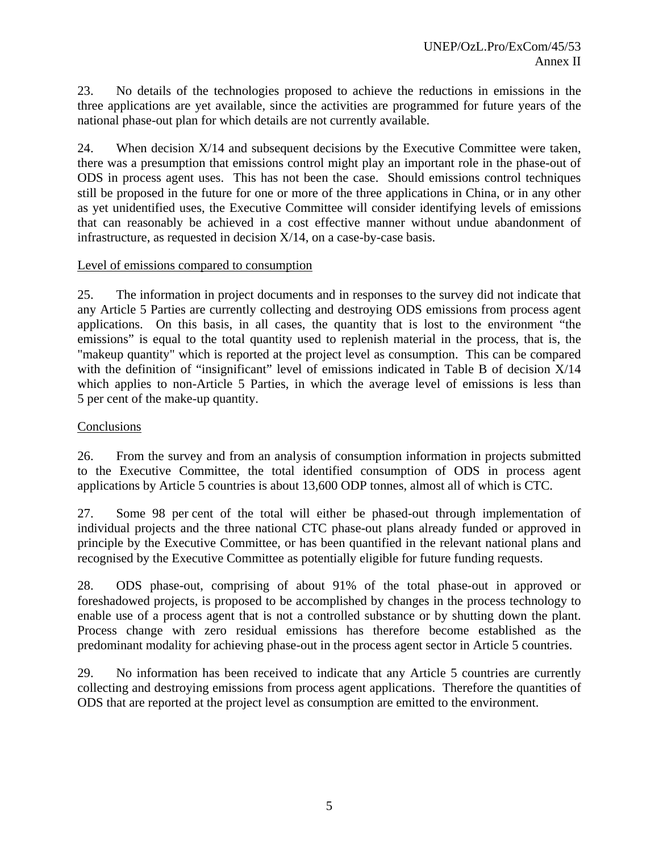23. No details of the technologies proposed to achieve the reductions in emissions in the three applications are yet available, since the activities are programmed for future years of the national phase-out plan for which details are not currently available.

24. When decision X/14 and subsequent decisions by the Executive Committee were taken, there was a presumption that emissions control might play an important role in the phase-out of ODS in process agent uses. This has not been the case. Should emissions control techniques still be proposed in the future for one or more of the three applications in China, or in any other as yet unidentified uses, the Executive Committee will consider identifying levels of emissions that can reasonably be achieved in a cost effective manner without undue abandonment of infrastructure, as requested in decision X/14, on a case-by-case basis.

### Level of emissions compared to consumption

25. The information in project documents and in responses to the survey did not indicate that any Article 5 Parties are currently collecting and destroying ODS emissions from process agent applications. On this basis, in all cases, the quantity that is lost to the environment "the emissions" is equal to the total quantity used to replenish material in the process, that is, the "makeup quantity" which is reported at the project level as consumption. This can be compared with the definition of "insignificant" level of emissions indicated in Table B of decision X/14 which applies to non-Article 5 Parties, in which the average level of emissions is less than 5 per cent of the make-up quantity.

### **Conclusions**

26. From the survey and from an analysis of consumption information in projects submitted to the Executive Committee, the total identified consumption of ODS in process agent applications by Article 5 countries is about 13,600 ODP tonnes, almost all of which is CTC.

27. Some 98 per cent of the total will either be phased-out through implementation of individual projects and the three national CTC phase-out plans already funded or approved in principle by the Executive Committee, or has been quantified in the relevant national plans and recognised by the Executive Committee as potentially eligible for future funding requests.

28. ODS phase-out, comprising of about 91% of the total phase-out in approved or foreshadowed projects, is proposed to be accomplished by changes in the process technology to enable use of a process agent that is not a controlled substance or by shutting down the plant. Process change with zero residual emissions has therefore become established as the predominant modality for achieving phase-out in the process agent sector in Article 5 countries.

29. No information has been received to indicate that any Article 5 countries are currently collecting and destroying emissions from process agent applications. Therefore the quantities of ODS that are reported at the project level as consumption are emitted to the environment.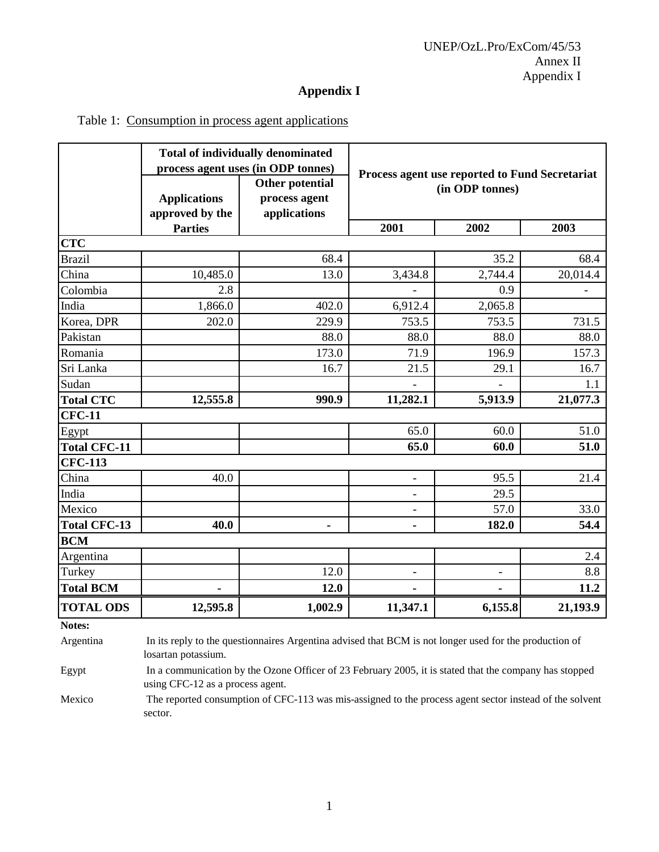## **Appendix I**

|  |  | Table 1: Consumption in process agent applications |
|--|--|----------------------------------------------------|
|  |  |                                                    |

|                            | <b>Total of individually denominated</b><br>process agent uses (in ODP tonnes) |                                                  | Process agent use reported to Fund Secretariat |                          |          |  |
|----------------------------|--------------------------------------------------------------------------------|--------------------------------------------------|------------------------------------------------|--------------------------|----------|--|
|                            | <b>Applications</b><br>approved by the                                         | Other potential<br>process agent<br>applications | (in ODP tonnes)                                |                          |          |  |
|                            | <b>Parties</b>                                                                 |                                                  | 2001                                           | 2002                     | 2003     |  |
| <b>CTC</b>                 |                                                                                |                                                  |                                                |                          |          |  |
| <b>Brazil</b>              |                                                                                | 68.4                                             |                                                | 35.2                     | 68.4     |  |
| China                      | 10,485.0                                                                       | 13.0                                             | 3,434.8                                        | 2,744.4                  | 20,014.4 |  |
| Colombia                   | 2.8                                                                            |                                                  |                                                | 0.9                      |          |  |
| India                      | 1,866.0                                                                        | 402.0                                            | 6,912.4                                        | 2,065.8                  |          |  |
| Korea, DPR                 | 202.0                                                                          | 229.9                                            | 753.5                                          | 753.5                    | 731.5    |  |
| Pakistan                   |                                                                                | 88.0                                             | 88.0                                           | 88.0                     | 88.0     |  |
| Romania                    |                                                                                | 173.0                                            | 71.9                                           | 196.9                    | 157.3    |  |
| Sri Lanka                  |                                                                                | 16.7                                             | 21.5                                           | 29.1                     | 16.7     |  |
| Sudan                      |                                                                                |                                                  |                                                |                          | 1.1      |  |
| <b>Total CTC</b>           | 12,555.8                                                                       | 990.9                                            | 11,282.1                                       | 5,913.9                  | 21,077.3 |  |
| <b>CFC-11</b>              |                                                                                |                                                  |                                                |                          |          |  |
| Egypt                      |                                                                                |                                                  | 65.0                                           | 60.0                     | 51.0     |  |
| <b>Total CFC-11</b>        |                                                                                |                                                  | 65.0                                           | 60.0                     | 51.0     |  |
| <b>CFC-113</b>             |                                                                                |                                                  |                                                |                          |          |  |
| China                      | 40.0                                                                           |                                                  |                                                | 95.5                     | 21.4     |  |
| India                      |                                                                                |                                                  | $\overline{\phantom{a}}$                       | 29.5                     |          |  |
| Mexico                     |                                                                                |                                                  |                                                | 57.0                     | 33.0     |  |
| <b>Total CFC-13</b>        | 40.0                                                                           |                                                  |                                                | 182.0                    | 54.4     |  |
| <b>BCM</b>                 |                                                                                |                                                  |                                                |                          |          |  |
| Argentina                  |                                                                                |                                                  |                                                |                          | 2.4      |  |
| Turkey                     |                                                                                | 12.0                                             | $\overline{\phantom{a}}$                       | $\overline{\phantom{a}}$ | 8.8      |  |
| <b>Total BCM</b>           |                                                                                | 12.0                                             |                                                |                          | 11.2     |  |
| <b>TOTAL ODS</b><br>Notes. | 12,595.8                                                                       | 1,002.9                                          | 11,347.1                                       | 6,155.8                  | 21,193.9 |  |

**Notes:**

Argentina In its reply to the questionnaires Argentina advised that BCM is not longer used for the production of losartan potassium.

Egypt In a communication by the Ozone Officer of 23 February 2005, it is stated that the company has stopped using CFC-12 as a process agent.

Mexico The reported consumption of CFC-113 was mis-assigned to the process agent sector instead of the solvent sector.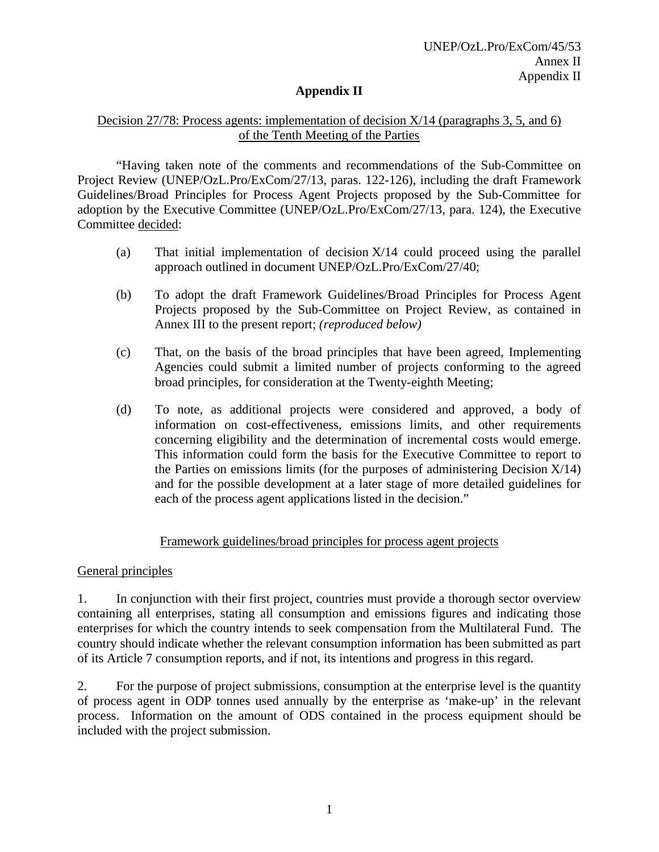### **Appendix II**

### Decision 27/78: Process agents: implementation of decision  $X/14$  (paragraphs 3, 5, and 6) of the Tenth Meeting of the Parties

"Having taken note of the comments and recommendations of the Sub-Committee on Project Review (UNEP/OzL.Pro/ExCom/27/13, paras. 122-126), including the draft Framework Guidelines/Broad Principles for Process Agent Projects proposed by the Sub-Committee for adoption by the Executive Committee (UNEP/OzL.Pro/ExCom/27/13, para. 124), the Executive Committee decided:

- (a) That initial implementation of decision X/14 could proceed using the parallel approach outlined in document UNEP/OzL.Pro/ExCom/27/40;
- (b) To adopt the draft Framework Guidelines/Broad Principles for Process Agent Projects proposed by the Sub-Committee on Project Review, as contained in Annex III to the present report; *(reproduced below)*
- (c) That, on the basis of the broad principles that have been agreed, Implementing Agencies could submit a limited number of projects conforming to the agreed broad principles, for consideration at the Twenty-eighth Meeting;
- (d) To note, as additional projects were considered and approved, a body of information on cost-effectiveness, emissions limits, and other requirements concerning eligibility and the determination of incremental costs would emerge. This information could form the basis for the Executive Committee to report to the Parties on emissions limits (for the purposes of administering Decision X/14) and for the possible development at a later stage of more detailed guidelines for each of the process agent applications listed in the decision."

### Framework guidelines/broad principles for process agent projects

### General principles

1. In conjunction with their first project, countries must provide a thorough sector overview containing all enterprises, stating all consumption and emissions figures and indicating those enterprises for which the country intends to seek compensation from the Multilateral Fund.The country should indicate whether the relevant consumption information has been submitted as part of its Article 7 consumption reports, and if not, its intentions and progress in this regard.

2. For the purpose of project submissions, consumption at the enterprise level is the quantity of process agent in ODP tonnes used annually by the enterprise as 'make-up' in the relevant process. Information on the amount of ODS contained in the process equipment should be included with the project submission.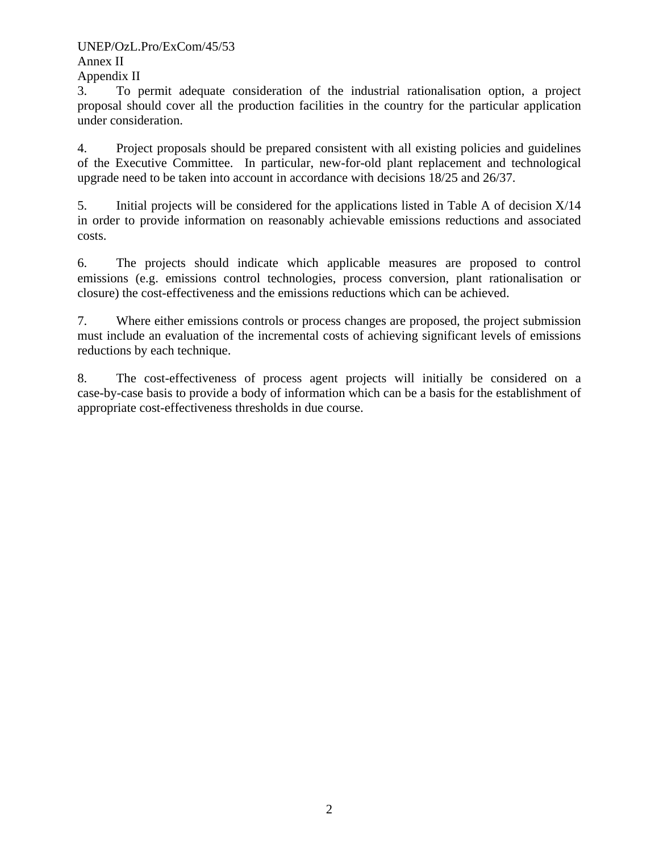### UNEP/OzL.Pro/ExCom/45/53

### Annex II

Appendix II

3. To permit adequate consideration of the industrial rationalisation option, a project proposal should cover all the production facilities in the country for the particular application under consideration.

4. Project proposals should be prepared consistent with all existing policies and guidelines of the Executive Committee. In particular, new-for-old plant replacement and technological upgrade need to be taken into account in accordance with decisions 18/25 and 26/37.

5. Initial projects will be considered for the applications listed in Table A of decision X/14 in order to provide information on reasonably achievable emissions reductions and associated costs.

6. The projects should indicate which applicable measures are proposed to control emissions (e.g. emissions control technologies, process conversion, plant rationalisation or closure) the cost-effectiveness and the emissions reductions which can be achieved.

7. Where either emissions controls or process changes are proposed, the project submission must include an evaluation of the incremental costs of achieving significant levels of emissions reductions by each technique.

8. The cost-effectiveness of process agent projects will initially be considered on a case-by-case basis to provide a body of information which can be a basis for the establishment of appropriate cost-effectiveness thresholds in due course.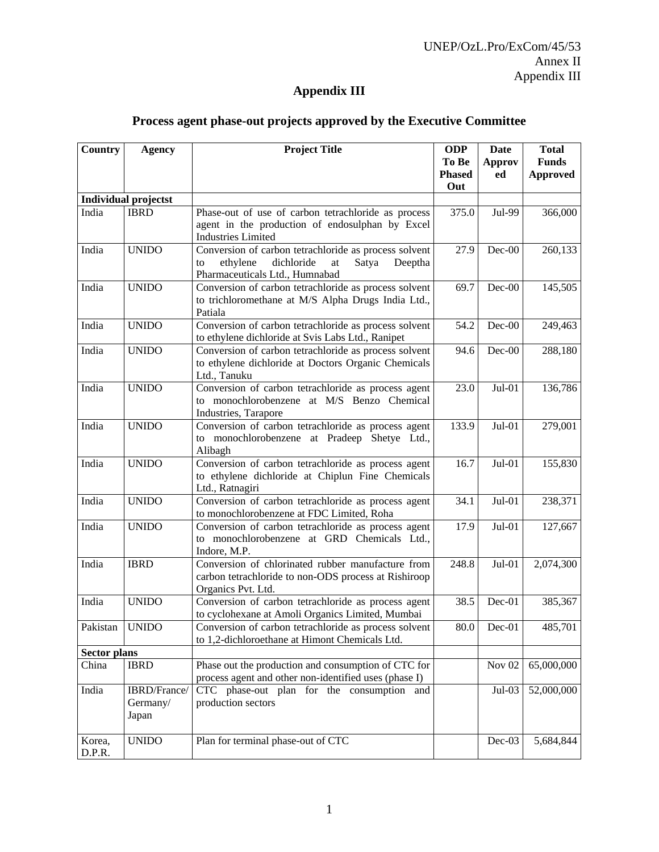## UNEP/OzL.Pro/ExCom/45/53 Annex II Appendix III

## **Appendix III**

| <b>Country</b>      | <b>Agency</b>               | <b>Project Title</b>                                                                                       | <b>ODP</b>    | <b>Date</b>       | <b>Total</b>    |
|---------------------|-----------------------------|------------------------------------------------------------------------------------------------------------|---------------|-------------------|-----------------|
|                     |                             |                                                                                                            | To Be         | <b>Approv</b>     | <b>Funds</b>    |
|                     |                             |                                                                                                            | <b>Phased</b> | ed                | <b>Approved</b> |
|                     |                             |                                                                                                            | Out           |                   |                 |
|                     | <b>Individual projectst</b> |                                                                                                            |               |                   |                 |
| India               | <b>IBRD</b>                 | Phase-out of use of carbon tetrachloride as process                                                        | 375.0         | Jul-99            | 366,000         |
|                     |                             | agent in the production of endosulphan by Excel                                                            |               |                   |                 |
|                     |                             | <b>Industries Limited</b>                                                                                  |               |                   |                 |
| India               | <b>UNIDO</b>                | Conversion of carbon tetrachloride as process solvent                                                      | 27.9          | $Dec-00$          | 260,133         |
|                     |                             | dichloride<br>ethylene<br>Satya<br>Deeptha<br>to<br>at                                                     |               |                   |                 |
|                     |                             | Pharmaceuticals Ltd., Humnabad                                                                             |               |                   |                 |
| India               | <b>UNIDO</b>                | Conversion of carbon tetrachloride as process solvent                                                      | 69.7          | $Dec-00$          | 145,505         |
|                     |                             | to trichloromethane at M/S Alpha Drugs India Ltd.,                                                         |               |                   |                 |
| India               | <b>UNIDO</b>                | Patiala                                                                                                    |               |                   |                 |
|                     |                             | Conversion of carbon tetrachloride as process solvent                                                      | 54.2          | Dec-00            | 249,463         |
| India               | <b>UNIDO</b>                | to ethylene dichloride at Svis Labs Ltd., Ranipet<br>Conversion of carbon tetrachloride as process solvent | 94.6          | Dec-00            | 288,180         |
|                     |                             | to ethylene dichloride at Doctors Organic Chemicals                                                        |               |                   |                 |
|                     |                             | Ltd., Tanuku                                                                                               |               |                   |                 |
| India               | <b>UNIDO</b>                | Conversion of carbon tetrachloride as process agent                                                        | 23.0          | $Jul-01$          | 136,786         |
|                     |                             | to monochlorobenzene at M/S Benzo Chemical                                                                 |               |                   |                 |
|                     |                             | Industries, Tarapore                                                                                       |               |                   |                 |
| India               | <b>UNIDO</b>                | Conversion of carbon tetrachloride as process agent                                                        | 133.9         | $Jul-01$          | 279,001         |
|                     |                             | to monochlorobenzene at Pradeep Shetye Ltd.,                                                               |               |                   |                 |
|                     |                             | Alibagh                                                                                                    |               |                   |                 |
| India               | <b>UNIDO</b>                | Conversion of carbon tetrachloride as process agent                                                        | 16.7          | $Jul-01$          | 155,830         |
|                     |                             | to ethylene dichloride at Chiplun Fine Chemicals                                                           |               |                   |                 |
|                     |                             | Ltd., Ratnagiri                                                                                            |               |                   |                 |
| India               | <b>UNIDO</b>                | Conversion of carbon tetrachloride as process agent                                                        | 34.1          | $Jul-01$          | 238,371         |
|                     |                             | to monochlorobenzene at FDC Limited, Roha                                                                  |               |                   |                 |
| India               | <b>UNIDO</b>                | Conversion of carbon tetrachloride as process agent                                                        | 17.9          | $Jul-01$          | 127,667         |
|                     |                             | to monochlorobenzene at GRD Chemicals Ltd.,                                                                |               |                   |                 |
|                     |                             | Indore, M.P.                                                                                               |               |                   |                 |
| India               | <b>IBRD</b>                 | Conversion of chlorinated rubber manufacture from                                                          | 248.8         | $Jul-01$          | 2,074,300       |
|                     |                             | carbon tetrachloride to non-ODS process at Rishiroop                                                       |               |                   |                 |
|                     |                             | Organics Pvt. Ltd.                                                                                         |               |                   |                 |
| India               | <b>UNIDO</b>                | Conversion of carbon tetrachloride as process agent                                                        | 38.5          | $Dec-01$          | 385,367         |
|                     |                             | to cyclohexane at Amoli Organics Limited, Mumbai                                                           |               |                   |                 |
| Pakistan            | <b>UNIDO</b>                | Conversion of carbon tetrachloride as process solvent                                                      |               | 80.0 Dec-01       | 485,701         |
|                     |                             | to 1,2-dichloroethane at Himont Chemicals Ltd.                                                             |               |                   |                 |
| <b>Sector plans</b> |                             | Phase out the production and consumption of CTC for                                                        |               |                   | 65,000,000      |
| China               | <b>IBRD</b>                 | process agent and other non-identified uses (phase I)                                                      |               | Nov <sub>02</sub> |                 |
| India               | IBRD/France/                | CTC phase-out plan for the consumption and                                                                 |               | $Jul-03$          | 52,000,000      |
|                     | Germany/                    | production sectors                                                                                         |               |                   |                 |
|                     | Japan                       |                                                                                                            |               |                   |                 |
|                     |                             |                                                                                                            |               |                   |                 |
| Korea,              | <b>UNIDO</b>                | Plan for terminal phase-out of CTC                                                                         |               | Dec-03            | 5,684,844       |
| D.P.R.              |                             |                                                                                                            |               |                   |                 |
|                     |                             |                                                                                                            |               |                   |                 |

## **Process agent phase-out projects approved by the Executive Committee**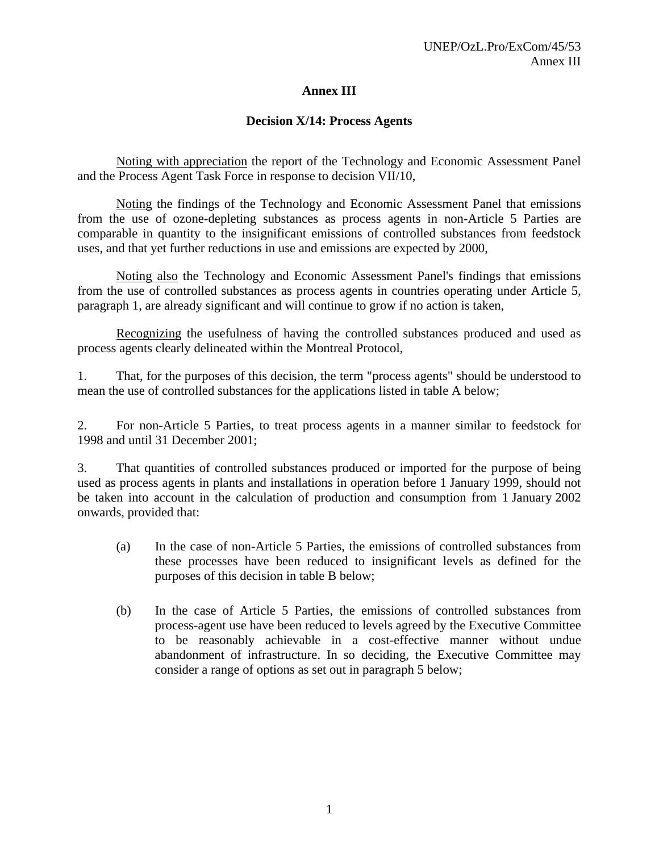## **Annex III**

### **Decision X/14: Process Agents**

 Noting with appreciation the report of the Technology and Economic Assessment Panel and the Process Agent Task Force in response to decision VII/10,

 Noting the findings of the Technology and Economic Assessment Panel that emissions from the use of ozone-depleting substances as process agents in non-Article 5 Parties are comparable in quantity to the insignificant emissions of controlled substances from feedstock uses, and that yet further reductions in use and emissions are expected by 2000,

 Noting also the Technology and Economic Assessment Panel's findings that emissions from the use of controlled substances as process agents in countries operating under Article 5, paragraph 1, are already significant and will continue to grow if no action is taken,

 Recognizing the usefulness of having the controlled substances produced and used as process agents clearly delineated within the Montreal Protocol,

1. That, for the purposes of this decision, the term "process agents" should be understood to mean the use of controlled substances for the applications listed in table A below;

2. For non-Article 5 Parties, to treat process agents in a manner similar to feedstock for 1998 and until 31 December 2001;

3. That quantities of controlled substances produced or imported for the purpose of being used as process agents in plants and installations in operation before 1 January 1999, should not be taken into account in the calculation of production and consumption from 1 January 2002 onwards, provided that:

- (a) In the case of non-Article 5 Parties, the emissions of controlled substances from these processes have been reduced to insignificant levels as defined for the purposes of this decision in table B below;
- (b) In the case of Article 5 Parties, the emissions of controlled substances from process-agent use have been reduced to levels agreed by the Executive Committee to be reasonably achievable in a cost-effective manner without undue abandonment of infrastructure. In so deciding, the Executive Committee may consider a range of options as set out in paragraph 5 below;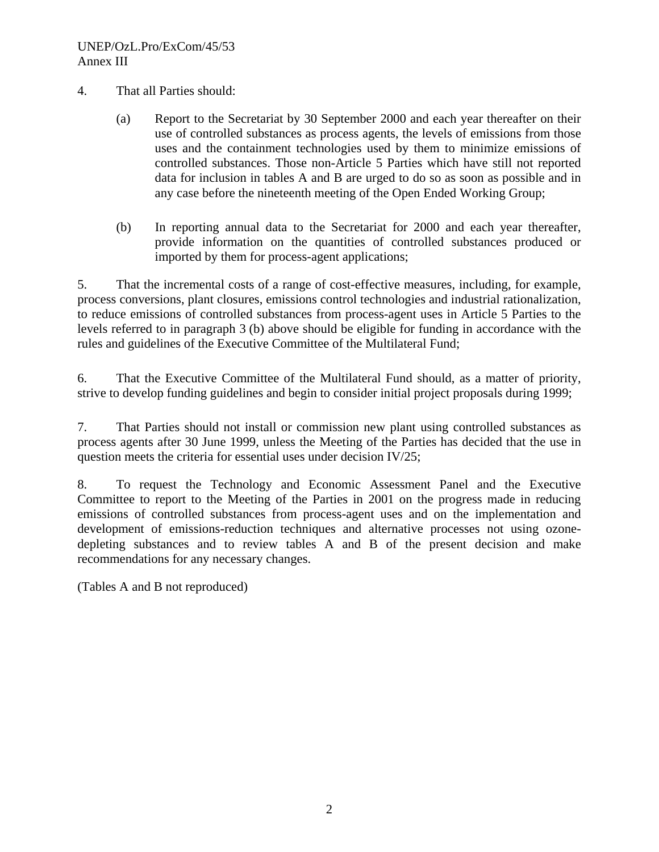- 4. That all Parties should:
	- (a) Report to the Secretariat by 30 September 2000 and each year thereafter on their use of controlled substances as process agents, the levels of emissions from those uses and the containment technologies used by them to minimize emissions of controlled substances. Those non-Article 5 Parties which have still not reported data for inclusion in tables A and B are urged to do so as soon as possible and in any case before the nineteenth meeting of the Open Ended Working Group;
	- (b) In reporting annual data to the Secretariat for 2000 and each year thereafter, provide information on the quantities of controlled substances produced or imported by them for process-agent applications;

5. That the incremental costs of a range of cost-effective measures, including, for example, process conversions, plant closures, emissions control technologies and industrial rationalization, to reduce emissions of controlled substances from process-agent uses in Article 5 Parties to the levels referred to in paragraph 3 (b) above should be eligible for funding in accordance with the rules and guidelines of the Executive Committee of the Multilateral Fund;

6. That the Executive Committee of the Multilateral Fund should, as a matter of priority, strive to develop funding guidelines and begin to consider initial project proposals during 1999;

7. That Parties should not install or commission new plant using controlled substances as process agents after 30 June 1999, unless the Meeting of the Parties has decided that the use in question meets the criteria for essential uses under decision IV/25;

8. To request the Technology and Economic Assessment Panel and the Executive Committee to report to the Meeting of the Parties in 2001 on the progress made in reducing emissions of controlled substances from process-agent uses and on the implementation and development of emissions-reduction techniques and alternative processes not using ozonedepleting substances and to review tables A and B of the present decision and make recommendations for any necessary changes.

(Tables A and B not reproduced)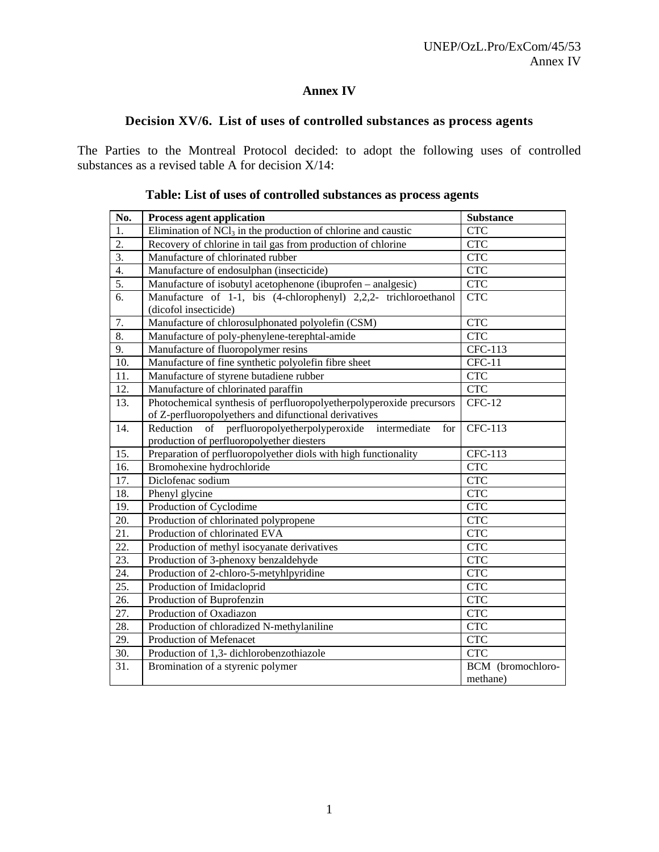### **Annex IV**

## **Decision XV/6. List of uses of controlled substances as process agents**

The Parties to the Montreal Protocol decided: to adopt the following uses of controlled substances as a revised table A for decision X/14:

| No.              | Process agent application                                                                                                     | Substance                     |
|------------------|-------------------------------------------------------------------------------------------------------------------------------|-------------------------------|
| $\overline{1}$ . | Elimination of $NCI_3$ in the production of chlorine and caustic                                                              | <b>CTC</b>                    |
| $\overline{2}$ . | Recovery of chlorine in tail gas from production of chlorine                                                                  | CTC                           |
| $\overline{3}$ . | Manufacture of chlorinated rubber                                                                                             | CTC                           |
| 4.               | Manufacture of endosulphan (insecticide)                                                                                      | <b>CTC</b>                    |
| 5.               | Manufacture of isobutyl acetophenone (ibuprofen - analgesic)                                                                  | <b>CTC</b>                    |
| 6.               | Manufacture of 1-1, bis (4-chlorophenyl) 2,2,2- trichloroethanol<br>(dicofol insecticide)                                     | <b>CTC</b>                    |
| 7.               | Manufacture of chlorosulphonated polyolefin (CSM)                                                                             | <b>CTC</b>                    |
| 8.               | Manufacture of poly-phenylene-terephtal-amide                                                                                 | <b>CTC</b>                    |
| 9.               | Manufacture of fluoropolymer resins                                                                                           | CFC-113                       |
| 10.              | Manufacture of fine synthetic polyolefin fibre sheet                                                                          | $CFC-11$                      |
| 11.              | Manufacture of styrene butadiene rubber                                                                                       | <b>CTC</b>                    |
| 12.              | Manufacture of chlorinated paraffin                                                                                           | <b>CTC</b>                    |
| 13.              | Photochemical synthesis of perfluoropolyetherpolyperoxide precursors<br>of Z-perfluoropolyethers and difunctional derivatives | $CFC-12$                      |
| 14.              | of perfluoropolyetherpolyperoxide<br>Reduction<br>intermediate<br>for<br>production of perfluoropolyether diesters            | CFC-113                       |
| 15.              | Preparation of perfluoropolyether diols with high functionality                                                               | CFC-113                       |
| 16.              | Bromohexine hydrochloride                                                                                                     | <b>CTC</b>                    |
| 17.              | Diclofenac sodium                                                                                                             | <b>CTC</b>                    |
| 18.              | Phenyl glycine                                                                                                                | <b>CTC</b>                    |
| 19.              | Production of Cyclodime                                                                                                       | <b>CTC</b>                    |
| 20.              | Production of chlorinated polypropene                                                                                         | <b>CTC</b>                    |
| 21.              | Production of chlorinated EVA                                                                                                 | <b>CTC</b>                    |
| 22.              | Production of methyl isocyanate derivatives                                                                                   | <b>CTC</b>                    |
| 23.              | Production of 3-phenoxy benzaldehyde                                                                                          | <b>CTC</b>                    |
| 24.              | Production of 2-chloro-5-metyhlpyridine                                                                                       | <b>CTC</b>                    |
| 25.              | Production of Imidacloprid                                                                                                    | <b>CTC</b>                    |
| 26.              | Production of Buprofenzin                                                                                                     | <b>CTC</b>                    |
| 27.              | Production of Oxadiazon                                                                                                       | CTC                           |
| 28.              | Production of chloradized N-methylaniline                                                                                     | CTC                           |
| 29.              | Production of Mefenacet                                                                                                       | <b>CTC</b>                    |
| 30.              | Production of 1,3- dichlorobenzothiazole                                                                                      | <b>CTC</b>                    |
| 31.              | Bromination of a styrenic polymer                                                                                             | BCM (bromochloro-<br>methane) |

### **Table: List of uses of controlled substances as process agents**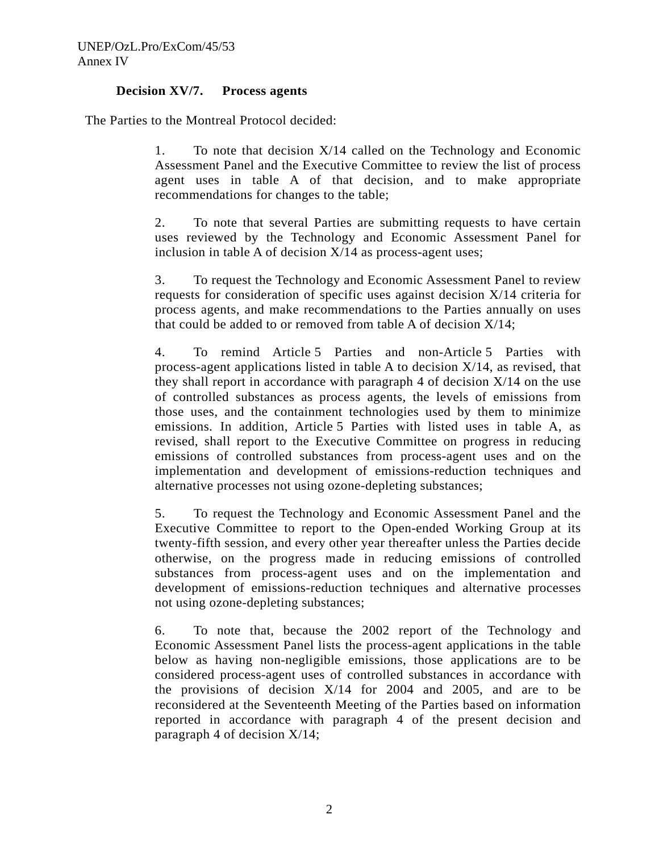### **Decision XV/7. Process agents**

The Parties to the Montreal Protocol decided:

1. To note that decision X/14 called on the Technology and Economic Assessment Panel and the Executive Committee to review the list of process agent uses in table A of that decision, and to make appropriate recommendations for changes to the table;

2. To note that several Parties are submitting requests to have certain uses reviewed by the Technology and Economic Assessment Panel for inclusion in table A of decision X/14 as process-agent uses;

3. To request the Technology and Economic Assessment Panel to review requests for consideration of specific uses against decision X/14 criteria for process agents, and make recommendations to the Parties annually on uses that could be added to or removed from table A of decision X/14;

4. To remind Article 5 Parties and non-Article 5 Parties with process-agent applications listed in table A to decision X/14, as revised, that they shall report in accordance with paragraph 4 of decision  $X/14$  on the use of controlled substances as process agents, the levels of emissions from those uses, and the containment technologies used by them to minimize emissions. In addition, Article 5 Parties with listed uses in table A, as revised, shall report to the Executive Committee on progress in reducing emissions of controlled substances from process-agent uses and on the implementation and development of emissions-reduction techniques and alternative processes not using ozone-depleting substances;

5. To request the Technology and Economic Assessment Panel and the Executive Committee to report to the Open-ended Working Group at its twenty-fifth session, and every other year thereafter unless the Parties decide otherwise, on the progress made in reducing emissions of controlled substances from process-agent uses and on the implementation and development of emissions-reduction techniques and alternative processes not using ozone-depleting substances;

6. To note that, because the 2002 report of the Technology and Economic Assessment Panel lists the process-agent applications in the table below as having non-negligible emissions, those applications are to be considered process-agent uses of controlled substances in accordance with the provisions of decision X/14 for 2004 and 2005, and are to be reconsidered at the Seventeenth Meeting of the Parties based on information reported in accordance with paragraph 4 of the present decision and paragraph 4 of decision X/14;